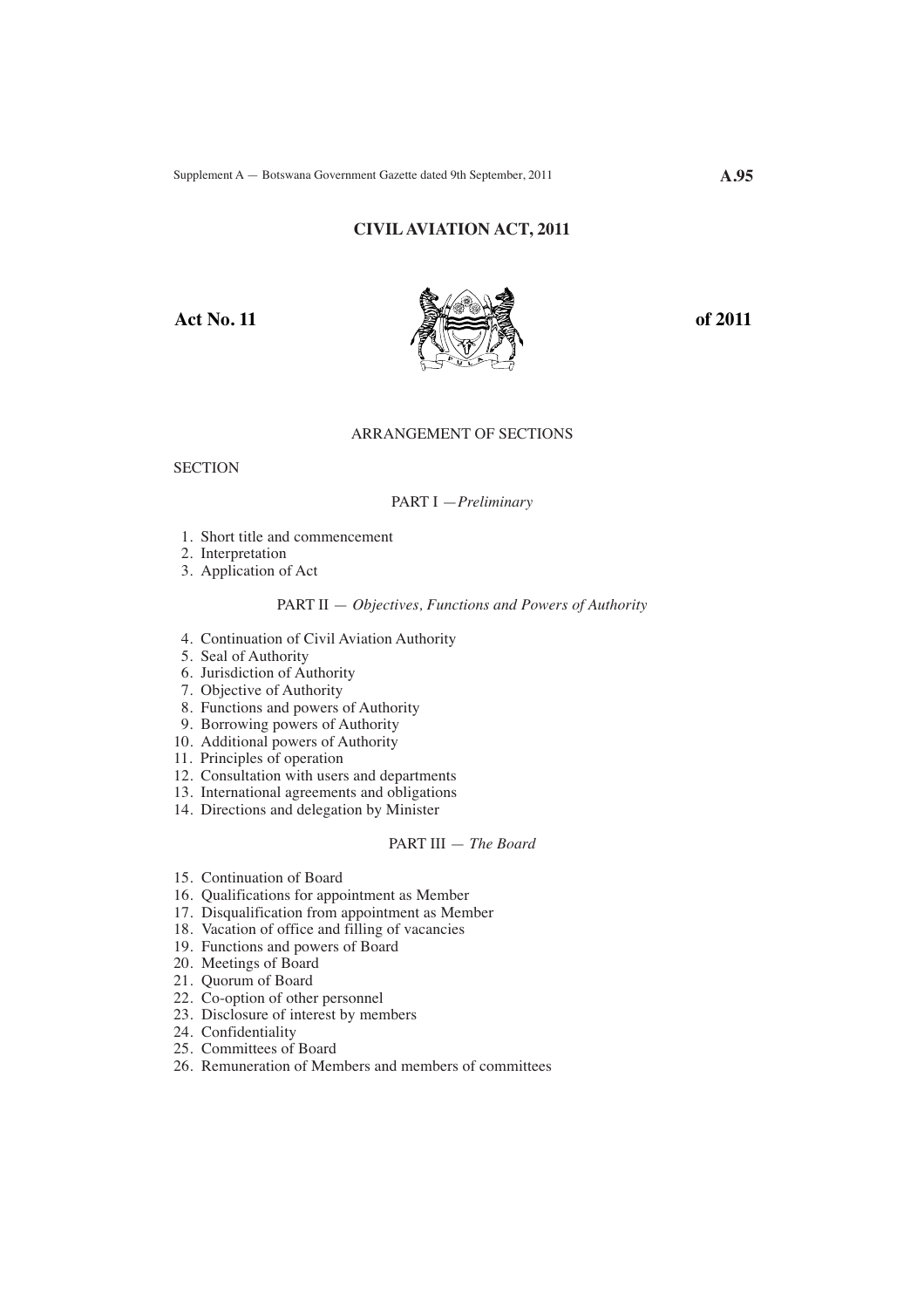# **CIVIL AVIATION ACT, 2011**



# ARRANGEMENT OF SECTIONS

**SECTION** 

#### PART I —*Preliminary*

- 1. Short title and commencement
- 2. Interpretation
- 3. Application of Act

#### PART II — *Objectives, Functions and Powers of Authority*

- 4. Continuation of Civil Aviation Authority
- 5. Seal of Authority
- 6. Jurisdiction of Authority
- 7. Objective of Authority
- 8. Functions and powers of Authority
- 9. Borrowing powers of Authority
- 10. Additional powers of Authority
- 11. Principles of operation
- 12. Consultation with users and departments
- 13. International agreements and obligations
- 14. Directions and delegation by Minister

# PART III — *The Board*

- 15. Continuation of Board
- 16. Qualifications for appointment as Member
- 17. Disqualification from appointment as Member
- 18. Vacation of office and filling of vacancies
- 19. Functions and powers of Board
- 20. Meetings of Board
- 21. Quorum of Board
- 22. Co-option of other personnel
- 23. Disclosure of interest by members
- 24. Confidentiality
- 25. Committees of Board
- 26. Remuneration of Members and members of committees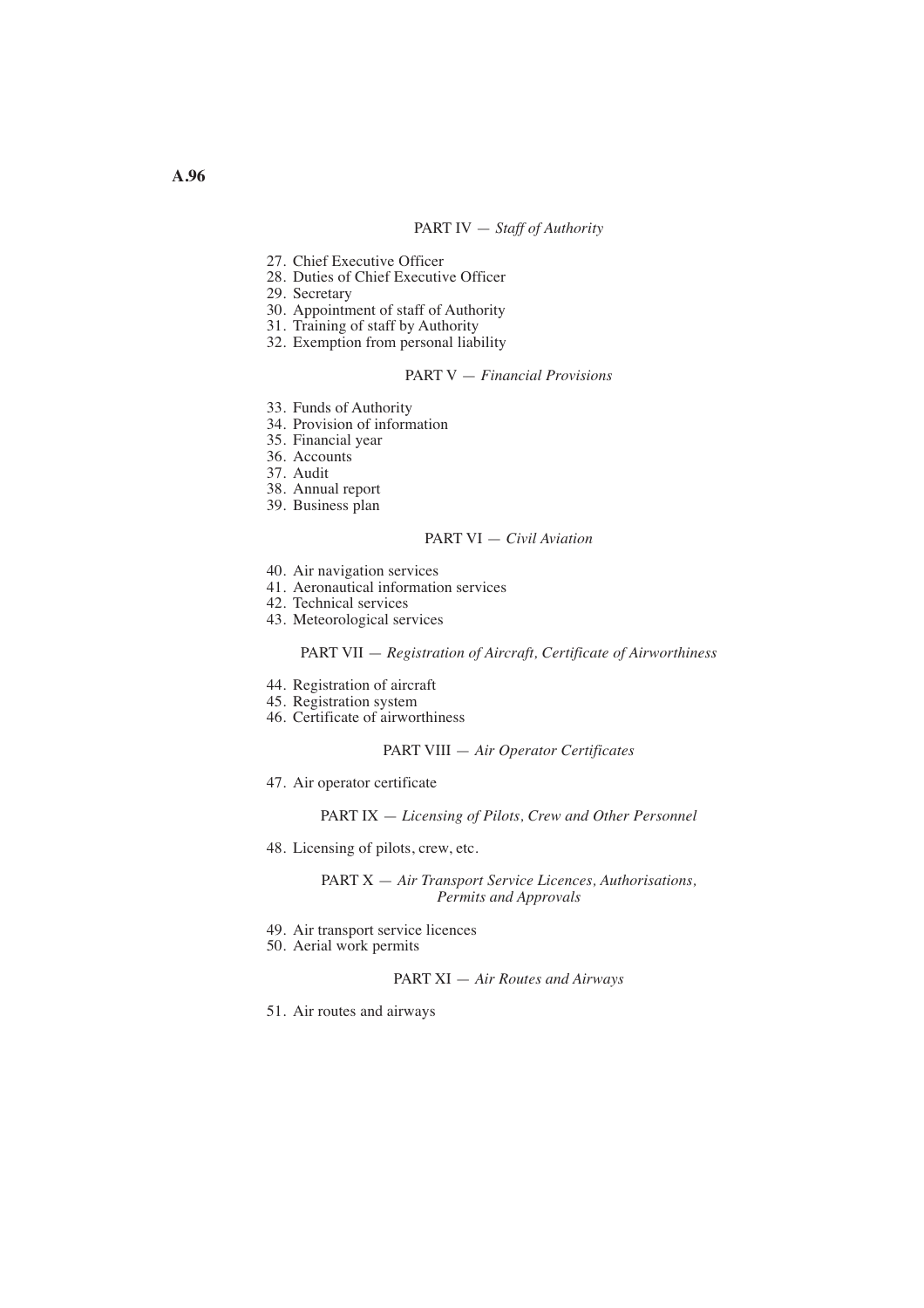## PART IV — *Staff of Authority*

- 27. Chief Executive Officer
- 28. Duties of Chief Executive Officer
- 29. Secretary
- 30. Appointment of staff of Authority
- 31. Training of staff by Authority
- 32. Exemption from personal liability

#### PART V — *Financial Provisions*

- 33. Funds of Authority
- 34. Provision of information
- 35. Financial year
- 36. Accounts
- 37. Audit
- 38. Annual report
- 39. Business plan

# PART VI — *Civil Aviation*

- 40. Air navigation services
- 41. Aeronautical information services
- 42. Technical services
- 43. Meteorological services

#### PART VII — *Registration of Aircraft, Certificate of Airworthiness*

- 44. Registration of aircraft
- 45. Registration system
- 46. Certificate of airworthiness

## PART VIII — *Air Operator Certificates*

47. Air operator certificate

PART IX — *Licensing of Pilots, Crew and Other Personnel* 

48. Licensing of pilots, crew, etc.

PART X — *Air Transport Service Licences, Authorisations, Permits and Approvals* 

- 49. Air transport service licences
- 50. Aerial work permits

PART XI — *Air Routes and Airways* 

51. Air routes and airways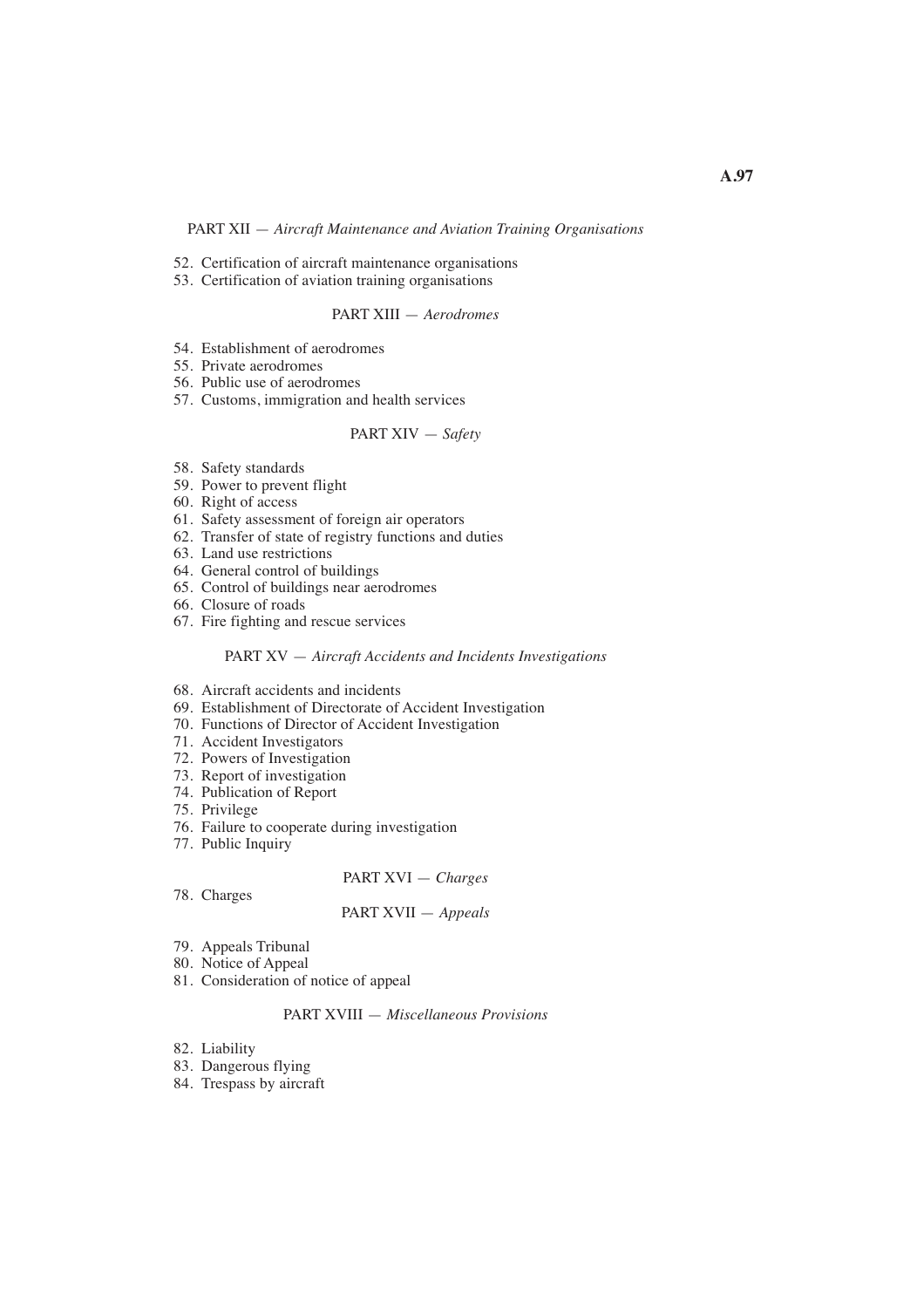## PART XII — *Aircraft Maintenance and Aviation Training Organisations*

- 52. Certification of aircraft maintenance organisations
- 53. Certification of aviation training organisations

#### PART XIII — *Aerodromes*

- 54. Establishment of aerodromes
- 55. Private aerodromes
- 56. Public use of aerodromes
- 57. Customs, immigration and health services

# PART XIV — *Safety*

- 58. Safety standards
- 59. Power to prevent flight
- 60. Right of access
- 61. Safety assessment of foreign air operators
- 62. Transfer of state of registry functions and duties
- 63. Land use restrictions
- 64. General control of buildings
- 65. Control of buildings near aerodromes
- 66. Closure of roads
- 67. Fire fighting and rescue services

### PART XV — *Aircraft Accidents and Incidents Investigations*

- 68. Aircraft accidents and incidents
- 69. Establishment of Directorate of Accident Investigation
- 70. Functions of Director of Accident Investigation
- 71. Accident Investigators
- 72. Powers of Investigation
- 73. Report of investigation
- 74. Publication of Report
- 75. Privilege
- 76. Failure to cooperate during investigation
- 77. Public Inquiry

#### PART XVI — *Charges*

78. Charges

#### PART XVII — *Appeals*

- 79. Appeals Tribunal
- 80. Notice of Appeal
- 81. Consideration of notice of appeal

#### PART XVIII — *Miscellaneous Provisions*

- 82. Liability
- 83. Dangerous flying
- 84. Trespass by aircraft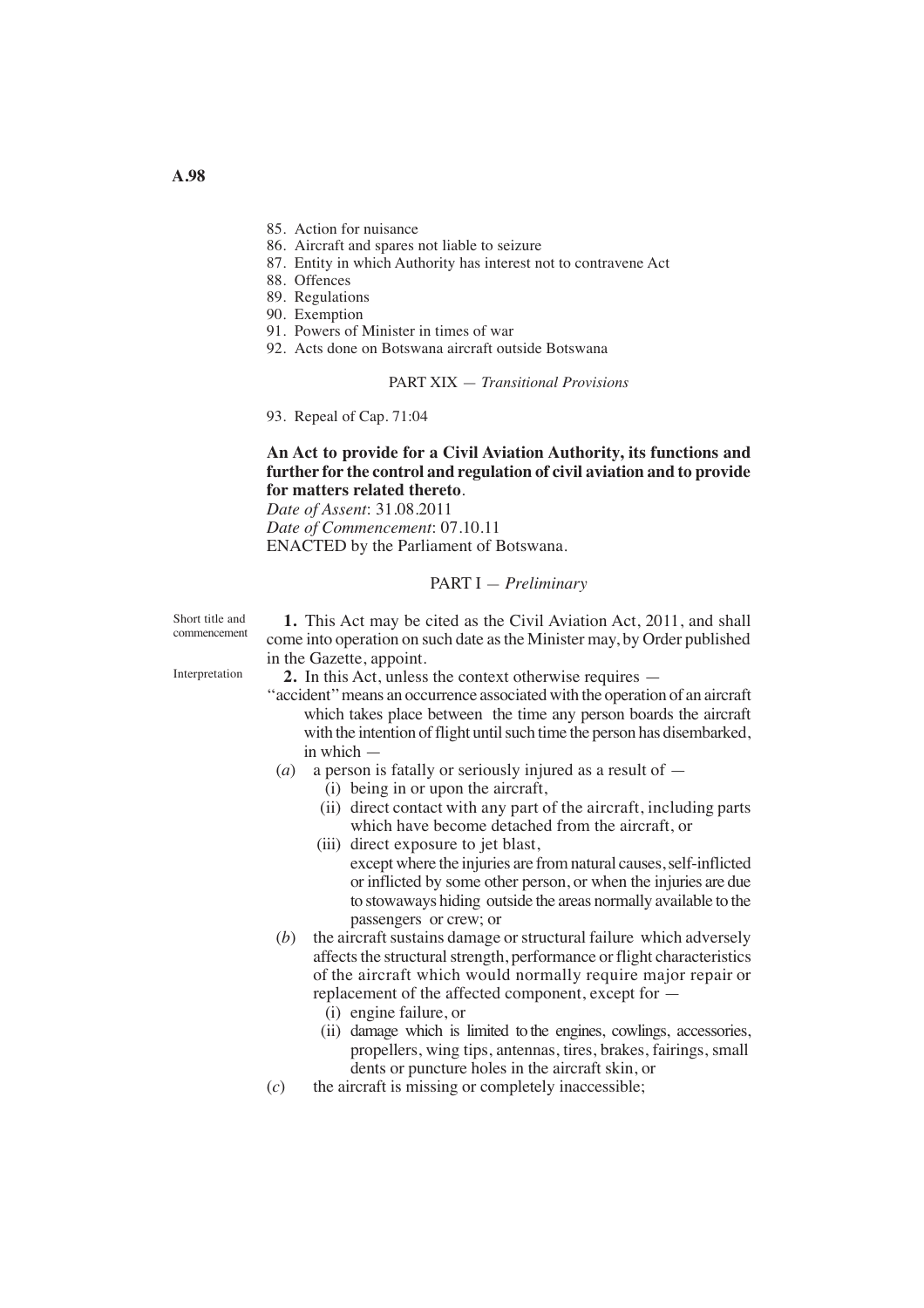- 85. Action for nuisance
- 86. Aircraft and spares not liable to seizure
- 87. Entity in which Authority has interest not to contravene Act
- 88. Offences
- 89. Regulations
- 90. Exemption
- 91. Powers of Minister in times of war
- 92. Acts done on Botswana aircraft outside Botswana

## PART XIX — *Transitional Provisions*

93. Repeal of Cap. 71:04

# **An Act to provide for a Civil Aviation Authority, its functions and further for the control and regulation of civil aviation and to provide for matters related thereto**.

*Date of Assent*: 31.08.2011

*Date of Commencement*: 07.10.11 ENACTED by the Parliament of Botswana.

## PART I — *Preliminary*

Short title and commencement

Interpretation

**1.** This Act may be cited as the Civil Aviation Act, 2011, and shall come into operation on such date as the Minister may, by Order published in the Gazette, appoint.

**2.** In this Act, unless the context otherwise requires —

- ''accident'' means an occurrence associated with the operation of an aircraft which takes place between the time any person boards the aircraft with the intention of flight until such time the person has disembarked, in which —
- (*a*) a person is fatally or seriously injured as a result of
	- (i) being in or upon the aircraft,
	- (ii) direct contact with any part of the aircraft, including parts which have become detached from the aircraft, or
	- (iii) direct exposure to jet blast, except where the injuries are from natural causes, self-inflicted or inflicted by some other person, or when the injuries are due to stowaways hiding outside the areas normally available to the passengers or crew; or
- (*b*) the aircraft sustains damage or structural failure which adversely affects the structural strength, performance or flight characteristics of the aircraft which would normally require major repair or replacement of the affected component, except for —
	- (i) engine failure, or
	- (ii) damage which is limited to the engines, cowlings, accessories, propellers, wing tips, antennas, tires, brakes, fairings, small dents or puncture holes in the aircraft skin, or
- (*c*) the aircraft is missing or completely inaccessible;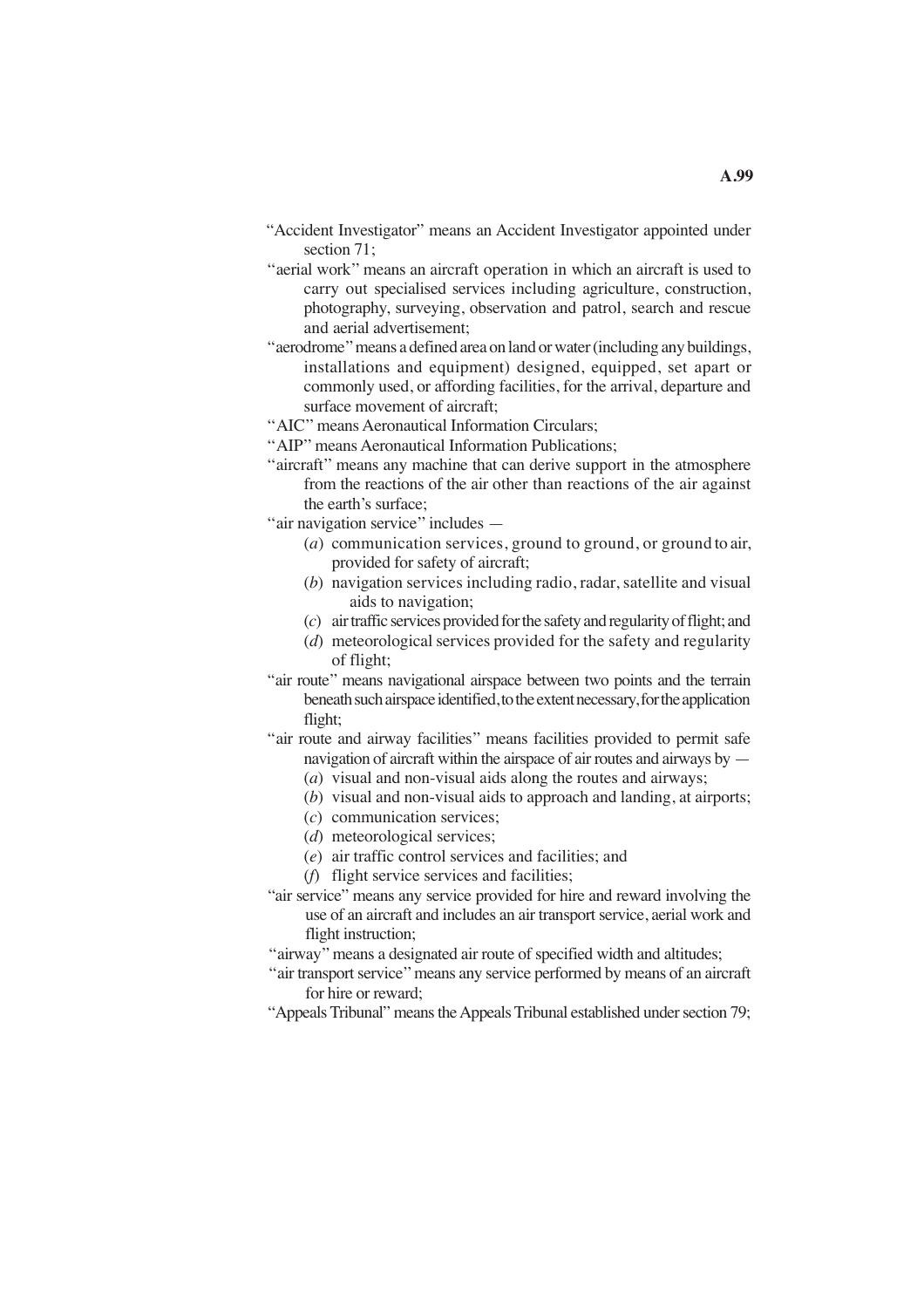- "Accident Investigator" means an Accident Investigator appointed under section 71;
- "aerial work" means an aircraft operation in which an aircraft is used to carry out specialised services including agriculture, construction, photography, surveying, observation and patrol, search and rescue and aerial advertisement;
- ''aerodrome'' means a defined area on land or water (including any buildings, installations and equipment) designed, equipped, set apart or commonly used, or affording facilities, for the arrival, departure and surface movement of aircraft;

''AIC'' means Aeronautical Information Circulars;

- ''AIP'' means Aeronautical Information Publications;
- "aircraft" means any machine that can derive support in the atmosphere from the reactions of the air other than reactions of the air against the earth's surface;
- ''air navigation service'' includes
	- (*a*) communication services, ground to ground, or ground to air, provided for safety of aircraft;
	- (*b*) navigation services including radio, radar, satellite and visual aids to navigation;
	- (*c*) air traffic services provided for the safety and regularity of flight; and
	- (*d*) meteorological services provided for the safety and regularity of flight;
- "air route" means navigational airspace between two points and the terrain beneath such airspace identified, to the extent necessary, for the application flight;
- "air route and airway facilities" means facilities provided to permit safe navigation of aircraft within the airspace of air routes and airways by —
	- (*a*) visual and non-visual aids along the routes and airways;
	- (*b*) visual and non-visual aids to approach and landing, at airports;
	- (*c*) communication services;
	- (*d*) meteorological services;
	- (*e*) air traffic control services and facilities; and
	- (*f*) flight service services and facilities;
- "air service" means any service provided for hire and reward involving the use of an aircraft and includes an air transport service, aerial work and flight instruction;
- ''airway'' means a designated air route of specified width and altitudes;
- ''air transport service'' means any service performed by means of an aircraft for hire or reward;
- "Appeals Tribunal" means the Appeals Tribunal established under section 79;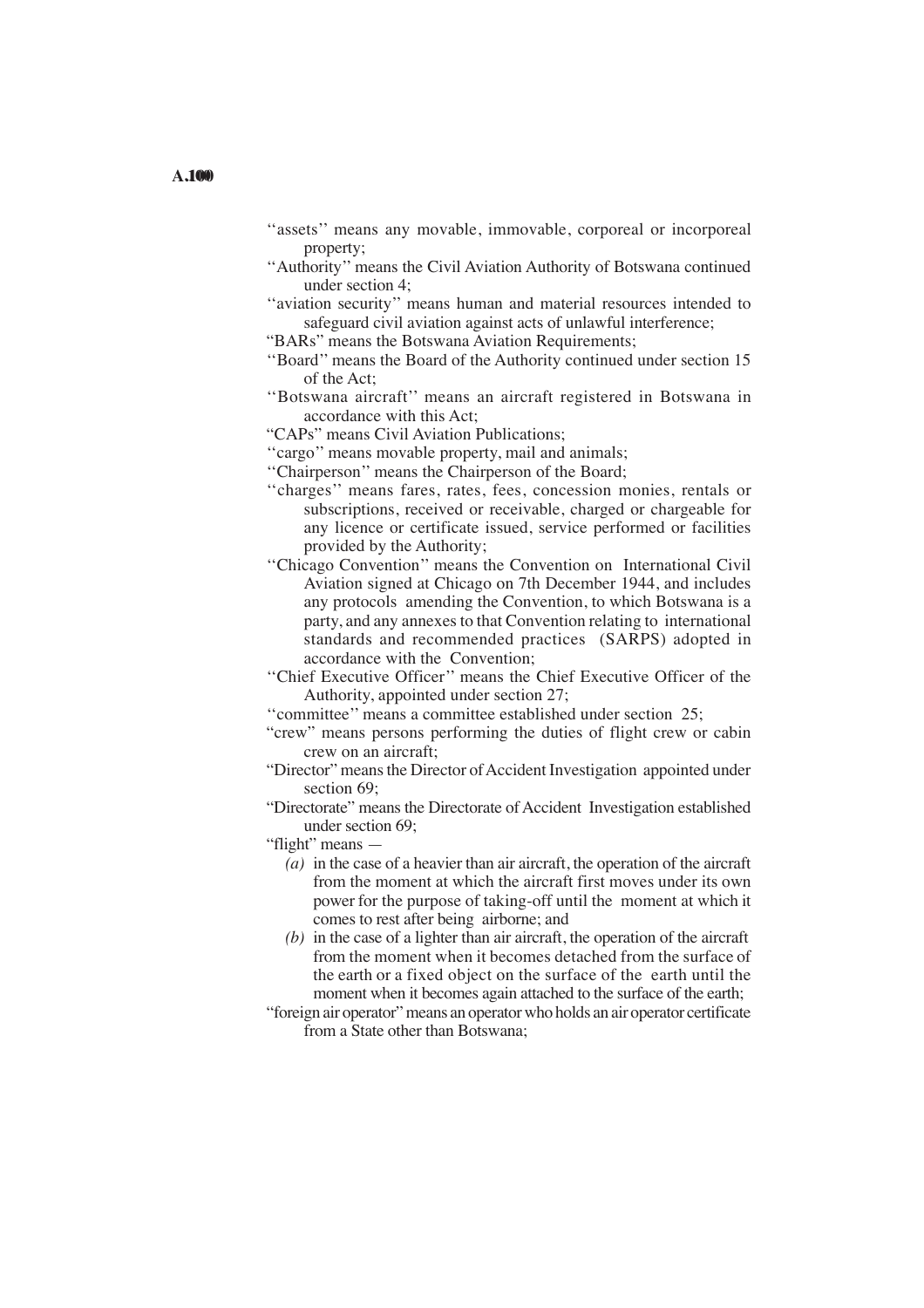- "assets" means any movable, immovable, corporeal or incorporeal property;
- ''Authority'' means the Civil Aviation Authority of Botswana continued under section 4;
- "aviation security" means human and material resources intended to safeguard civil aviation against acts of unlawful interference;
- "BARs" means the Botswana Aviation Requirements;
- ''Board'' means the Board of the Authority continued under section 15 of the Act;
- ''Botswana aircraft'' means an aircraft registered in Botswana in accordance with this Act;
- "CAPs" means Civil Aviation Publications;
- "cargo" means movable property, mail and animals;
- ''Chairperson'' means the Chairperson of the Board;
- ''charges'' means fares, rates, fees, concession monies, rentals or subscriptions, received or receivable, charged or chargeable for any licence or certificate issued, service performed or facilities provided by the Authority;
- ''Chicago Convention'' means the Convention on International Civil Aviation signed at Chicago on 7th December 1944, and includes any protocols amending the Convention, to which Botswana is a party, and any annexes to that Convention relating to international standards and recommended practices (SARPS) adopted in accordance with the Convention;
- ''Chief Executive Officer'' means the Chief Executive Officer of the Authority, appointed under section 27;
- ''committee'' means a committee established under section 25;
- "crew" means persons performing the duties of flight crew or cabin crew on an aircraft;
- "Director" means the Director of Accident Investigation appointed under section 69:
- "Directorate" means the Directorate of Accident Investigation established under section 69;
- "flight" means
	- *(a)* in the case of a heavier than air aircraft, the operation of the aircraft from the moment at which the aircraft first moves under its own power for the purpose of taking-off until the moment at which it comes to rest after being airborne; and
	- *(b)* in the case of a lighter than air aircraft, the operation of the aircraft from the moment when it becomes detached from the surface of the earth or a fixed object on the surface of the earth until the moment when it becomes again attached to the surface of the earth;
- "foreign air operator" means an operator who holds an air operator certificate from a State other than Botswana;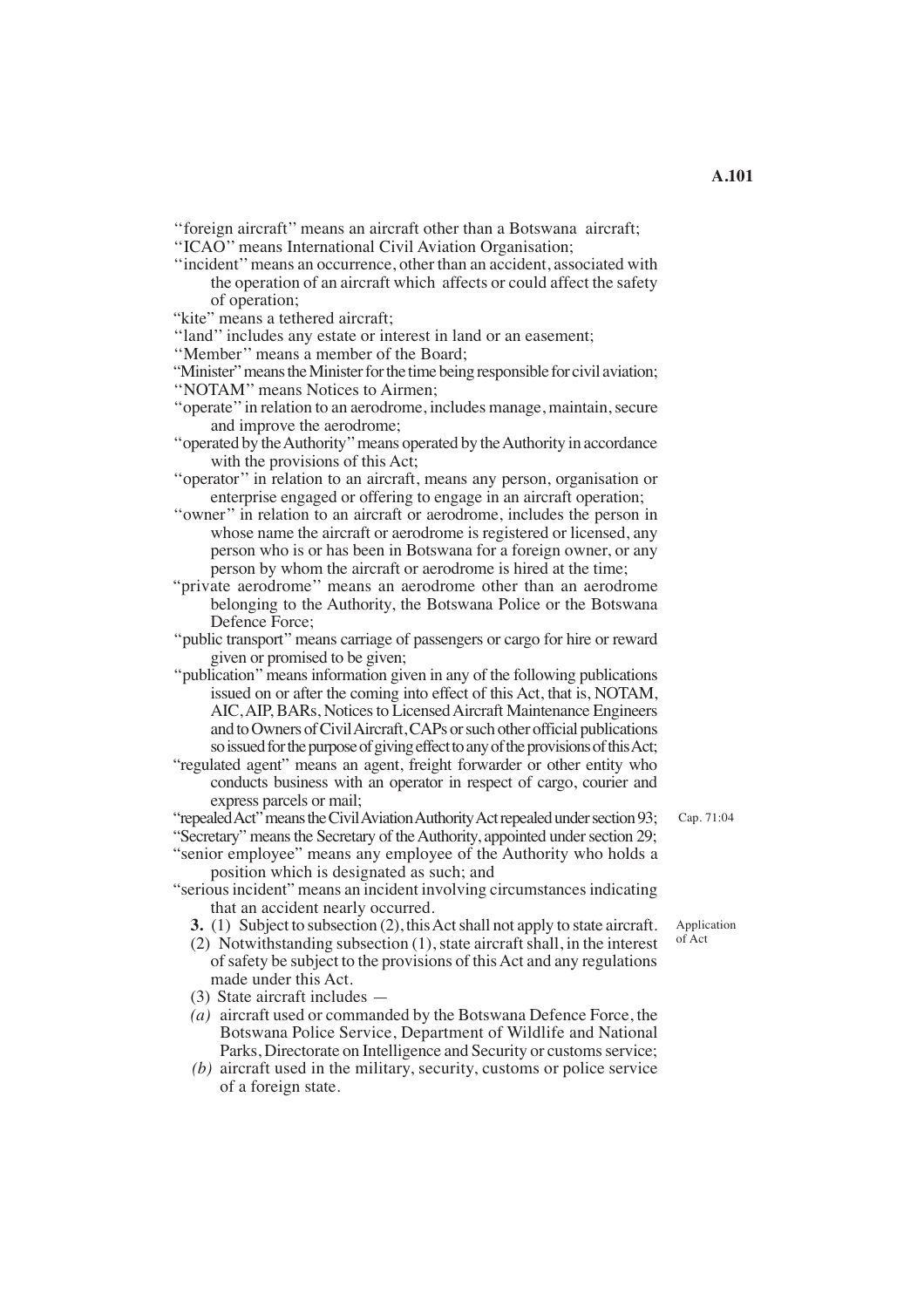''foreign aircraft'' means an aircraft other than a Botswana aircraft;

''ICAO'' means International Civil Aviation Organisation;

''incident'' means an occurrence, other than an accident, associated with the operation of an aircraft which affects or could affect the safety of operation;

"kite" means a tethered aircraft;

''land'' includes any estate or interest in land or an easement;

''Member'' means a member of the Board;

"Minister" means the Minister for the time being responsible for civil aviation; ''NOTAM'' means Notices to Airmen;

- ''operate'' in relation to an aerodrome, includes manage, maintain, secure and improve the aerodrome;
- ''operated by the Authority'' means operated by the Authority in accordance with the provisions of this Act;
- ''operator'' in relation to an aircraft, means any person, organisation or enterprise engaged or offering to engage in an aircraft operation;

''owner'' in relation to an aircraft or aerodrome, includes the person in whose name the aircraft or aerodrome is registered or licensed, any person who is or has been in Botswana for a foreign owner, or any person by whom the aircraft or aerodrome is hired at the time;

- "private aerodrome'' means an aerodrome other than an aerodrome belonging to the Authority, the Botswana Police or the Botswana Defence Force;
- ''public transport'' means carriage of passengers or cargo for hire or reward given or promised to be given;

''publication'' means information given in any of the following publications issued on or after the coming into effect of this Act, that is, NOTAM, AIC, AIP, BARs, Notices to Licensed Aircraft Maintenance Engineers and to Owners of Civil Aircraft, CAPs or such other official publications so issued for the purpose of giving effect to any of the provisions of this Act;

 "regulated agent" means an agent, freight forwarder or other entity who conducts business with an operator in respect of cargo, courier and express parcels or mail;

"repealed Act" means the Civil Aviation Authority Act repealed under section 93;

- "Secretary" means the Secretary of the Authority, appointed under section 29; "senior employee" means any employee of the Authority who holds a
- position which is designated as such; and "serious incident" means an incident involving circumstances indicating that an accident nearly occurred.
	- **3.** (1) Subject to subsection (2), this Act shall not apply to state aircraft.
	- (2) Notwithstanding subsection (1), state aircraft shall, in the interest of safety be subject to the provisions of thisAct and any regulations made under this Act.
	- (3) State aircraft includes —
	- *(a)* aircraft used or commanded by the Botswana Defence Force, the Botswana Police Service, Department of Wildlife and National Parks, Directorate on Intelligence and Security or customs service;
	- *(b)* aircraft used in the military, security, customs or police service of a foreign state.

Application

of Act

Cap. 71:04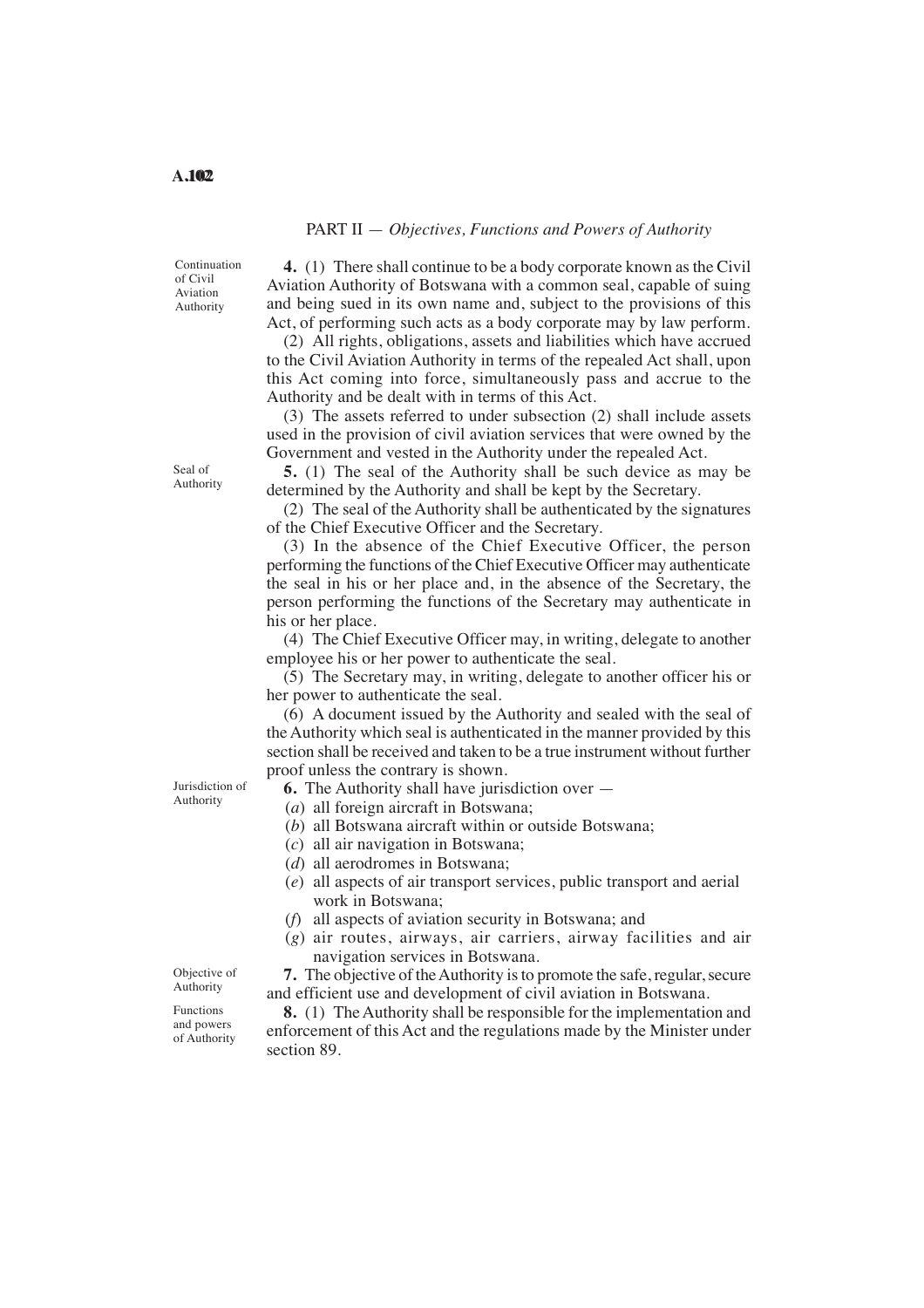## PART II — *Objectives, Functions and Powers of Authority*

Continuation of Civil Aviation Authority

**4.** (1) There shall continue to be a body corporate known as the Civil Aviation Authority of Botswana with a common seal, capable of suing and being sued in its own name and, subject to the provisions of this Act, of performing such acts as a body corporate may by law perform.

(2) All rights, obligations, assets and liabilities which have accrued to the Civil Aviation Authority in terms of the repealed Act shall, upon this Act coming into force, simultaneously pass and accrue to the Authority and be dealt with in terms of this Act.

(3) The assets referred to under subsection (2) shall include assets used in the provision of civil aviation services that were owned by the Government and vested in the Authority under the repealed Act.

**5.** (1) The seal of the Authority shall be such device as may be determined by the Authority and shall be kept by the Secretary.

(2) The seal of the Authority shall be authenticated by the signatures of the Chief Executive Officer and the Secretary.

(3) In the absence of the Chief Executive Officer, the person performing the functions of the Chief Executive Officer may authenticate the seal in his or her place and, in the absence of the Secretary, the person performing the functions of the Secretary may authenticate in his or her place.

(4) The Chief Executive Officer may, in writing, delegate to another employee his or her power to authenticate the seal.

(5) The Secretary may, in writing, delegate to another officer his or her power to authenticate the seal.

(6) A document issued by the Authority and sealed with the seal of the Authority which seal is authenticated in the manner provided by this section shall be received and taken to be a true instrument without further proof unless the contrary is shown.

**6.** The Authority shall have jurisdiction over —

(*a*) all foreign aircraft in Botswana;

- (*b*) all Botswana aircraft within or outside Botswana;
- (*c*) all air navigation in Botswana;
- (*d*) all aerodromes in Botswana;
- (*e*) all aspects of air transport services, public transport and aerial work in Botswana;
- (*f*) all aspects of aviation security in Botswana; and
- (*g*) air routes, airways, air carriers, airway facilities and air navigation services in Botswana.

**7.** The objective of the Authority is to promote the safe, regular, secure and efficient use and development of civil aviation in Botswana.

**8.** (1) The Authority shall be responsible for the implementation and enforcement of this Act and the regulations made by the Minister under section 89.

Jurisdiction of Authority

Seal of Authority

Objective of Authority Functions

and powers of Authority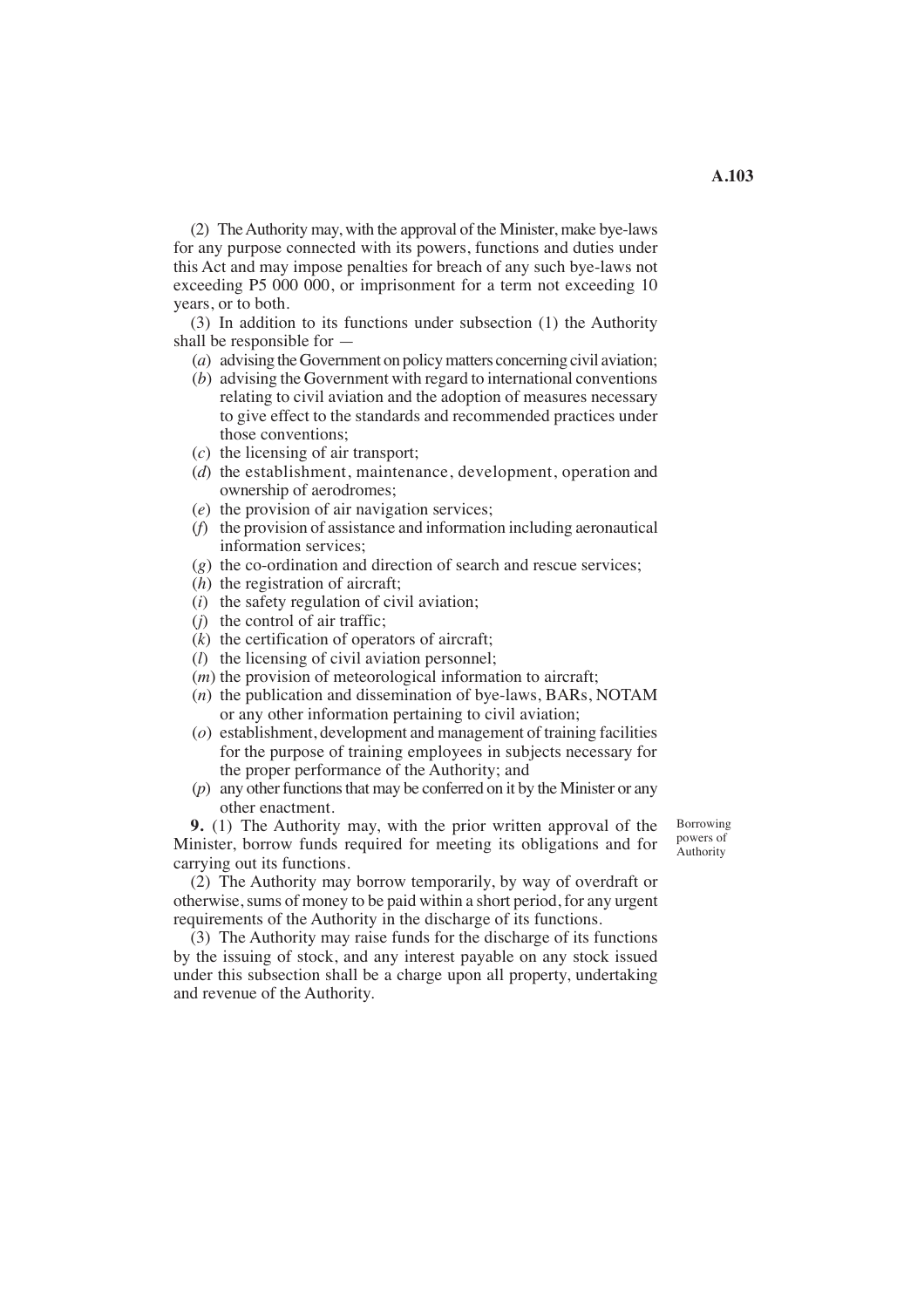(2) The Authority may, with the approval of the Minister, make bye-laws for any purpose connected with its powers, functions and duties under this Act and may impose penalties for breach of any such bye-laws not exceeding P5 000 000, or imprisonment for a term not exceeding 10 years, or to both.

(3) In addition to its functions under subsection (1) the Authority shall be responsible for —

(*a*) advising the Government on policy matters concerning civil aviation;

- (*b*) advising the Government with regard to international conventions relating to civil aviation and the adoption of measures necessary to give effect to the standards and recommended practices under those conventions;
- (*c*) the licensing of air transport;
- (*d*) the establishment, maintenance, development, operation and ownership of aerodromes;
- (*e*) the provision of air navigation services;
- (*f*) the provision of assistance and information including aeronautical information services;
- (*g*) the co-ordination and direction of search and rescue services;
- (*h*) the registration of aircraft;
- (*i*) the safety regulation of civil aviation;
- (*j*) the control of air traffic;
- (*k*) the certification of operators of aircraft;
- (*l*) the licensing of civil aviation personnel;
- (*m*) the provision of meteorological information to aircraft;
- (*n*) the publication and dissemination of bye-laws, BARs, NOTAM or any other information pertaining to civil aviation;
- (*o*) establishment, development and management of training facilities for the purpose of training employees in subjects necessary for the proper performance of the Authority; and
- (*p*) any other functions that may be conferred on it by the Minister or any other enactment.

**9.** (1) The Authority may, with the prior written approval of the Minister, borrow funds required for meeting its obligations and for carrying out its functions.

(2) The Authority may borrow temporarily, by way of overdraft or otherwise, sums of money to be paid within a short period, for any urgent requirements of the Authority in the discharge of its functions.

(3) The Authority may raise funds for the discharge of its functions by the issuing of stock, and any interest payable on any stock issued under this subsection shall be a charge upon all property, undertaking and revenue of the Authority.

Borrowing powers of **Authority**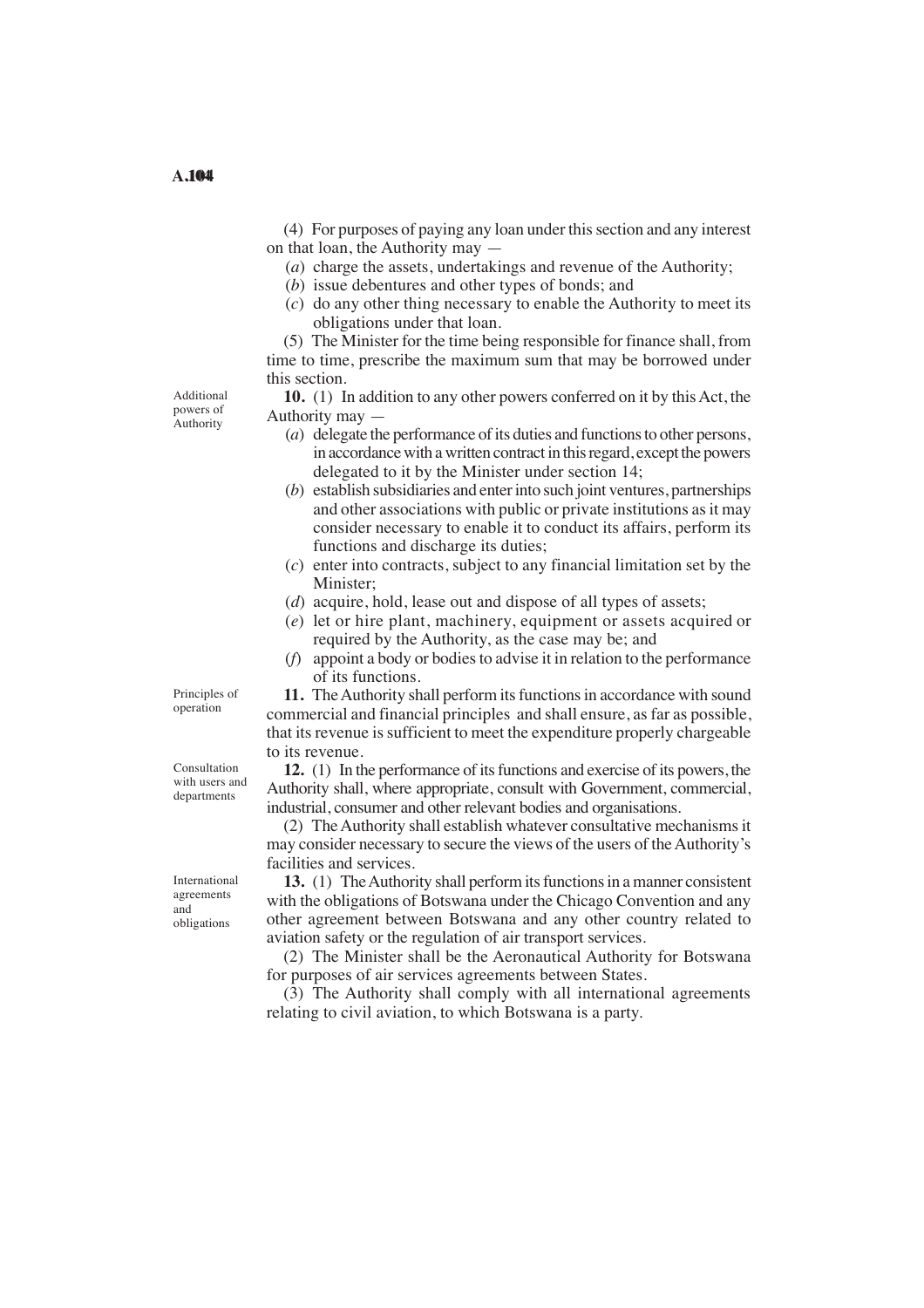(4) For purposes of paying any loan under this section and any interest on that loan, the Authority may —

- (*a*) charge the assets, undertakings and revenue of the Authority;
- (*b*) issue debentures and other types of bonds; and
- (*c*) do any other thing necessary to enable the Authority to meet its obligations under that loan.

(5) The Minister for the time being responsible for finance shall, from time to time, prescribe the maximum sum that may be borrowed under this section.

Additional powers of **Authority** 

- **10.** (1) In addition to any other powers conferred on it by this Act, the Authority may —
	- (*a*) delegate the performance of its duties and functions to other persons, in accordance with a written contract in this regard, except the powers delegated to it by the Minister under section 14;
	- (*b*) establish subsidiaries and enter into such joint ventures, partnerships and other associations with public or private institutions as it may consider necessary to enable it to conduct its affairs, perform its functions and discharge its duties;
	- (*c*) enter into contracts, subject to any financial limitation set by the Minister;
	- (*d*) acquire, hold, lease out and dispose of all types of assets;
	- (*e*) let or hire plant, machinery, equipment or assets acquired or required by the Authority, as the case may be; and
	- (*f*) appoint a body or bodies to advise it in relation to the performance of its functions.

**11.** The Authority shall perform its functions in accordance with sound commercial and financial principles and shall ensure, as far as possible, that its revenue is sufficient to meet the expenditure properly chargeable to its revenue.

**12.** (1) In the performance of its functions and exercise of its powers, the Authority shall, where appropriate, consult with Government, commercial, industrial, consumer and other relevant bodies and organisations.

(2) The Authority shall establish whatever consultative mechanisms it may consider necessary to secure the views of the users of the Authority's facilities and services.

13. (1) The Authority shall perform its functions in a manner consistent with the obligations of Botswana under the Chicago Convention and any other agreement between Botswana and any other country related to aviation safety or the regulation of air transport services.

(2) The Minister shall be the Aeronautical Authority for Botswana for purposes of air services agreements between States.

 (3) The Authority shall comply with all international agreements relating to civil aviation, to which Botswana is a party.

Principles of operation

Consultation with users and departments

International agreements and obligations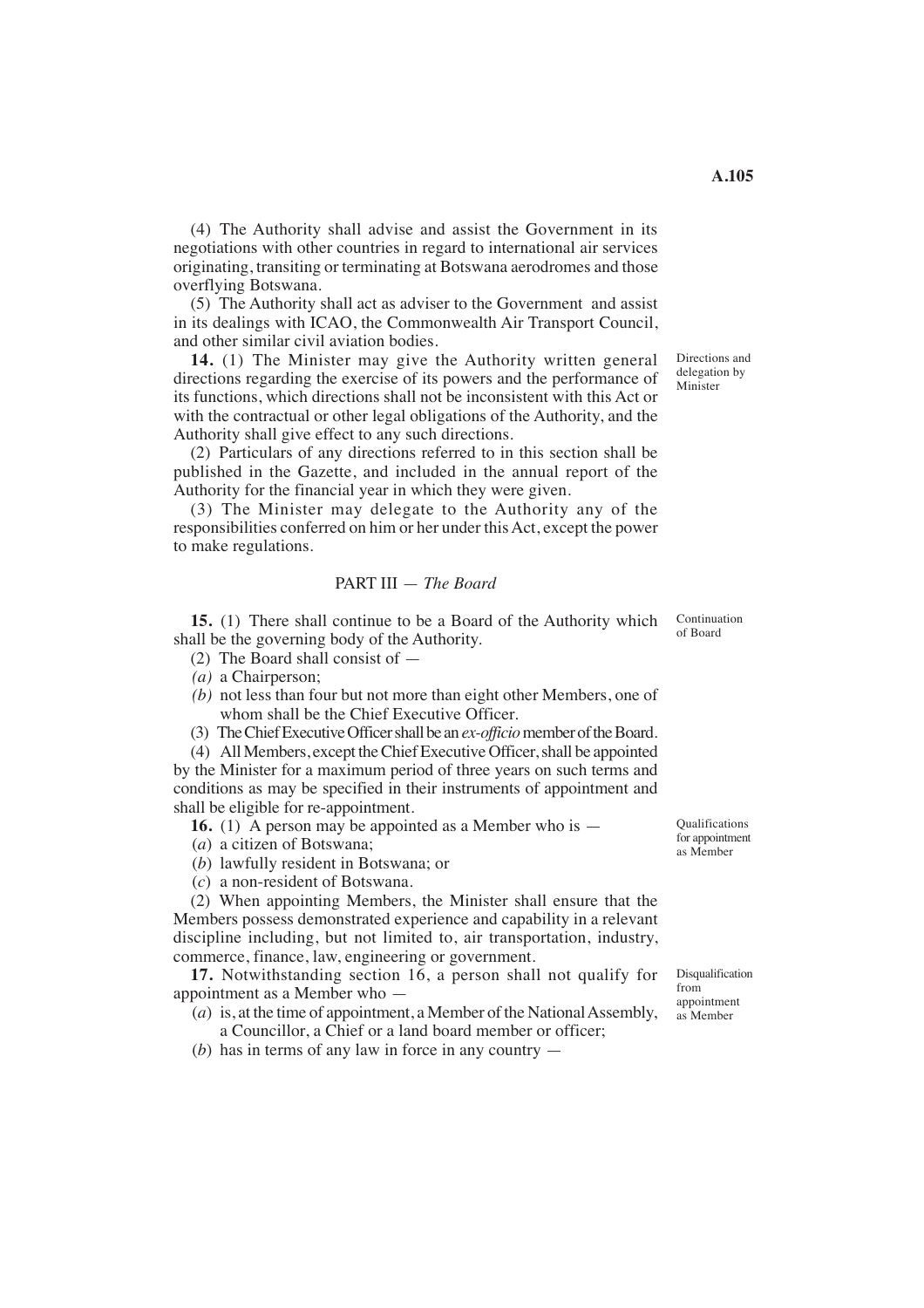(4) The Authority shall advise and assist the Government in its negotiations with other countries in regard to international air services originating, transiting or terminating at Botswana aerodromes and those overflying Botswana.

(5) The Authority shall act as adviser to the Government and assist in its dealings with ICAO, the Commonwealth Air Transport Council, and other similar civil aviation bodies.

**14.** (1) The Minister may give the Authority written general directions regarding the exercise of its powers and the performance of its functions, which directions shall not be inconsistent with this Act or with the contractual or other legal obligations of the Authority, and the Authority shall give effect to any such directions.

(2) Particulars of any directions referred to in this section shall be published in the Gazette, and included in the annual report of the Authority for the financial year in which they were given.

(3) The Minister may delegate to the Authority any of the responsibilities conferred on him or her under this Act, except the power to make regulations.

## PART III — *The Board*

**15.** (1) There shall continue to be a Board of the Authority which shall be the governing body of the Authority.

- (2) The Board shall consist of —
- (a) a Chairperson;
- *(b)* not less than four but not more than eight other Members, one of whom shall be the Chief Executive Officer.
- (3) The Chief Executive Officer shall be an *ex-officio* member of the Board.

(4) All Members, except the Chief Executive Officer, shall be appointed by the Minister for a maximum period of three years on such terms and conditions as may be specified in their instruments of appointment and shall be eligible for re-appointment.

**16.** (1) A person may be appointed as a Member who is —

- (*a*) a citizen of Botswana;
- (*b*) lawfully resident in Botswana; or
- (*c*) a non-resident of Botswana.

(2) When appointing Members, the Minister shall ensure that the Members possess demonstrated experience and capability in a relevant discipline including, but not limited to, air transportation, industry, commerce, finance, law, engineering or government.

**17.** Notwithstanding section 16, a person shall not qualify for appointment as a Member who —

- $(a)$  is, at the time of appointment, a Member of the National Assembly, a Councillor, a Chief or a land board member or officer;
- (*b*) has in terms of any law in force in any country —

Directions and delegation by Minister

Continuation of Board

Qualifications for appointment as Member

Disqualification from appointment as Member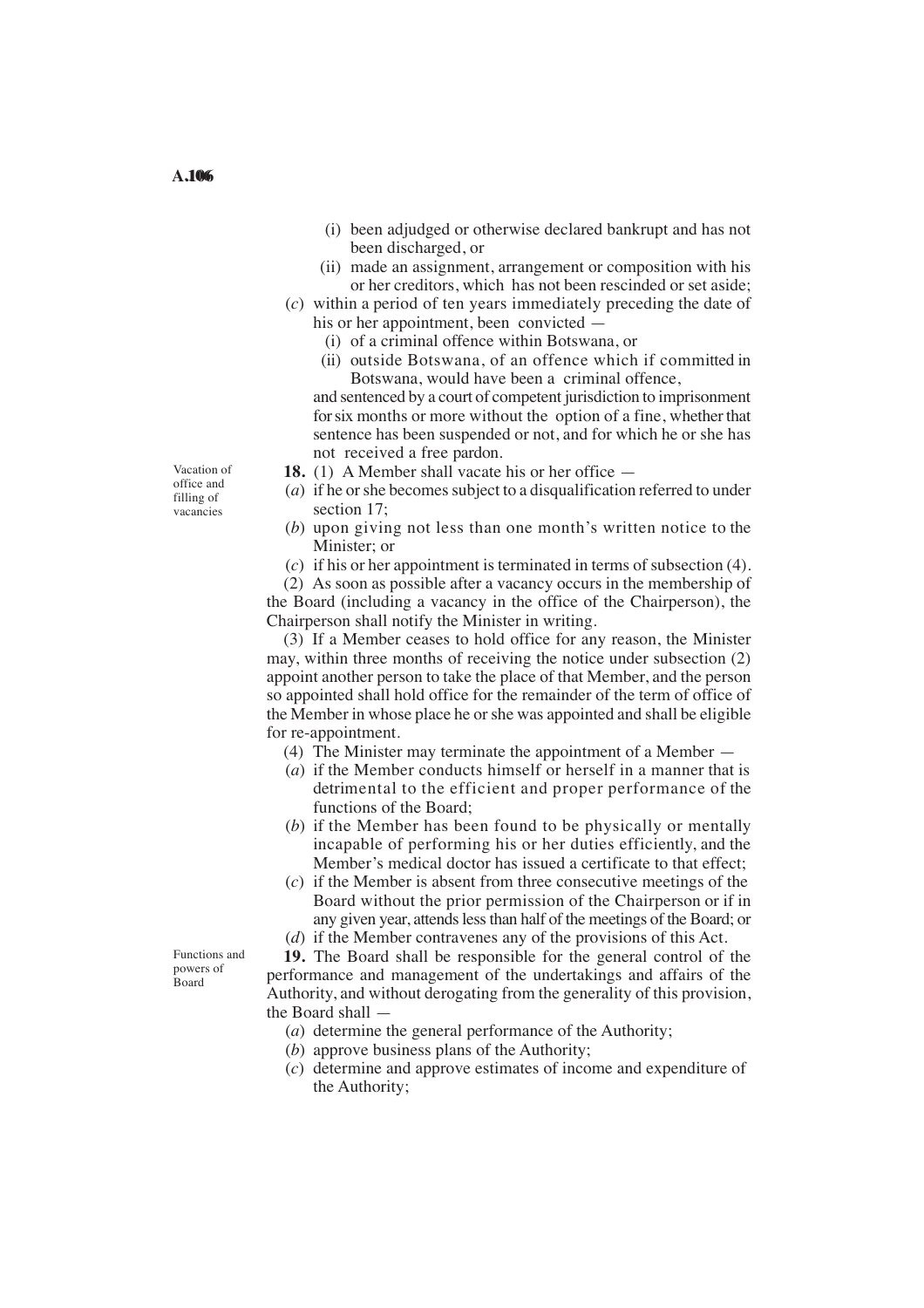- (i) been adjudged or otherwise declared bankrupt and has not been discharged, or
- (ii) made an assignment, arrangement or composition with his or her creditors, which has not been rescinded or set aside;
- (*c*) within a period of ten years immediately preceding the date of his or her appointment, been convicted —
	- (i) of a criminal offence within Botswana, or
	- (ii) outside Botswana, of an offence which if committed in Botswana, would have been a criminal offence,

and sentenced by a court of competent jurisdiction to imprisonment for six months or more without the option of a fine, whether that sentence has been suspended or not, and for which he or she has not received a free pardon.

- **18.** (1) A Member shall vacate his or her office —
- (*a*) if he or she becomes subject to a disqualification referred to under section 17;
- (*b*) upon giving not less than one month's written notice to the Minister; or
- (*c*) if his or her appointment is terminated in terms of subsection (4).

(2) As soon as possible after a vacancy occurs in the membership of the Board (including a vacancy in the office of the Chairperson), the Chairperson shall notify the Minister in writing.

(3) If a Member ceases to hold office for any reason, the Minister may, within three months of receiving the notice under subsection (2) appoint another person to take the place of that Member, and the person so appointed shall hold office for the remainder of the term of office of the Member in whose place he or she was appointed and shall be eligible for re-appointment.

- (4) The Minister may terminate the appointment of a Member —
- (*a*) if the Member conducts himself or herself in a manner that is detrimental to the efficient and proper performance of the functions of the Board;
- (*b*) if the Member has been found to be physically or mentally incapable of performing his or her duties efficiently, and the Member's medical doctor has issued a certificate to that effect;
- (*c*) if the Member is absent from three consecutive meetings of the Board without the prior permission of the Chairperson or if in any given year, attends less than half of the meetings of the Board; or
- (*d*) if the Member contravenes any of the provisions of this Act.

**19.** The Board shall be responsible for the general control of the performance and management of the undertakings and affairs of the Authority, and without derogating from the generality of this provision, the Board shall —

- (*a*) determine the general performance of the Authority;
- (*b*) approve business plans of the Authority;
- (*c*) determine and approve estimates of income and expenditure of the Authority;

Vacation of office and filling of vacancies

A.106

Functions and powers of Board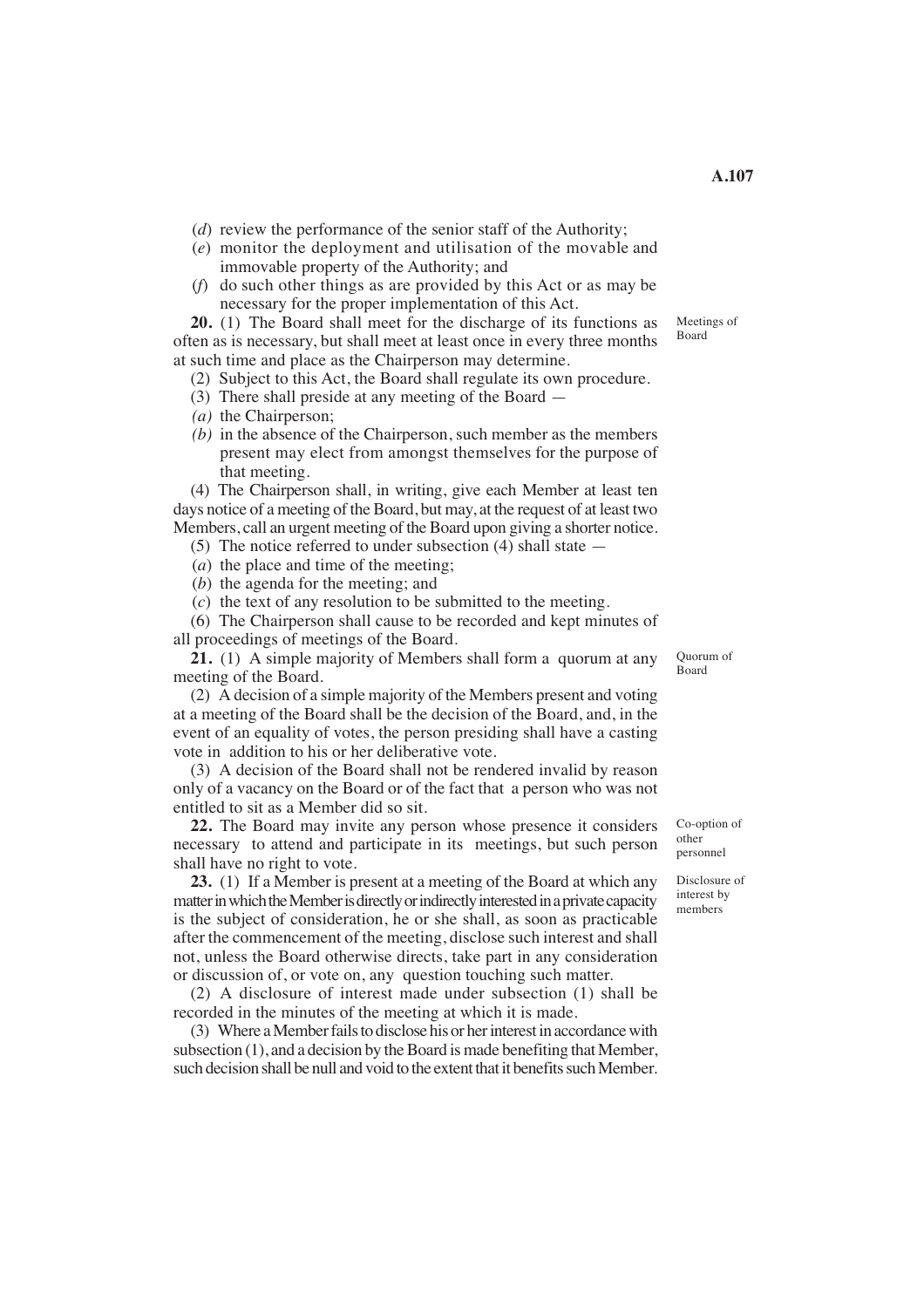- (*d*) review the performance of the senior staff of the Authority;
- (*e*) monitor the deployment and utilisation of the movable and immovable property of the Authority; and
- (*f*) do such other things as are provided by this Act or as may be necessary for the proper implementation of this Act.

**20.** (1) The Board shall meet for the discharge of its functions as often as is necessary, but shall meet at least once in every three months at such time and place as the Chairperson may determine.

(2) Subject to this Act, the Board shall regulate its own procedure.

- (3) There shall preside at any meeting of the Board —
- (*a*) the Chairperson;
- $(b)$  in the absence of the Chairperson, such member as the members present may elect from amongst themselves for the purpose of that meeting.

(4) The Chairperson shall, in writing, give each Member at least ten days notice of a meeting of the Board, but may, at the request of at least two Members, call an urgent meeting of the Board upon giving a shorter notice.

- (5) The notice referred to under subsection (4) shall state —
- (*a*) the place and time of the meeting;
- (*b*) the agenda for the meeting; and

(*c*) the text of any resolution to be submitted to the meeting.

(6) The Chairperson shall cause to be recorded and kept minutes of all proceedings of meetings of the Board.

**21.** (1) A simple majority of Members shall form a quorum at any meeting of the Board.

(2) A decision of a simple majority of the Members present and voting at a meeting of the Board shall be the decision of the Board, and, in the event of an equality of votes, the person presiding shall have a casting vote in addition to his or her deliberative vote.

(3) A decision of the Board shall not be rendered invalid by reason only of a vacancy on the Board or of the fact that a person who was not entitled to sit as a Member did so sit.

**22.** The Board may invite any person whose presence it considers necessary to attend and participate in its meetings, but such person shall have no right to vote.

**23.** (1) If a Member is present at a meeting of the Board at which any matter in which the Member is directly or indirectly interested in a private capacity is the subject of consideration, he or she shall, as soon as practicable after the commencement of the meeting, disclose such interest and shall not, unless the Board otherwise directs, take part in any consideration or discussion of, or vote on, any question touching such matter.

(2) A disclosure of interest made under subsection (1) shall be recorded in the minutes of the meeting at which it is made.

(3) Where a Member fails to disclose his or her interest in accordance with subsection (1), and a decision by the Board is made benefiting that Member, such decision shall be null and void to the extent that it benefits such Member. Quorum of Board

Co-option of other personnel

Disclosure of interest by members

**A.107** 

Meetings of Board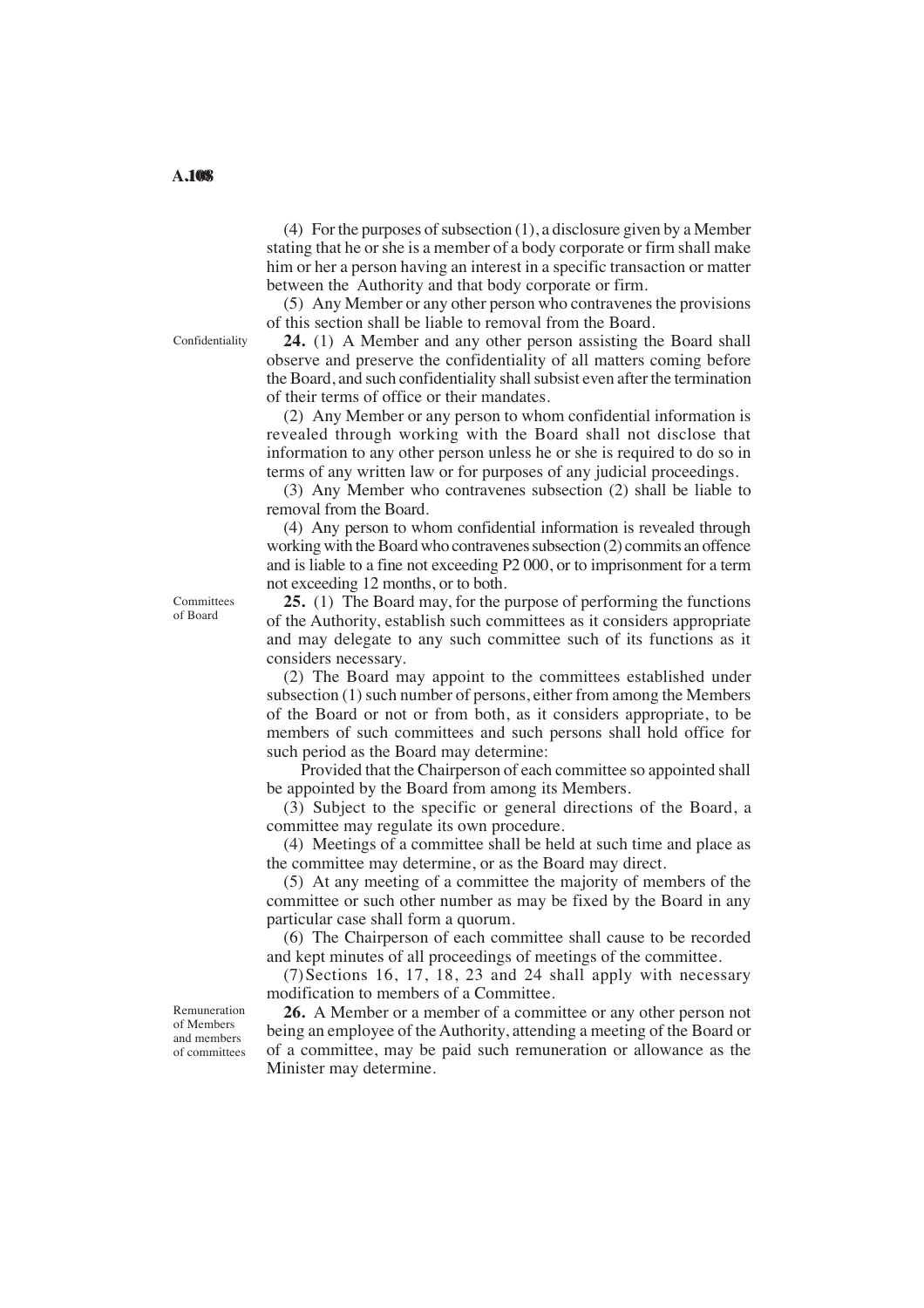(4) For the purposes of subsection (1), a disclosure given by a Member stating that he or she is a member of a body corporate or firm shall make him or her a person having an interest in a specific transaction or matter between the Authority and that body corporate or firm.

(5) Any Member or any other person who contravenes the provisions of this section shall be liable to removal from the Board.

**24.** (1) A Member and any other person assisting the Board shall observe and preserve the confidentiality of all matters coming before the Board, and such confidentiality shall subsist even after the termination of their terms of office or their mandates.

(2) Any Member or any person to whom confidential information is revealed through working with the Board shall not disclose that information to any other person unless he or she is required to do so in terms of any written law or for purposes of any judicial proceedings.

(3) Any Member who contravenes subsection (2) shall be liable to removal from the Board.

(4) Any person to whom confidential information is revealed through working with the Board who contravenes subsection (2) commits an offence and is liable to a fine not exceeding P2 000, or to imprisonment for a term not exceeding 12 months, or to both.

**25.** (1) The Board may, for the purpose of performing the functions of the Authority, establish such committees as it considers appropriate and may delegate to any such committee such of its functions as it considers necessary.

(2) The Board may appoint to the committees established under subsection (1) such number of persons, either from among the Members of the Board or not or from both, as it considers appropriate, to be members of such committees and such persons shall hold office for such period as the Board may determine:

Provided that the Chairperson of each committee so appointed shall be appointed by the Board from among its Members.

(3) Subject to the specific or general directions of the Board, a committee may regulate its own procedure.

(4) Meetings of a committee shall be held at such time and place as the committee may determine, or as the Board may direct.

(5) At any meeting of a committee the majority of members of the committee or such other number as may be fixed by the Board in any particular case shall form a quorum.

(6) The Chairperson of each committee shall cause to be recorded and kept minutes of all proceedings of meetings of the committee.

(7)Sections 16, 17, 18, 23 and 24 shall apply with necessary modification to members of a Committee.

**26.** A Member or a member of a committee or any other person not being an employee of the Authority, attending a meeting of the Board or of a committee, may be paid such remuneration or allowance as the Minister may determine.

Confidentiality

Committees of Board

Remuneration of Members and members of committees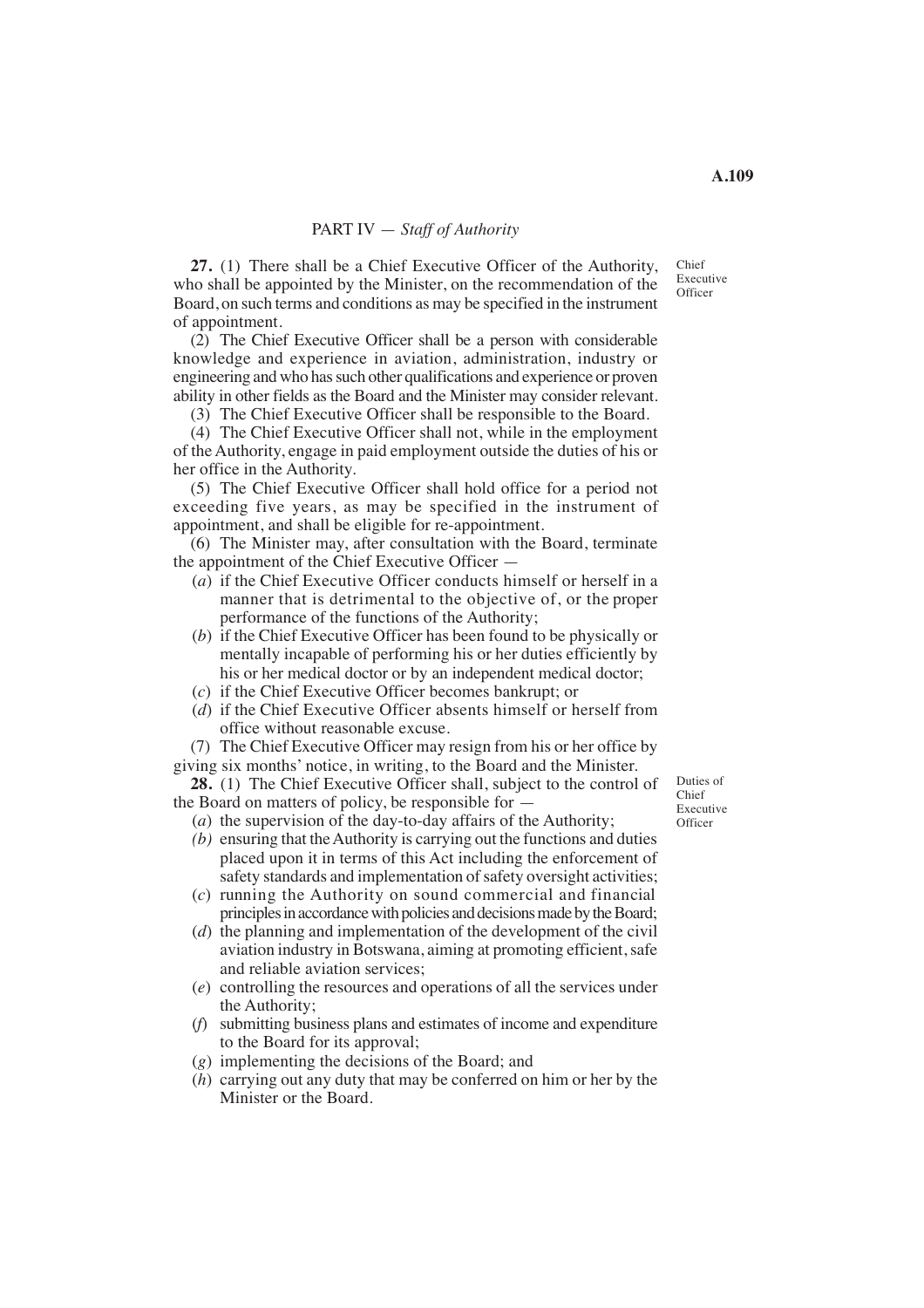## PART IV — *Staff of Authority*

**27.** (1) There shall be a Chief Executive Officer of the Authority, who shall be appointed by the Minister, on the recommendation of the Board, on such terms and conditions as may be specified in the instrument of appointment.

(2) The Chief Executive Officer shall be a person with considerable knowledge and experience in aviation, administration, industry or engineering and who has such other qualifications and experience or proven ability in other fields as the Board and the Minister may consider relevant.

(3) The Chief Executive Officer shall be responsible to the Board.

(4) The Chief Executive Officer shall not, while in the employment of the Authority, engage in paid employment outside the duties of his or her office in the Authority.

(5) The Chief Executive Officer shall hold office for a period not exceeding five years, as may be specified in the instrument of appointment, and shall be eligible for re-appointment.

(6) The Minister may, after consultation with the Board, terminate the appointment of the Chief Executive Officer —

- (*a*) if the Chief Executive Officer conducts himself or herself in a manner that is detrimental to the objective of, or the proper performance of the functions of the Authority;
- his or her medical doctor or by an independent medical doctor; (*b*) if the Chief Executive Officer has been found to be physically or mentally incapable of performing his or her duties efficiently by
- (*c*) if the Chief Executive Officer becomes bankrupt; or
- (*d*) if the Chief Executive Officer absents himself or herself from office without reasonable excuse.

(7) The Chief Executive Officer may resign from his or her office by giving six months' notice, in writing, to the Board and the Minister.

**28.** (1) The Chief Executive Officer shall, subject to the control of the Board on matters of policy, be responsible for —

(*a*) the supervision of the day-to-day affairs of the Authority;

- *(b)* ensuring that the Authority is carrying out the functions and duties placed upon it in terms of this Act including the enforcement of safety standards and implementation of safety oversight activities;
- (*c*) running the Authority on sound commercial and financial principles in accordance with policies and decisions made by the Board;
- (*d*) the planning and implementation of the development of the civil aviation industry in Botswana, aiming at promoting efficient, safe and reliable aviation services;
- (*e*) controlling the resources and operations of all the services under the Authority;
- (*f*) submitting business plans and estimates of income and expenditure to the Board for its approval;
- (*g*) implementing the decisions of the Board; and
- (*h*) carrying out any duty that may be conferred on him or her by the Minister or the Board.

Duties of Chief Executive **Officer** 

Chief Executive **Officer**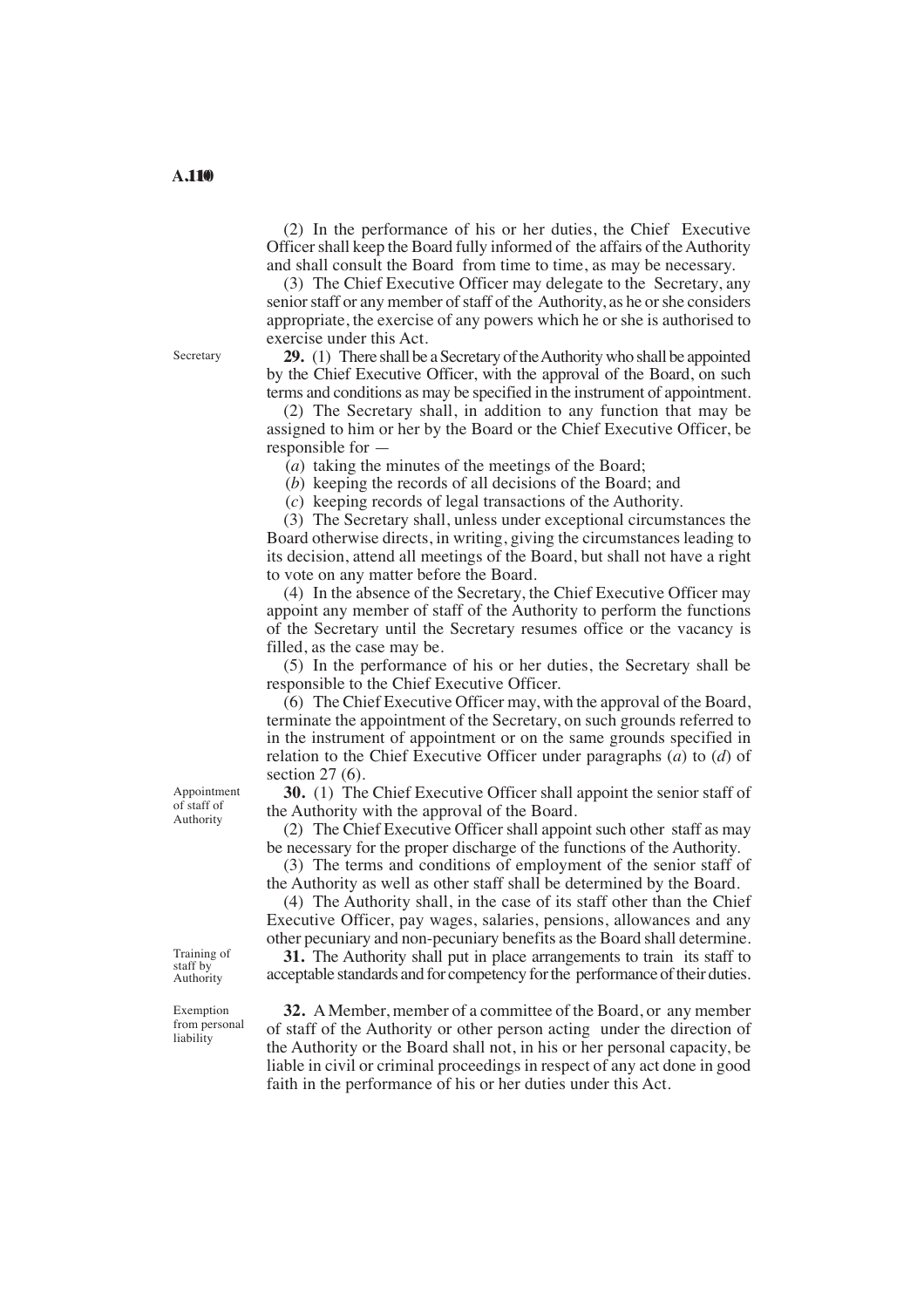(2) In the performance of his or her duties, the Chief Executive Officer shall keep the Board fully informed of the affairs of the Authority and shall consult the Board from time to time, as may be necessary.

(3) The Chief Executive Officer may delegate to the Secretary, any senior staff or any member of staff of the Authority, as he or she considers appropriate, the exercise of any powers which he or she is authorised to exercise under this Act.

**29.** (1) There shall be a Secretary of the Authority who shall be appointed by the Chief Executive Officer, with the approval of the Board, on such terms and conditions as may be specified in the instrument of appointment.

(2) The Secretary shall, in addition to any function that may be assigned to him or her by the Board or the Chief Executive Officer, be responsible for —

(*a*) taking the minutes of the meetings of the Board;

(*b*) keeping the records of all decisions of the Board; and

(*c*) keeping records of legal transactions of the Authority.

(3) The Secretary shall, unless under exceptional circumstances the Board otherwise directs, in writing, giving the circumstances leading to its decision, attend all meetings of the Board, but shall not have a right to vote on any matter before the Board.

(4) In the absence of the Secretary, the Chief Executive Officer may appoint any member of staff of the Authority to perform the functions of the Secretary until the Secretary resumes office or the vacancy is filled, as the case may be.

(5) In the performance of his or her duties, the Secretary shall be responsible to the Chief Executive Officer.

(6) The Chief Executive Officer may, with the approval of the Board, terminate the appointment of the Secretary, on such grounds referred to in the instrument of appointment or on the same grounds specified in relation to the Chief Executive Officer under paragraphs (*a*) to (*d*) of section 27 (6).

**30.** (1) The Chief Executive Officer shall appoint the senior staff of the Authority with the approval of the Board.

(2) The Chief Executive Officer shall appoint such other staff as may be necessary for the proper discharge of the functions of the Authority.

(3) The terms and conditions of employment of the senior staff of the Authority as well as other staff shall be determined by the Board.

(4) The Authority shall, in the case of its staff other than the Chief Executive Officer, pay wages, salaries, pensions, allowances and any other pecuniary and non-pecuniary benefits as the Board shall determine.

**31.** The Authority shall put in place arrangements to train its staff to acceptable standards and for competency for the performance of their duties.

**32.** A Member, member of a committee of the Board, or any member of staff of the Authority or other person acting under the direction of the Authority or the Board shall not, in his or her personal capacity, be liable in civil or criminal proceedings in respect of any act done in good faith in the performance of his or her duties under this Act.

Appointment of staff of

Authority

Training of staff by Authority

Exemption from personal liability

Secretary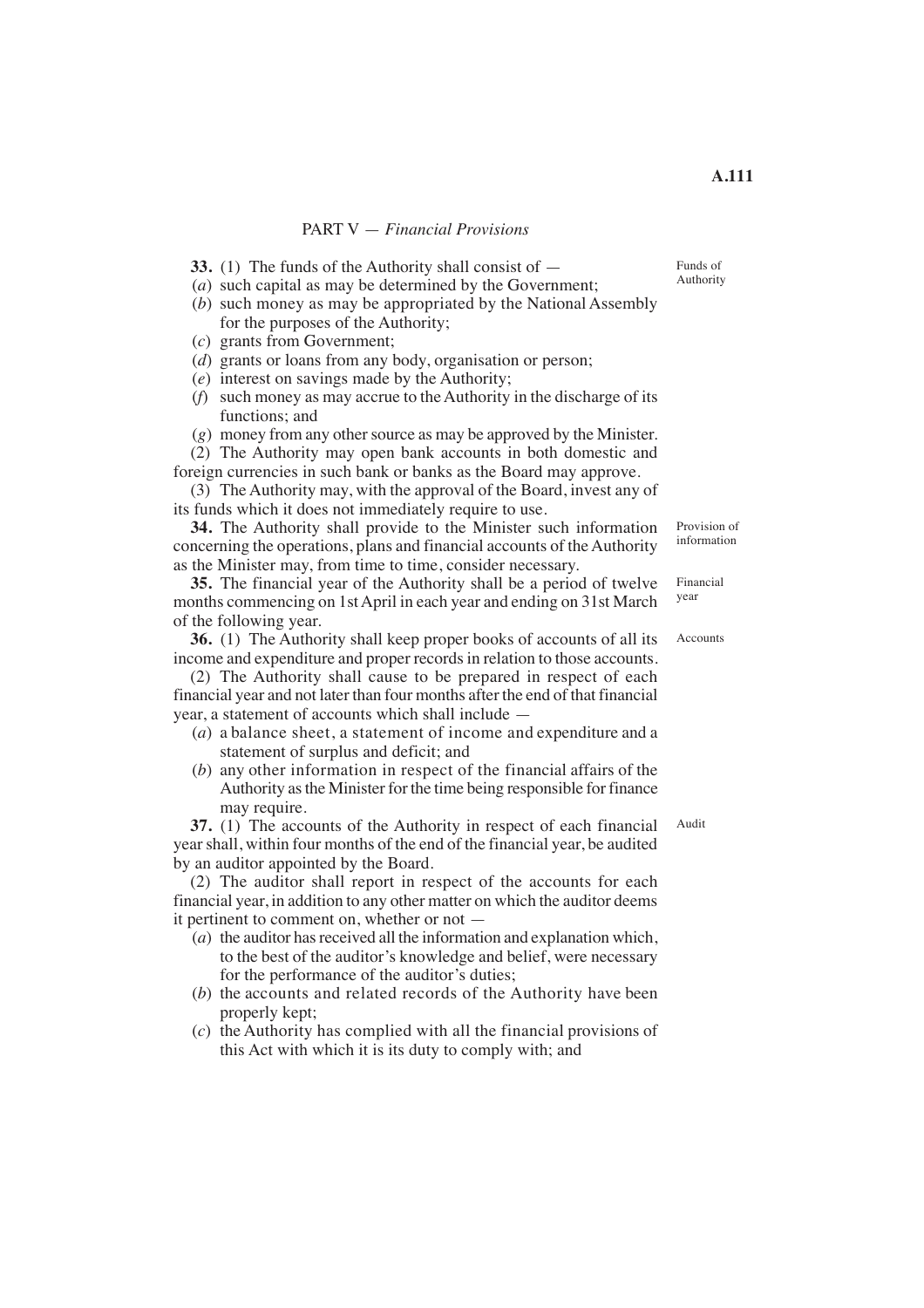## PART V — *Financial Provisions*

- **33.** (1) The funds of the Authority shall consist of —
- (*a*) such capital as may be determined by the Government; (*b*) such money as may be appropriated by the National Assembly for the purposes of the Authority;
- (*c*) grants from Government;
- (*d*) grants or loans from any body, organisation or person;
- (*e*) interest on savings made by the Authority;
- (*f*) such money as may accrue to the Authority in the discharge of its functions; and
- (*g*) money from any other source as may be approved by the Minister.

(2) The Authority may open bank accounts in both domestic and foreign currencies in such bank or banks as the Board may approve.

(3) The Authority may, with the approval of the Board, invest any of its funds which it does not immediately require to use.

**34.** The Authority shall provide to the Minister such information concerning the operations, plans and financial accounts of the Authority as the Minister may, from time to time, consider necessary.

**35.** The financial year of the Authority shall be a period of twelve months commencing on 1st April in each year and ending on 31st March of the following year.

**36.** (1) The Authority shall keep proper books of accounts of all its income and expenditure and proper records in relation to those accounts.

(2) The Authority shall cause to be prepared in respect of each financial year and not later than four months after the end of that financial year, a statement of accounts which shall include —

- $(a)$  a balance sheet, a statement of income and expenditure and a statement of surplus and deficit; and
- (*b*) any other information in respect of the financial affairs of the Authority as the Minister for the time being responsible for finance may require.

**37.** (1) The accounts of the Authority in respect of each financial year shall, within four months of the end of the financial year, be audited by an auditor appointed by the Board. Audit

(2) The auditor shall report in respect of the accounts for each financial year, in addition to any other matter on which the auditor deems it pertinent to comment on, whether or not —

- (*a*) the auditor has received all the information and explanation which, to the best of the auditor's knowledge and belief, were necessary for the performance of the auditor's duties;
- (*b*) the accounts and related records of the Authority have been properly kept;
- (*c*) the Authority has complied with all the financial provisions of this Act with which it is its duty to comply with; and

Financial year

Provision of information

Accounts

Funds of Authority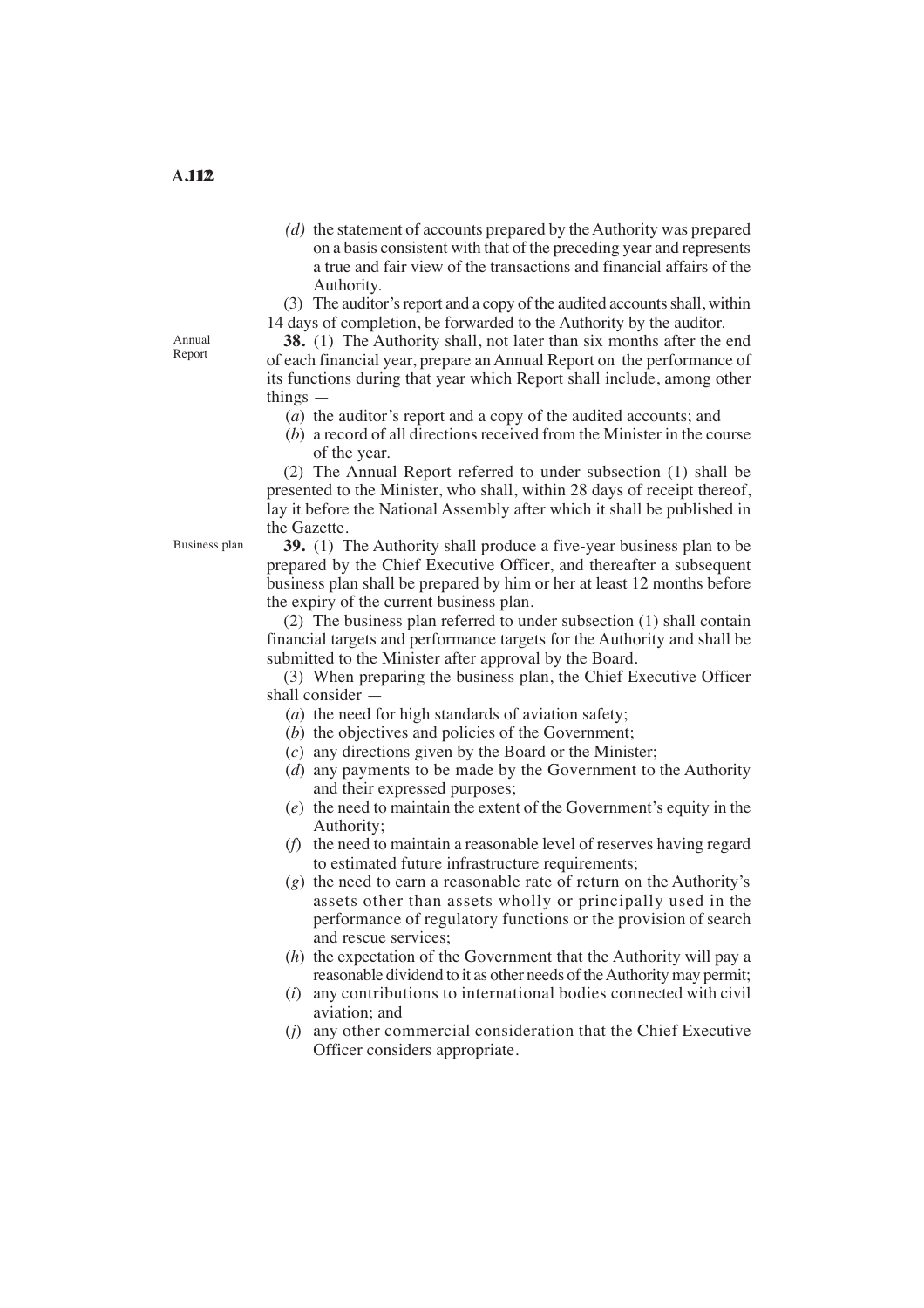- *(d)* the statement of accounts prepared by the Authority was prepared on a basis consistent with that of the preceding year and represents a true and fair view of the transactions and financial affairs of the Authority.
- (3) The auditor's report and a copy of the audited accounts shall, within

14 days of completion, be forwarded to the Authority by the auditor.

**38.** (1) The Authority shall, not later than six months after the end of each financial year, prepare an Annual Report on the performance of its functions during that year which Report shall include, among other things —

- (*a*) the auditor's report and a copy of the audited accounts; and
- $(b)$  a record of all directions received from the Minister in the course of the year.

(2) The Annual Report referred to under subsection (1) shall be presented to the Minister, who shall, within 28 days of receipt thereof, lay it before the National Assembly after which it shall be published in the Gazette.

**39.** (1) The Authority shall produce a five-year business plan to be prepared by the Chief Executive Officer, and thereafter a subsequent business plan shall be prepared by him or her at least 12 months before the expiry of the current business plan.

(2) The business plan referred to under subsection (1) shall contain financial targets and performance targets for the Authority and shall be submitted to the Minister after approval by the Board.

(3) When preparing the business plan, the Chief Executive Officer shall consider —

- (*a*) the need for high standards of aviation safety;
- (*b*) the objectives and policies of the Government;
- (*c*) any directions given by the Board or the Minister;
- (*d*) any payments to be made by the Government to the Authority and their expressed purposes;
- (*e*) the need to maintain the extent of the Government's equity in the Authority;
- (*f*) the need to maintain a reasonable level of reserves having regard to estimated future infrastructure requirements;
- performance of regulatory functions or the provision of search (*g*) the need to earn a reasonable rate of return on the Authority's assets other than assets wholly or principally used in the and rescue services;
- (*h*) the expectation of the Government that the Authority will pay a reasonable dividend to it as other needs of the Authority may permit;
- (*i*) any contributions to international bodies connected with civil aviation; and
- (*j*) any other commercial consideration that the Chief Executive Officer considers appropriate.

Annual Report

Business plan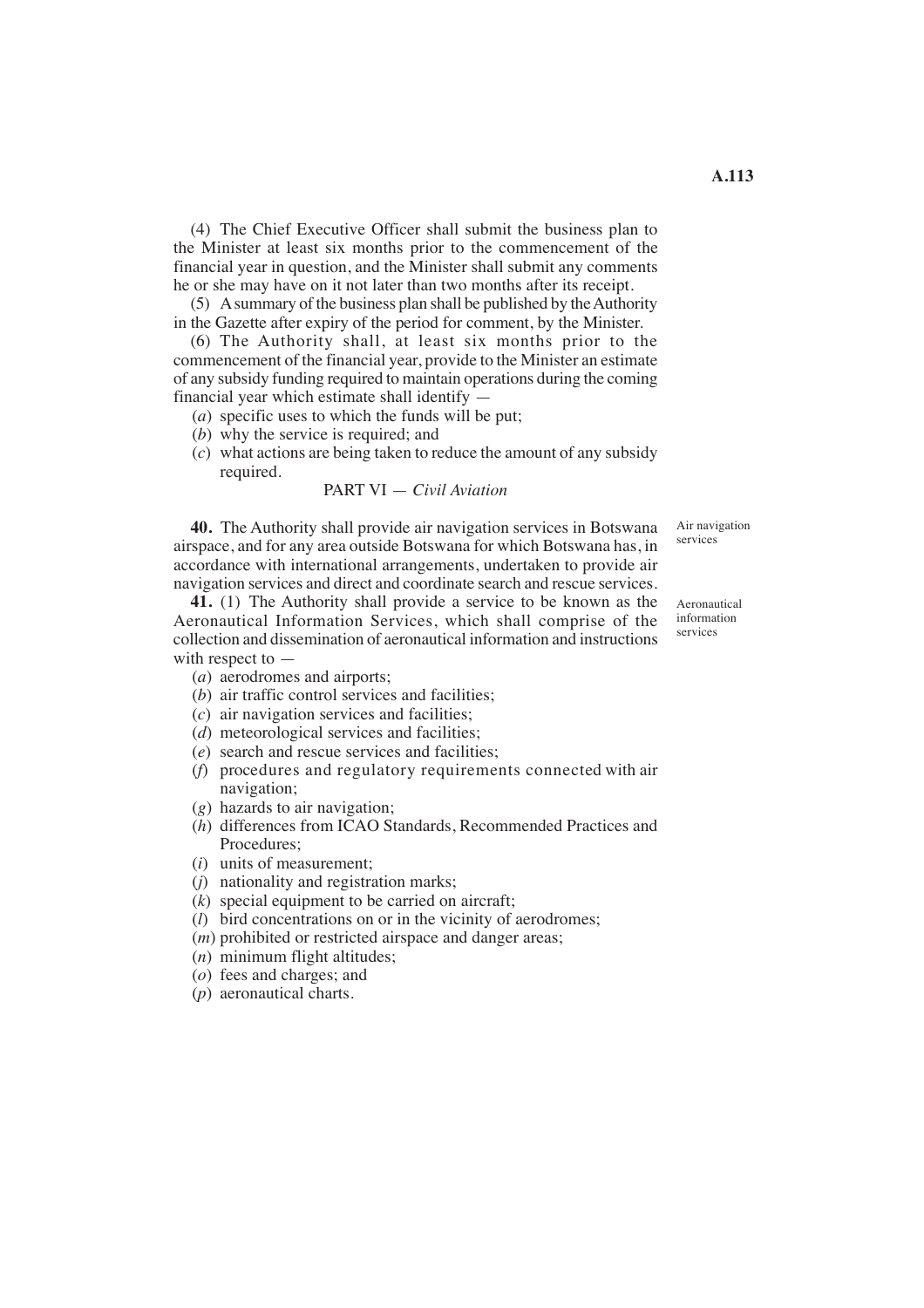(4) The Chief Executive Officer shall submit the business plan to the Minister at least six months prior to the commencement of the financial year in question, and the Minister shall submit any comments he or she may have on it not later than two months after its receipt.

(5) A summary of the business plan shall be published by the Authority in the Gazette after expiry of the period for comment, by the Minister.

(6) The Authority shall, at least six months prior to the commencement of the financial year, provide to the Minister an estimate of any subsidy funding required to maintain operations during the coming financial year which estimate shall identify —

- (*a*) specific uses to which the funds will be put;
- (*b*) why the service is required; and
- (*c*) what actions are being taken to reduce the amount of any subsidy required.

PART VI 
$$
-
$$
 Civil Avation

**40.** The Authority shall provide air navigation services in Botswana airspace, and for any area outside Botswana for which Botswana has, in accordance with international arrangements, undertaken to provide air navigation services and direct and coordinate search and rescue services.

**41.** (1) The Authority shall provide a service to be known as the Aeronautical Information Services, which shall comprise of the collection and dissemination of aeronautical information and instructions with respect to —

- (*a*) aerodromes and airports;
- (*b*) air traffic control services and facilities;
- (*c*) air navigation services and facilities;
- (*d*) meteorological services and facilities;
- (*e*) search and rescue services and facilities;
- (*f*) procedures and regulatory requirements connected with air navigation;
- (*g*) hazards to air navigation;
- (*h*) differences from ICAO Standards, Recommended Practices and Procedures;
- (*i*) units of measurement;
- (*j*) nationality and registration marks;
- (*k*) special equipment to be carried on aircraft;
- (*l*) bird concentrations on or in the vicinity of aerodromes;
- (*m*) prohibited or restricted airspace and danger areas;
- (*n*) minimum flight altitudes;
- (*o*) fees and charges; and
- (*p*) aeronautical charts.

Aeronautical information

services

Air navigation services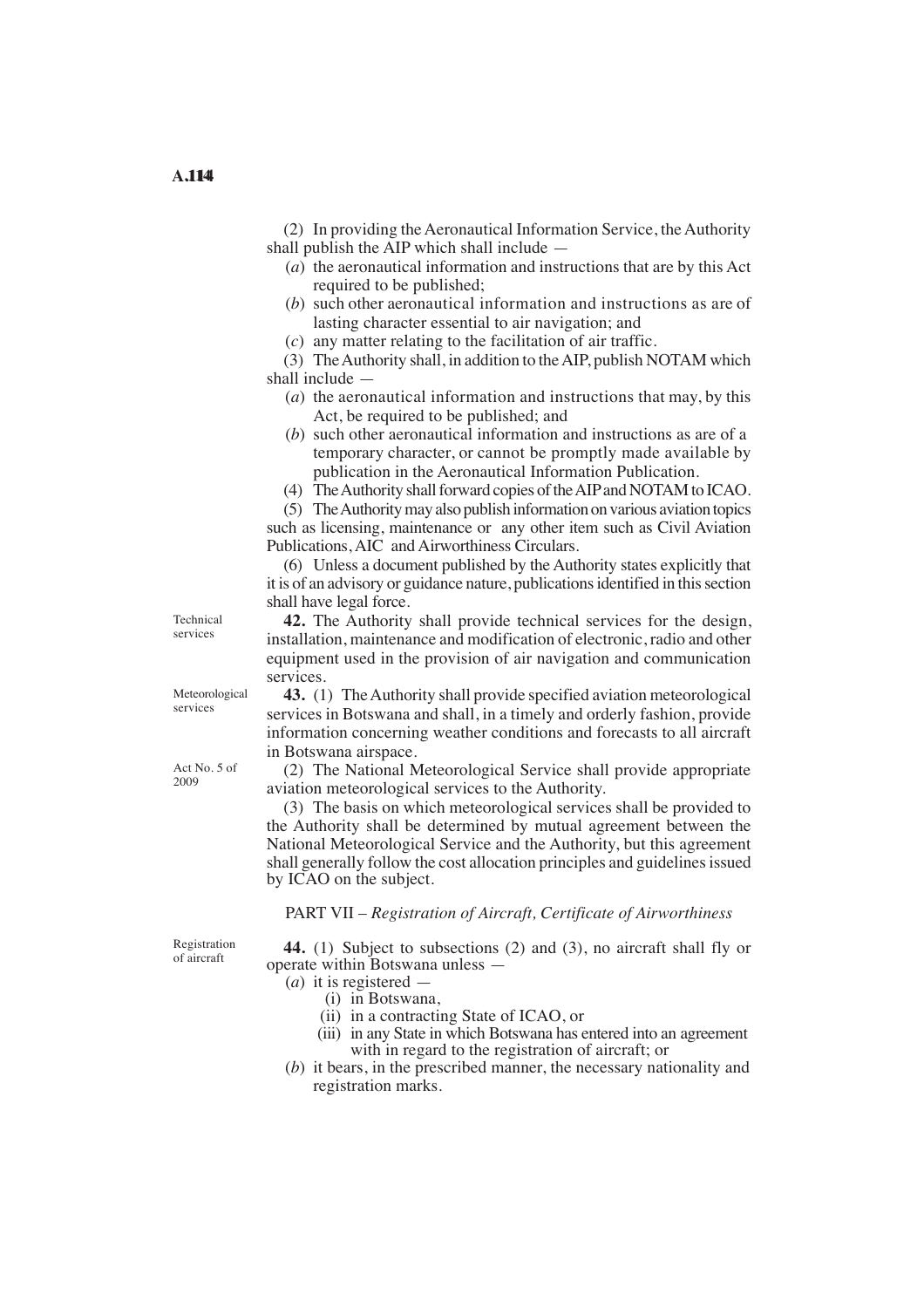(2) In providing the Aeronautical Information Service, the Authority shall publish the AIP which shall include —

- (*a*) the aeronautical information and instructions that are by this Act required to be published;
- (*b*) such other aeronautical information and instructions as are of lasting character essential to air navigation; and
- (*c*) any matter relating to the facilitation of air traffic.

(3) The Authority shall, in addition to the AIP, publish NOTAM which shall include —

- (*a*) the aeronautical information and instructions that may, by this Act, be required to be published; and
- (*b*) such other aeronautical information and instructions as are of a temporary character, or cannot be promptly made available by publication in the Aeronautical Information Publication.
- (4) TheAuthority shall forward copies of theAIPand NOTAM to ICAO.

(5) TheAuthority may also publish information on various aviation topics such as licensing, maintenance or any other item such as Civil Aviation Publications, AIC and Airworthiness Circulars.

(6) Unless a document published by the Authority states explicitly that it is of an advisory or guidance nature, publications identified in this section shall have legal force.

**42.** The Authority shall provide technical services for the design, installation, maintenance and modification of electronic, radio and other equipment used in the provision of air navigation and communication services.

**43.** (1) The Authority shall provide specified aviation meteorological services in Botswana and shall, in a timely and orderly fashion, provide information concerning weather conditions and forecasts to all aircraft in Botswana airspace.

(2) The National Meteorological Service shall provide appropriate aviation meteorological services to the Authority.

(3) The basis on which meteorological services shall be provided to the Authority shall be determined by mutual agreement between the National Meteorological Service and the Authority, but this agreement shall generally follow the cost allocation principles and guidelines issued by ICAO on the subject.

PART VII – *Registration of Aircraft, Certificate of Airworthiness* 

Registration of aircraft

**44.** (1) Subject to subsections (2) and (3), no aircraft shall fly or operate within Botswana unless —

- (*a*) it is registered
	- (i) in Botswana,
	- (ii) in a contracting State of ICAO, or
	- (iii) in any State in which Botswana has entered into an agreement with in regard to the registration of aircraft; or
- (*b*) it bears, in the prescribed manner, the necessary nationality and registration marks.

Meteorological services

Technical services

Act No. 5 of 2009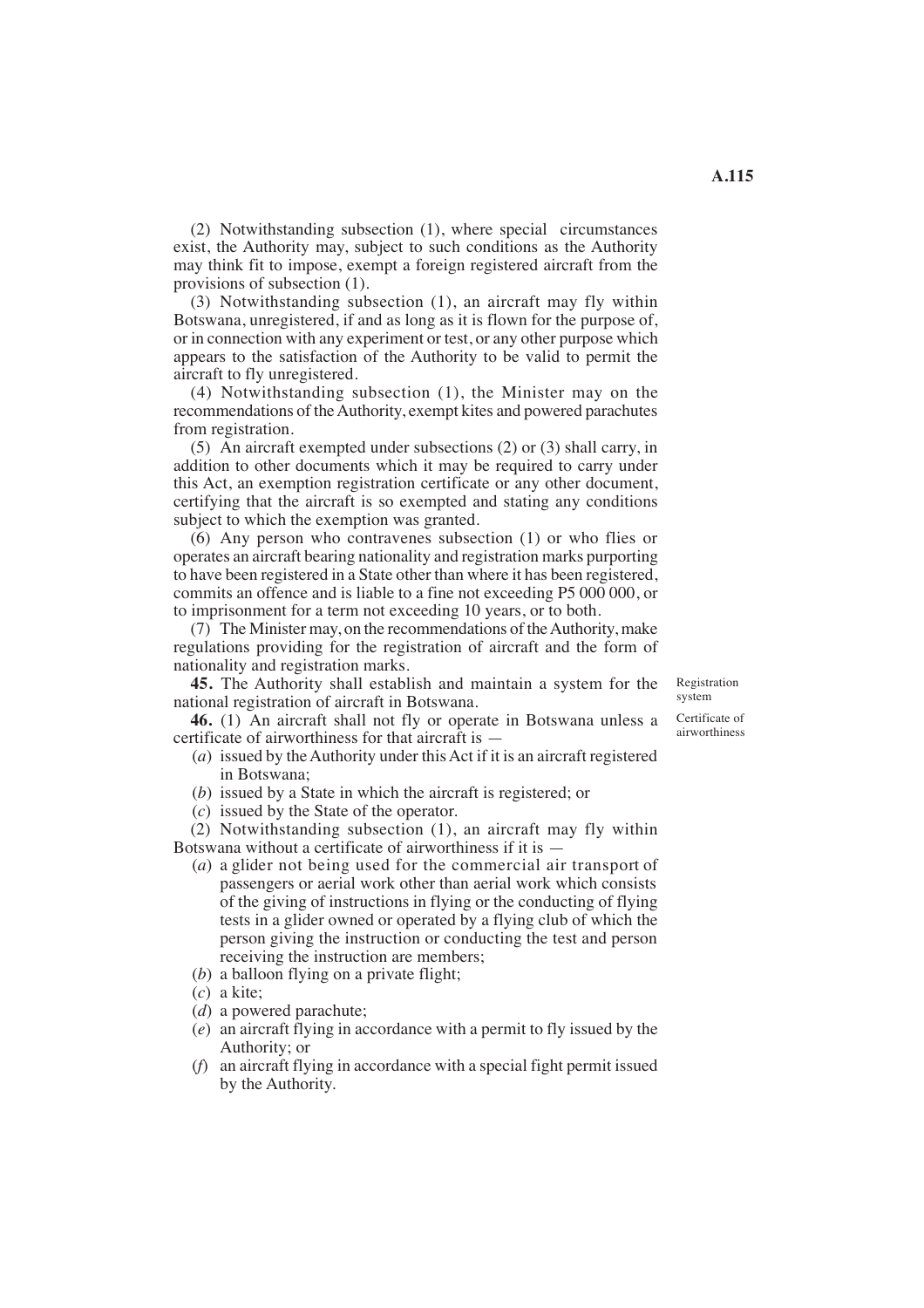(2) Notwithstanding subsection (1), where special circumstances exist, the Authority may, subject to such conditions as the Authority may think fit to impose, exempt a foreign registered aircraft from the

provisions of subsection (1). (3) Notwithstanding subsection (1), an aircraft may fly within Botswana, unregistered, if and as long as it is flown for the purpose of, or in connection with any experiment or test, or any other purpose which appears to the satisfaction of the Authority to be valid to permit the aircraft to fly unregistered.

(4) Notwithstanding subsection (1), the Minister may on the recommendations of the Authority, exempt kites and powered parachutes from registration.

(5) An aircraft exempted under subsections (2) or (3) shall carry, in addition to other documents which it may be required to carry under this Act, an exemption registration certificate or any other document, certifying that the aircraft is so exempted and stating any conditions subject to which the exemption was granted.

 (6) Any person who contravenes subsection (1) or who flies or operates an aircraft bearing nationality and registration marks purporting to have been registered in a State other than where it has been registered, commits an offence and is liable to a fine not exceeding P5 000 000, or to imprisonment for a term not exceeding 10 years, or to both.

(7) The Minister may, on the recommendations of the Authority, make regulations providing for the registration of aircraft and the form of nationality and registration marks.

**45.** The Authority shall establish and maintain a system for the national registration of aircraft in Botswana.

**46.** (1) An aircraft shall not fly or operate in Botswana unless a certificate of airworthiness for that aircraft is —

- (*a*) issued by the Authority under this Act if it is an aircraft registered in Botswana;
- (*b*) issued by a State in which the aircraft is registered; or
- (*c*) issued by the State of the operator.

(2) Notwithstanding subsection (1), an aircraft may fly within Botswana without a certificate of airworthiness if it is —

- (*a*) a glider not being used for the commercial air transport of passengers or aerial work other than aerial work which consists of the giving of instructions in flying or the conducting of flying tests in a glider owned or operated by a flying club of which the person giving the instruction or conducting the test and person receiving the instruction are members;
- (*b*) a balloon flying on a private flight;
- (*c*) a kite;
- (*d*) a powered parachute;
- (*e*) an aircraft flying in accordance with a permit to fly issued by the Authority; or
- (*f*) an aircraft flying in accordance with a special fight permit issued by the Authority.

Registration system

Certificate of airworthiness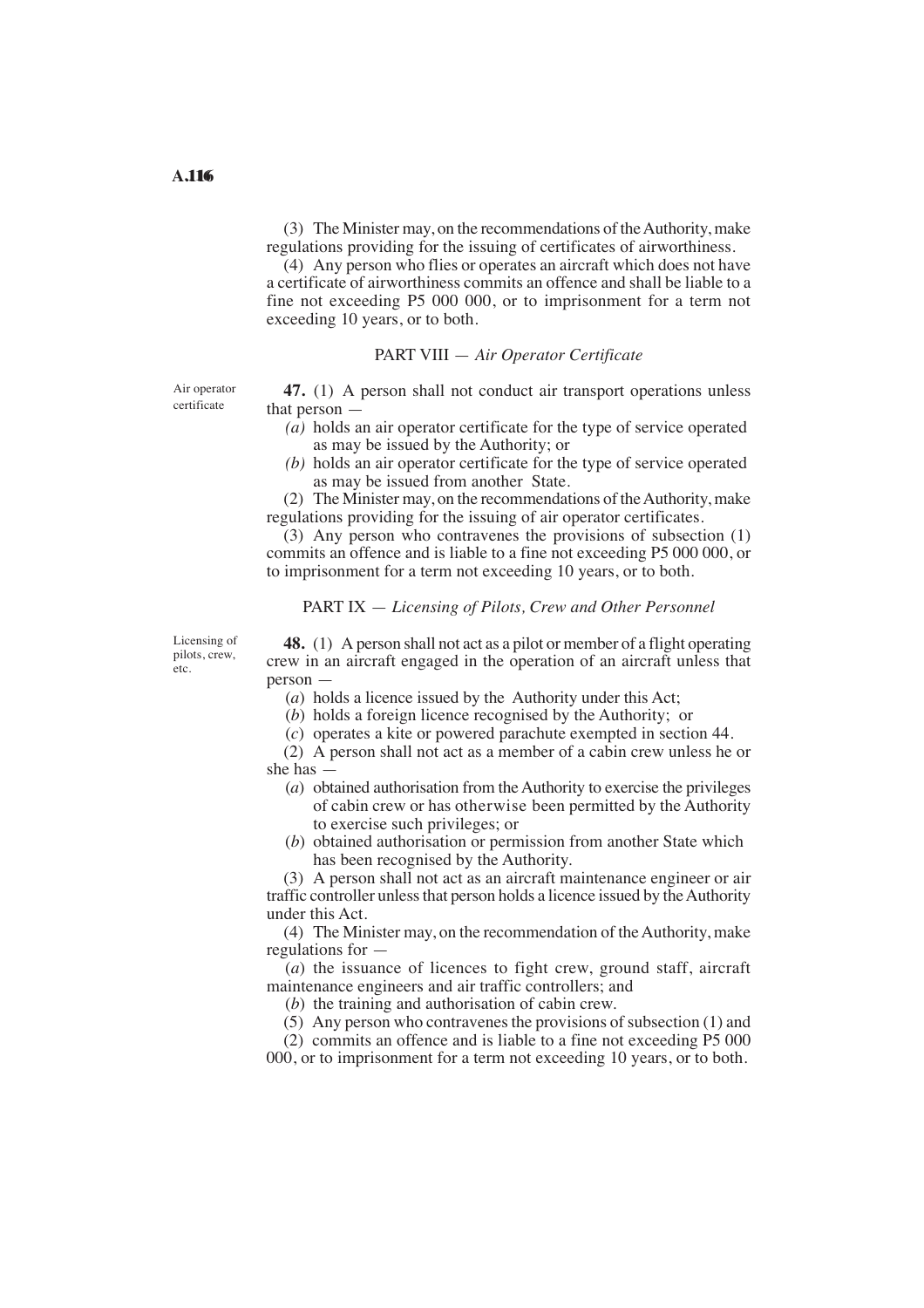(3) The Minister may, on the recommendations of the Authority, make regulations providing for the issuing of certificates of airworthiness.

(4) Any person who flies or operates an aircraft which does not have a certificate of airworthiness commits an offence and shall be liable to a fine not exceeding P5 000 000, or to imprisonment for a term not exceeding 10 years, or to both.

# PART VIII — *Air Operator Certificate*

Air operator certificate

**47.** (1) A person shall not conduct air transport operations unless that person —

- $(a)$  holds an air operator certificate for the type of service operated as may be issued by the Authority; or
- *(b)* holds an air operator certificate for the type of service operated as may be issued from another State.

(2) The Minister may, on the recommendations of the Authority, make regulations providing for the issuing of air operator certificates.

(3) Any person who contravenes the provisions of subsection (1) commits an offence and is liable to a fine not exceeding P5 000 000, or to imprisonment for a term not exceeding 10 years, or to both.

# PART IX — *Licensing of Pilots, Crew and Other Personnel*

Licensing of pilots, crew, etc.

**48.** (1) A person shall not act as a pilot or member of a flight operating crew in an aircraft engaged in the operation of an aircraft unless that person —

(*a*) holds a licence issued by the Authority under this Act;

(*b*) holds a foreign licence recognised by the Authority; or

(*c*) operates a kite or powered parachute exempted in section 44.

(2) A person shall not act as a member of a cabin crew unless he or she has —

- (*a*) obtained authorisation from the Authority to exercise the privileges of cabin crew or has otherwise been permitted by the Authority to exercise such privileges; or
- (*b*) obtained authorisation or permission from another State which has been recognised by the Authority.

(3) A person shall not act as an aircraft maintenance engineer or air traffic controller unless that person holds a licence issued by the Authority under this Act.

(4) The Minister may, on the recommendation of the Authority, make regulations for —

 (*a*) the issuance of licences to fight crew, ground staff, aircraft maintenance engineers and air traffic controllers; and

(*b*) the training and authorisation of cabin crew.

(5) Any person who contravenes the provisions of subsection (1) and

(2) commits an offence and is liable to a fine not exceeding P5 000 000, or to imprisonment for a term not exceeding 10 years, or to both.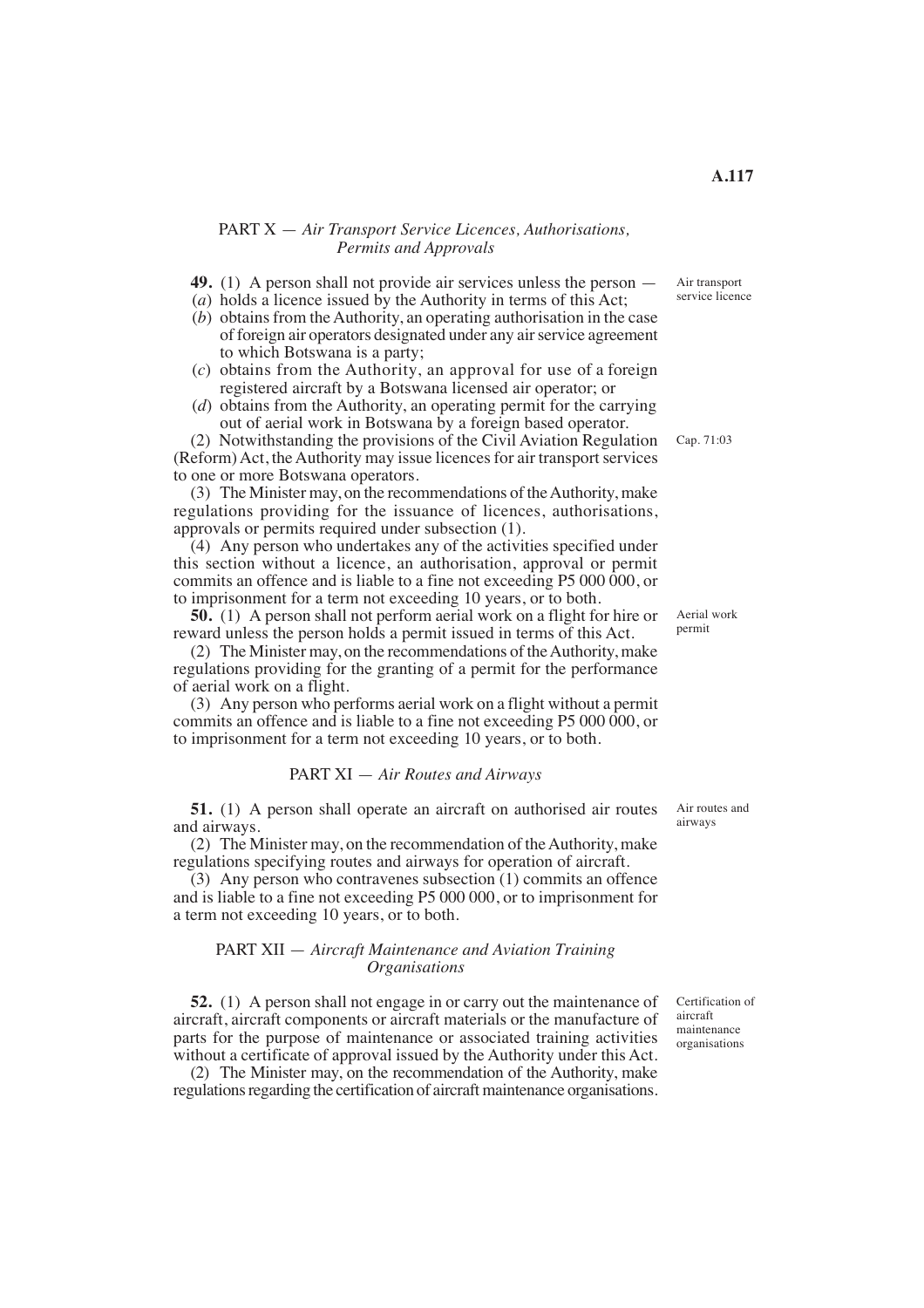#### PART X — *Air Transport Service Licences, Authorisations, Permits and Approvals*

- **49.** (1) A person shall not provide air services unless the person —
- (*a*) holds a licence issued by the Authority in terms of this Act;
- (*b*) obtains from the Authority, an operating authorisation in the case of foreign air operators designated under any air service agreement to which Botswana is a party;
- (*c*) obtains from the Authority, an approval for use of a foreign registered aircraft by a Botswana licensed air operator; or
- (*d*) obtains from the Authority, an operating permit for the carrying out of aerial work in Botswana by a foreign based operator.

(2) Notwithstanding the provisions of the Civil Aviation Regulation (Reform) Act, the Authority may issue licences for air transport services to one or more Botswana operators.

(3) The Minister may, on the recommendations of the Authority, make regulations providing for the issuance of licences, authorisations, approvals or permits required under subsection (1).

 $(4)$  Any person who undertakes any of the activities specified under this section without a licence, an authorisation, approval or permit commits an offence and is liable to a fine not exceeding P5 000 000, or to imprisonment for a term not exceeding 10 years, or to both.

**50.** (1) A person shall not perform aerial work on a flight for hire or reward unless the person holds a permit issued in terms of this Act.

(2) The Minister may, on the recommendations of the Authority, make regulations providing for the granting of a permit for the performance of aerial work on a flight.

(3) Any person who performs aerial work on a flight without a permit commits an offence and is liable to a fine not exceeding P5 000 000, or to imprisonment for a term not exceeding 10 years, or to both.

## PART XI — *Air Routes and Airways*

**51.** (1) A person shall operate an aircraft on authorised air routes and airways.

(2) The Minister may, on the recommendation of the Authority, make regulations specifying routes and airways for operation of aircraft.

(3) Any person who contravenes subsection (1) commits an offence and is liable to a fine not exceeding P5 000 000, or to imprisonment for a term not exceeding 10 years, or to both.

#### PART XII — *Aircraft Maintenance and Aviation Training Organisations*

**52.** (1) A person shall not engage in or carry out the maintenance of aircraft, aircraft components or aircraft materials or the manufacture of parts for the purpose of maintenance or associated training activities without a certificate of approval issued by the Authority under this Act.

(2) The Minister may, on the recommendation of the Authority, make regulations regarding the certification of aircraft maintenance organisations. Certification of aircraft maintenance organisations

Air routes and airways

Cap. 71:03

Aerial work

permit

Air transport service licence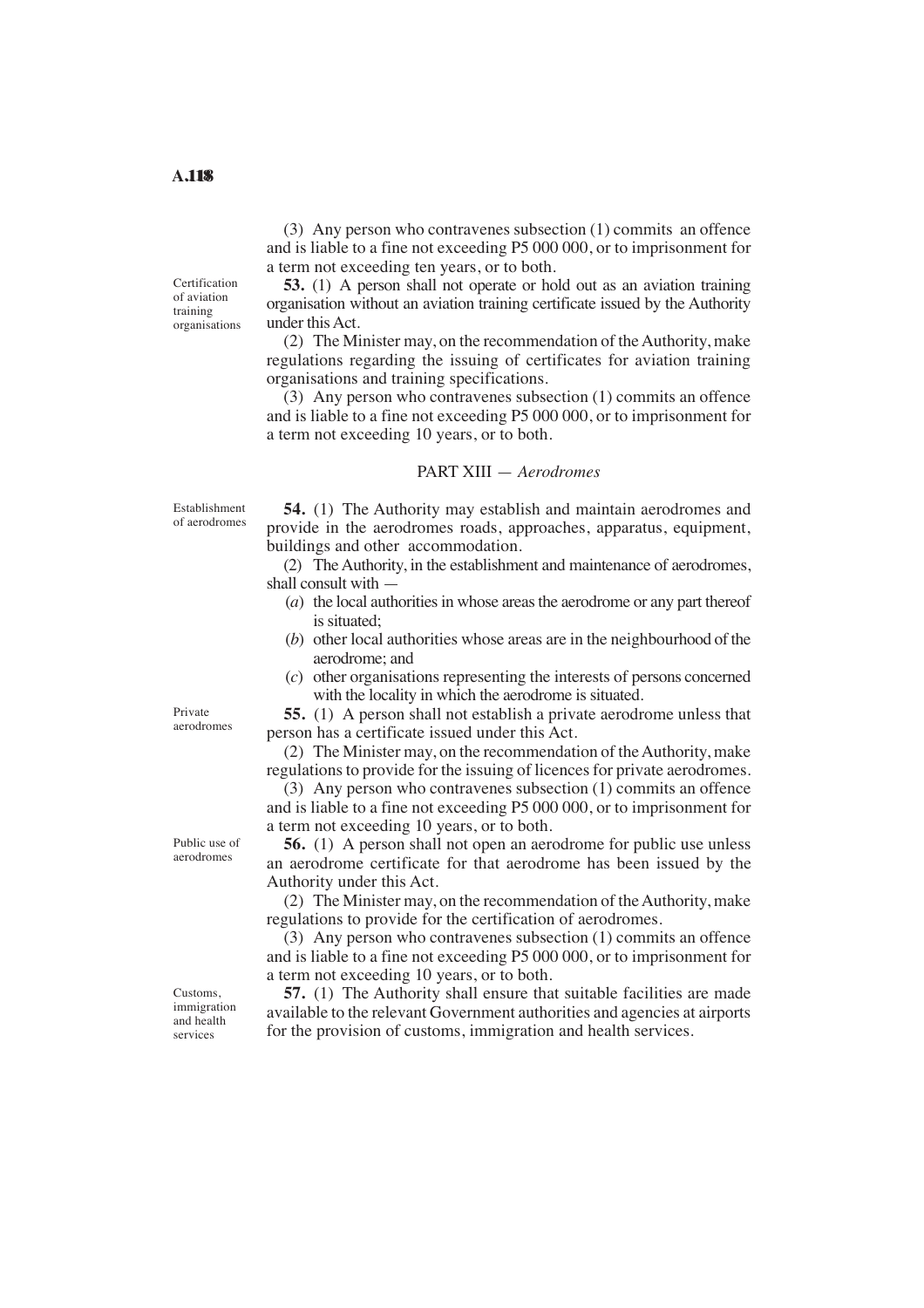Certification of aviation training organisations

(3) Any person who contravenes subsection (1) commits an offence and is liable to a fine not exceeding P5 000 000, or to imprisonment for a term not exceeding ten years, or to both.

**53.** (1) A person shall not operate or hold out as an aviation training organisation without an aviation training certificate issued by the Authority under this Act.

(2) The Minister may, on the recommendation of the Authority, make regulations regarding the issuing of certificates for aviation training organisations and training specifications.

(3) Any person who contravenes subsection (1) commits an offence and is liable to a fine not exceeding P5 000 000, or to imprisonment for a term not exceeding 10 years, or to both.

## PART XIII — *Aerodromes*

Establishment of aerodromes

 provide in the aerodromes roads, approaches, apparatus, equipment, **54.** (1) The Authority may establish and maintain aerodromes and buildings and other accommodation.

(2) The Authority, in the establishment and maintenance of aerodromes, shall consult with —

- (*a*) the local authorities in whose areas the aerodrome or any part thereof is situated;
- (*b*) other local authorities whose areas are in the neighbourhood of the aerodrome; and
- (*c*) other organisations representing the interests of persons concerned with the locality in which the aerodrome is situated.

**55.** (1) A person shall not establish a private aerodrome unless that person has a certificate issued under this Act.

(2) The Minister may, on the recommendation of the Authority, make regulations to provide for the issuing of licences for private aerodromes.

(3) Any person who contravenes subsection (1) commits an offence and is liable to a fine not exceeding P5 000 000, or to imprisonment for a term not exceeding 10 years, or to both.

**56.** (1) A person shall not open an aerodrome for public use unless an aerodrome certificate for that aerodrome has been issued by the Authority under this Act.

(2) The Minister may, on the recommendation of the Authority, make regulations to provide for the certification of aerodromes.

(3) Any person who contravenes subsection (1) commits an offence and is liable to a fine not exceeding P5 000 000, or to imprisonment for a term not exceeding 10 years, or to both.

**57.** (1) The Authority shall ensure that suitable facilities are made available to the relevant Government authorities and agencies at airports for the provision of customs, immigration and health services.

Public use of aerodromes

Private aerodromes

Customs, immigration and health services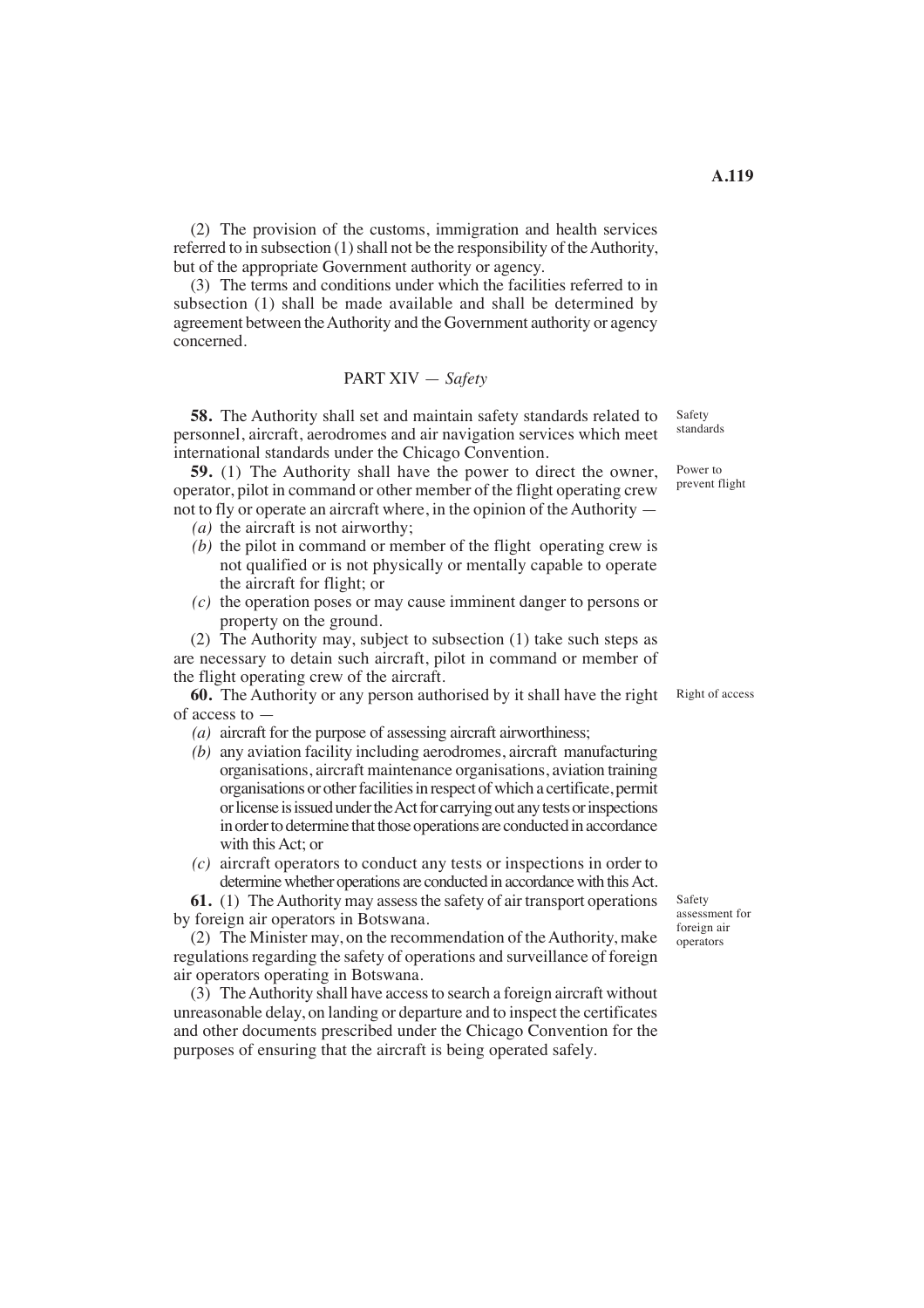(2) The provision of the customs, immigration and health services referred to in subsection (1) shall not be the responsibility of the Authority, but of the appropriate Government authority or agency.

(3) The terms and conditions under which the facilities referred to in subsection (1) shall be made available and shall be determined by agreement between the Authority and the Government authority or agency concerned.

# PART XIV — *Safety*

**58.** The Authority shall set and maintain safety standards related to personnel, aircraft, aerodromes and air navigation services which meet international standards under the Chicago Convention.

 **59.** (1) The Authority shall have the power to direct the owner, operator, pilot in command or other member of the flight operating crew not to fly or operate an aircraft where, in the opinion of the Authority —

- $(a)$  the aircraft is not airworthy;
- *(b)* the pilot in command or member of the flight operating crew is not qualified or is not physically or mentally capable to operate the aircraft for flight; or
- *(c)* the operation poses or may cause imminent danger to persons or property on the ground.

(2) The Authority may, subject to subsection (1) take such steps as are necessary to detain such aircraft, pilot in command or member of the flight operating crew of the aircraft.

**60.** The Authority or any person authorised by it shall have the right of access to —

- (a) aircraft for the purpose of assessing aircraft airworthiness;
- *(b)* any aviation facility including aerodromes, aircraft manufacturing organisations, aircraft maintenance organisations, aviation training organisations or other facilities in respect of which a certificate, permit or license is issued under the Act for carrying out any tests or inspections in order to determine that those operations are conducted in accordance with this Act; or
- *(c)* aircraft operators to conduct any tests or inspections in order to determine whether operations are conducted in accordance with this Act.

**61.** (1) The Authority may assess the safety of air transport operations by foreign air operators in Botswana.

(2) The Minister may, on the recommendation of the Authority, make regulations regarding the safety of operations and surveillance of foreign air operators operating in Botswana.

(3) TheAuthority shall have access to search a foreign aircraft without unreasonable delay, on landing or departure and to inspect the certificates and other documents prescribed under the Chicago Convention for the purposes of ensuring that the aircraft is being operated safely.

Safety standards

> Power to prevent flight

Right of access

Safety assessment for foreign air operators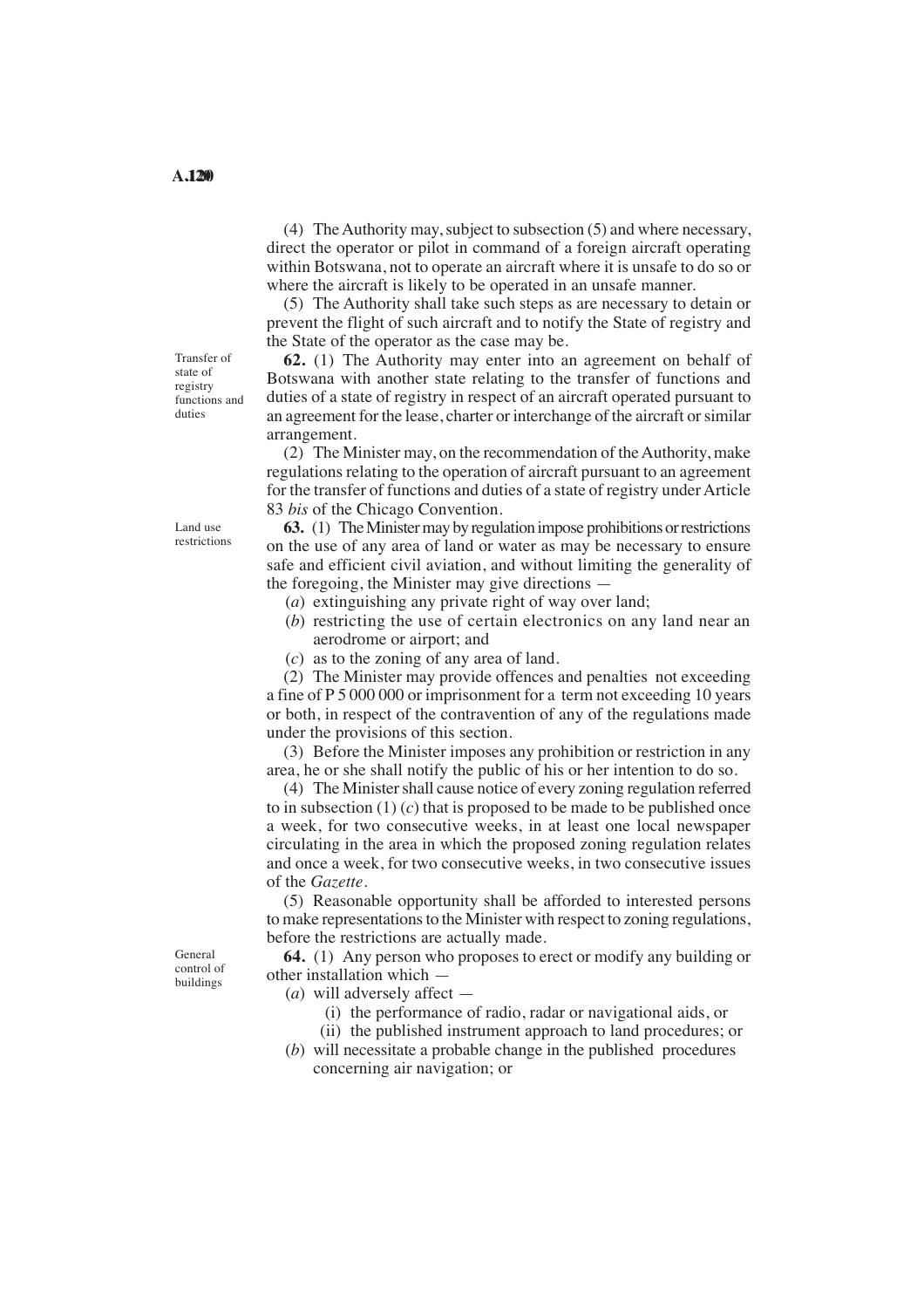(4) The Authority may, subject to subsection (5) and where necessary, direct the operator or pilot in command of a foreign aircraft operating within Botswana, not to operate an aircraft where it is unsafe to do so or where the aircraft is likely to be operated in an unsafe manner.

(5) The Authority shall take such steps as are necessary to detain or prevent the flight of such aircraft and to notify the State of registry and the State of the operator as the case may be.

**62.** (1) The Authority may enter into an agreement on behalf of Botswana with another state relating to the transfer of functions and duties of a state of registry in respect of an aircraft operated pursuant to an agreement for the lease, charter or interchange of the aircraft or similar arrangement.

(2) The Minister may, on the recommendation of the Authority, make regulations relating to the operation of aircraft pursuant to an agreement for the transfer of functions and duties of a state of registry under Article 83 *bis* of the Chicago Convention.

**63.** (1) The Minister may by regulation impose prohibitions or restrictions on the use of any area of land or water as may be necessary to ensure safe and efficient civil aviation, and without limiting the generality of the foregoing, the Minister may give directions —

- (*a*) extinguishing any private right of way over land;
- (*b*) restricting the use of certain electronics on any land near an aerodrome or airport; and
- (*c*) as to the zoning of any area of land.

(2) The Minister may provide offences and penalties not exceeding a fine of P 5 000 000 or imprisonment for a term not exceeding 10 years or both, in respect of the contravention of any of the regulations made under the provisions of this section.

(3) Before the Minister imposes any prohibition or restriction in any area, he or she shall notify the public of his or her intention to do so.

 a week, for two consecutive weeks, in at least one local newspaper (4) The Minister shall cause notice of every zoning regulation referred to in subsection (1) (*c*) that is proposed to be made to be published once circulating in the area in which the proposed zoning regulation relates and once a week, for two consecutive weeks, in two consecutive issues of the *Gazette*.

(5) Reasonable opportunity shall be afforded to interested persons to make representations to the Minister with respect to zoning regulations, before the restrictions are actually made.

**64.** (1) Any person who proposes to erect or modify any building or other installation which —

- (*a*) will adversely affect
	- (i) the performance of radio, radar or navigational aids, or
- (ii) the published instrument approach to land procedures; or (*b*) will necessitate a probable change in the published procedures
- concerning air navigation; or

Land use restrictions

Transfer of state of registry functions and duties

General control of buildings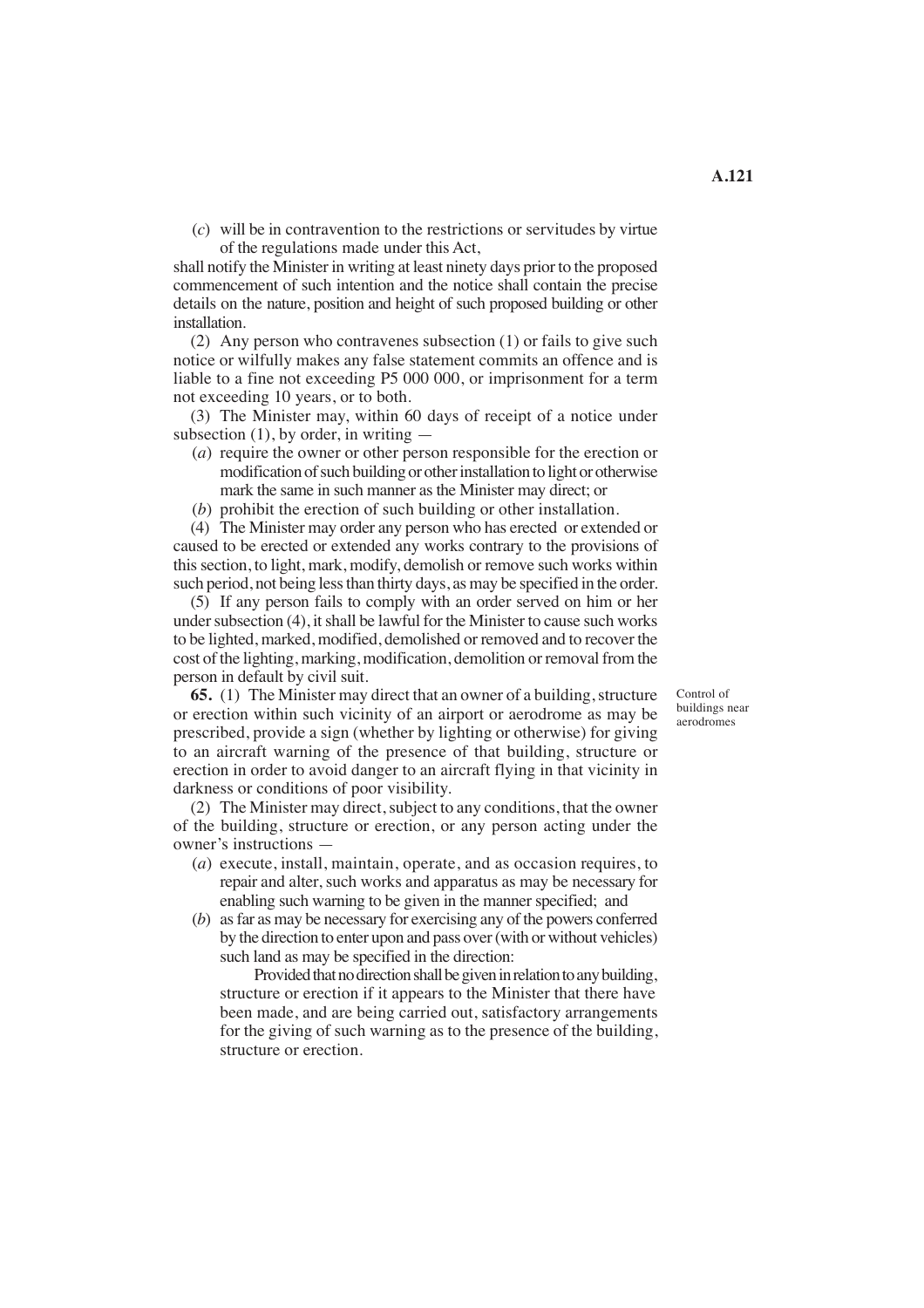(*c*) will be in contravention to the restrictions or servitudes by virtue of the regulations made under this Act,

shall notify the Minister in writing at least ninety days prior to the proposed commencement of such intention and the notice shall contain the precise details on the nature, position and height of such proposed building or other installation.

(2) Any person who contravenes subsection (1) or fails to give such notice or wilfully makes any false statement commits an offence and is liable to a fine not exceeding P5 000 000, or imprisonment for a term not exceeding 10 years, or to both.

(3) The Minister may, within 60 days of receipt of a notice under subsection  $(1)$ , by order, in writing  $-$ 

- (*a*) require the owner or other person responsible for the erection or modification of such building or other installation to light or otherwise mark the same in such manner as the Minister may direct; or
- (*b*) prohibit the erection of such building or other installation.

(4) The Minister may order any person who has erected or extended or caused to be erected or extended any works contrary to the provisions of this section, to light, mark, modify, demolish or remove such works within such period, not being less than thirty days, as may be specified in the order.

(5) If any person fails to comply with an order served on him or her under subsection (4), it shall be lawful for the Minister to cause such works to be lighted, marked, modified, demolished or removed and to recover the cost of the lighting, marking, modification, demolition or removal from the person in default by civil suit.

**65.** (1) The Minister may direct that an owner of a building, structure or erection within such vicinity of an airport or aerodrome as may be prescribed, provide a sign (whether by lighting or otherwise) for giving to an aircraft warning of the presence of that building, structure or erection in order to avoid danger to an aircraft flying in that vicinity in darkness or conditions of poor visibility.

(2) The Minister may direct, subject to any conditions, that the owner of the building, structure or erection, or any person acting under the owner's instructions —

- (*a*) execute, install, maintain, operate, and as occasion requires, to repair and alter, such works and apparatus as may be necessary for enabling such warning to be given in the manner specified; and
- (*b*) as far as may be necessary for exercising any of the powers conferred by the direction to enter upon and pass over (with or without vehicles) such land as may be specified in the direction:

Provided that no direction shall be given in relation to any building, structure or erection if it appears to the Minister that there have been made, and are being carried out, satisfactory arrangements for the giving of such warning as to the presence of the building, structure or erection.

Control of buildings near aerodromes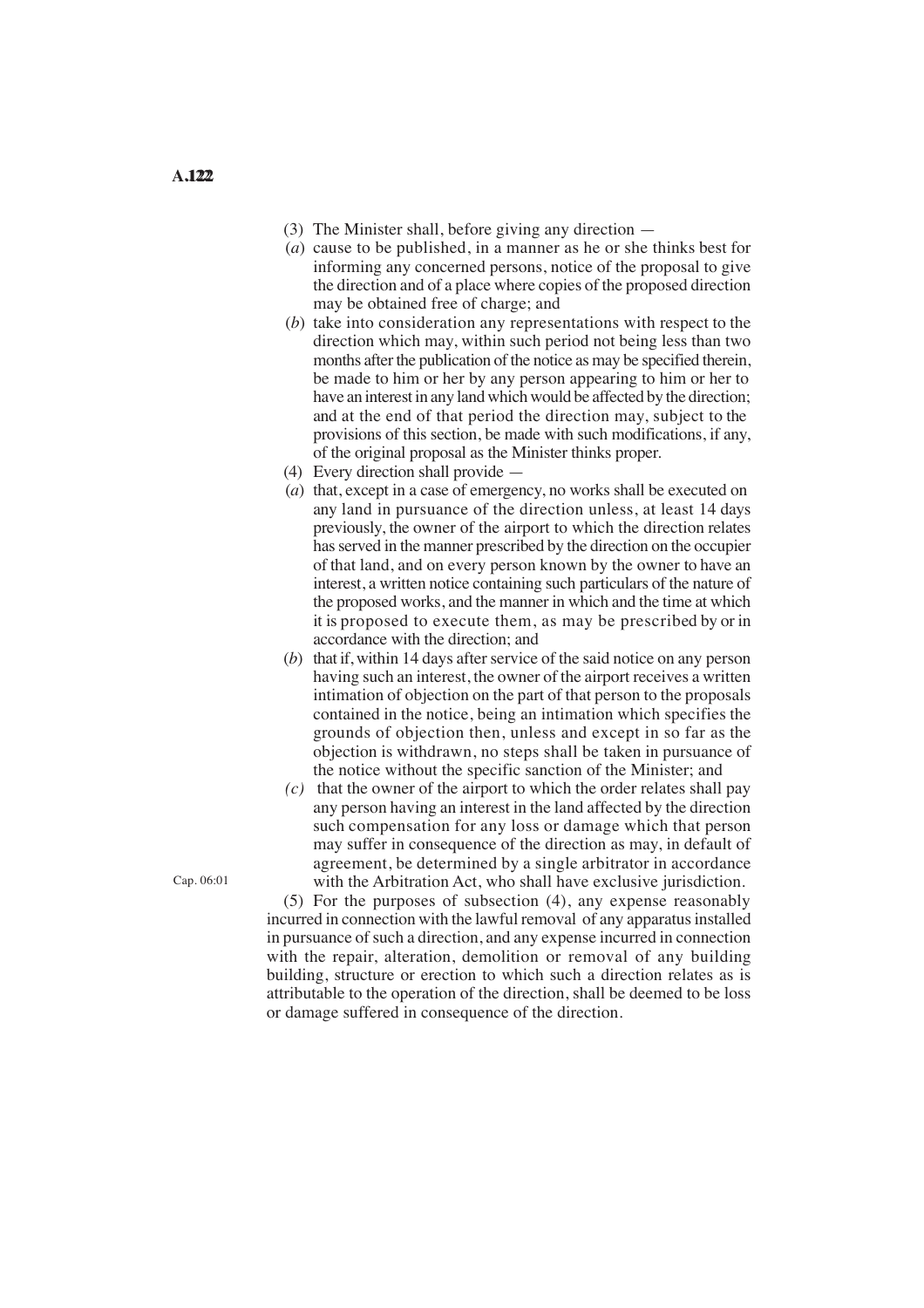- (3) The Minister shall, before giving any direction —
- (*a*) cause to be published, in a manner as he or she thinks best for informing any concerned persons, notice of the proposal to give the direction and of a place where copies of the proposed direction may be obtained free of charge; and
- (*b*) take into consideration any representations with respect to the direction which may, within such period not being less than two months after the publication of the notice as may be specified therein, be made to him or her by any person appearing to him or her to have an interest in any land which would be affected by the direction; and at the end of that period the direction may, subject to the provisions of this section, be made with such modifications, if any, of the original proposal as the Minister thinks proper.
- (4) Every direction shall provide —
- it is proposed to execute them, as may be prescribed by or in (*a*) that, except in a case of emergency, no works shall be executed on any land in pursuance of the direction unless, at least 14 days previously, the owner of the airport to which the direction relates has served in the manner prescribed by the direction on the occupier of that land, and on every person known by the owner to have an interest, a written notice containing such particulars of the nature of the proposed works, and the manner in which and the time at which accordance with the direction; and
- (*b*) that if, within 14 days after service of the said notice on any person having such an interest, the owner of the airport receives a written intimation of objection on the part of that person to the proposals contained in the notice, being an intimation which specifies the grounds of objection then, unless and except in so far as the objection is withdrawn, no steps shall be taken in pursuance of the notice without the specific sanction of the Minister; and
- *(c)* that the owner of the airport to which the order relates shall pay any person having an interest in the land affected by the direction such compensation for any loss or damage which that person may suffer in consequence of the direction as may, in default of agreement, be determined by a single arbitrator in accordance Cap. 06:01 with the Arbitration Act, who shall have exclusive jurisdiction.

(5) For the purposes of subsection (4), any expense reasonably incurred in connection with the lawful removal of any apparatus installed in pursuance of such a direction, and any expense incurred in connection with the repair, alteration, demolition or removal of any building building, structure or erection to which such a direction relates as is attributable to the operation of the direction, shall be deemed to be loss or damage suffered in consequence of the direction.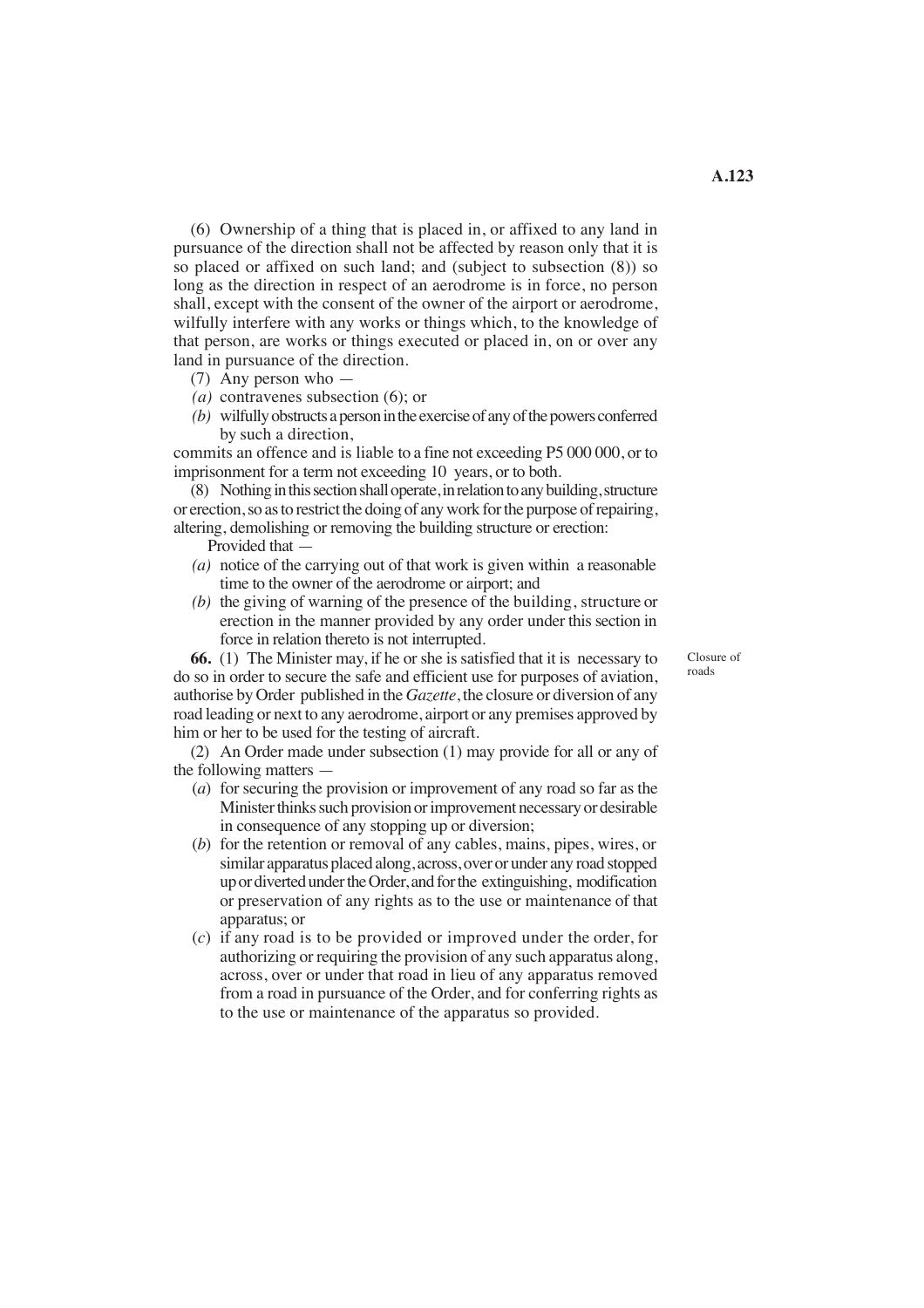(6) Ownership of a thing that is placed in, or affixed to any land in pursuance of the direction shall not be affected by reason only that it is so placed or affixed on such land; and (subject to subsection (8)) so long as the direction in respect of an aerodrome is in force, no person shall, except with the consent of the owner of the airport or aerodrome, wilfully interfere with any works or things which, to the knowledge of that person, are works or things executed or placed in, on or over any land in pursuance of the direction.

- (7) Any person who —
- *(a)* contravenes subsection (6); or
- *(b)* wilfully obstructs a person in the exercise of any of the powers conferred by such a direction,

 commits an offence and is liable to a fine not exceeding P5 000 000, or to imprisonment for a term not exceeding 10 years, or to both.

(8) Nothing in this section shall operate, in relation to any building, structure or erection, so as to restrict the doing of any work for the purpose of repairing, altering, demolishing or removing the building structure or erection:

Provided that —

- (*a*) notice of the carrying out of that work is given within a reasonable time to the owner of the aerodrome or airport; and
- *(b)* the giving of warning of the presence of the building, structure or erection in the manner provided by any order under this section in force in relation thereto is not interrupted.

Closure of roads

**66.** (1) The Minister may, if he or she is satisfied that it is necessary to do so in order to secure the safe and efficient use for purposes of aviation, authorise by Order published in the *Gazette*, the closure or diversion of any road leading or next to any aerodrome, airport or any premises approved by him or her to be used for the testing of aircraft.

(2) An Order made under subsection (1) may provide for all or any of the following matters —

- (*a*) for securing the provision or improvement of any road so far as the Minister thinks such provision or improvement necessary or desirable in consequence of any stopping up or diversion;
- or preservation of any rights as to the use or maintenance of that (*b*) for the retention or removal of any cables, mains, pipes, wires, or similar apparatus placed along, across, over or under any road stopped up or diverted under the Order, and for the extinguishing, modification apparatus; or
- (*c*) if any road is to be provided or improved under the order, for authorizing or requiring the provision of any such apparatus along, across, over or under that road in lieu of any apparatus removed from a road in pursuance of the Order, and for conferring rights as to the use or maintenance of the apparatus so provided.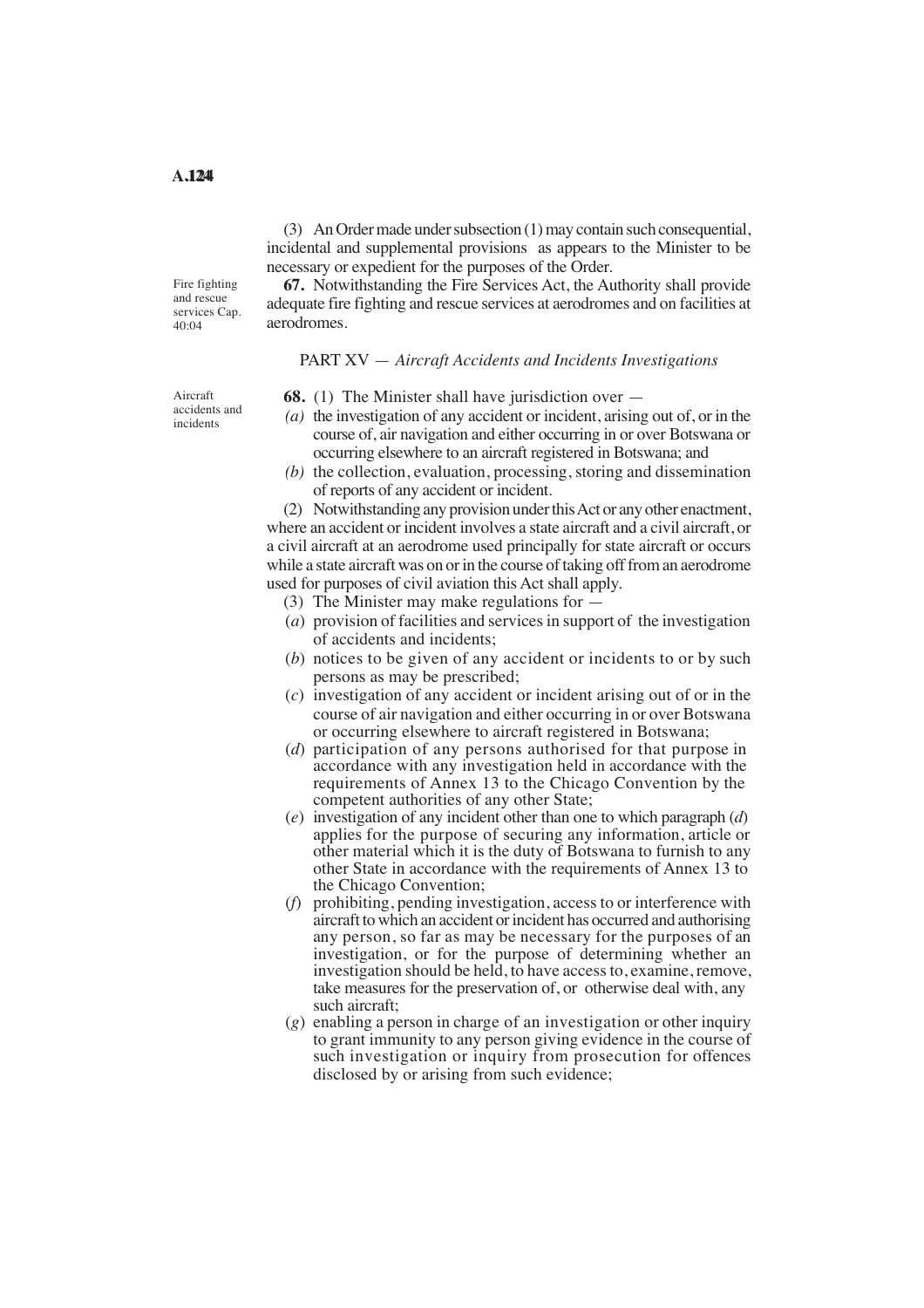(3) An Order made under subsection (1) may contain such consequential, incidental and supplemental provisions as appears to the Minister to be necessary or expedient for the purposes of the Order.

Fire fighting and rescue services Cap. 40:04

**67.** Notwithstanding the Fire Services Act, the Authority shall provide adequate fire fighting and rescue services at aerodromes and on facilities at aerodromes.

#### PART XV — *Aircraft Accidents and Incidents Investigations*

Aircraft accidents and incidents

- **68.** (1) The Minister shall have jurisdiction over —
- *(a)* the investigation of any accident or incident, arising out of, or in the course of, air navigation and either occurring in or over Botswana or occurring elsewhere to an aircraft registered in Botswana; and
- *(b)* the collection, evaluation, processing, storing and dissemination of reports of any accident or incident.

(2) Notwithstanding any provision under thisAct or any other enactment, where an accident or incident involves a state aircraft and a civil aircraft, or a civil aircraft at an aerodrome used principally for state aircraft or occurs while a state aircraft was on or in the course of taking off from an aerodrome used for purposes of civil aviation this Act shall apply.

- (3) The Minister may make regulations for —
- (*a*) provision of facilities and services in support of the investigation of accidents and incidents;
- (*b*) notices to be given of any accident or incidents to or by such persons as may be prescribed;
- (*c*) investigation of any accident or incident arising out of or in the course of air navigation and either occurring in or over Botswana or occurring elsewhere to aircraft registered in Botswana;
- (*d*) participation of any persons authorised for that purpose in accordance with any investigation held in accordance with the requirements of Annex 13 to the Chicago Convention by the competent authorities of any other State;
- (*e*) investigation of any incident other than one to which paragraph (*d*) applies for the purpose of securing any information, article or other material which it is the duty of Botswana to furnish to any other State in accordance with the requirements of Annex 13 to the Chicago Convention;
- (*f*) prohibiting, pending investigation, access to or interference with aircraft to which an accident or incident has occurred and authorising any person, so far as may be necessary for the purposes of an investigation, or for the purpose of determining whether an investigation should be held, to have access to, examine, remove, take measures for the preservation of, or otherwise deal with, any such aircraft;
- (*g*) enabling a person in charge of an investigation or other inquiry to grant immunity to any person giving evidence in the course of such investigation or inquiry from prosecution for offences disclosed by or arising from such evidence;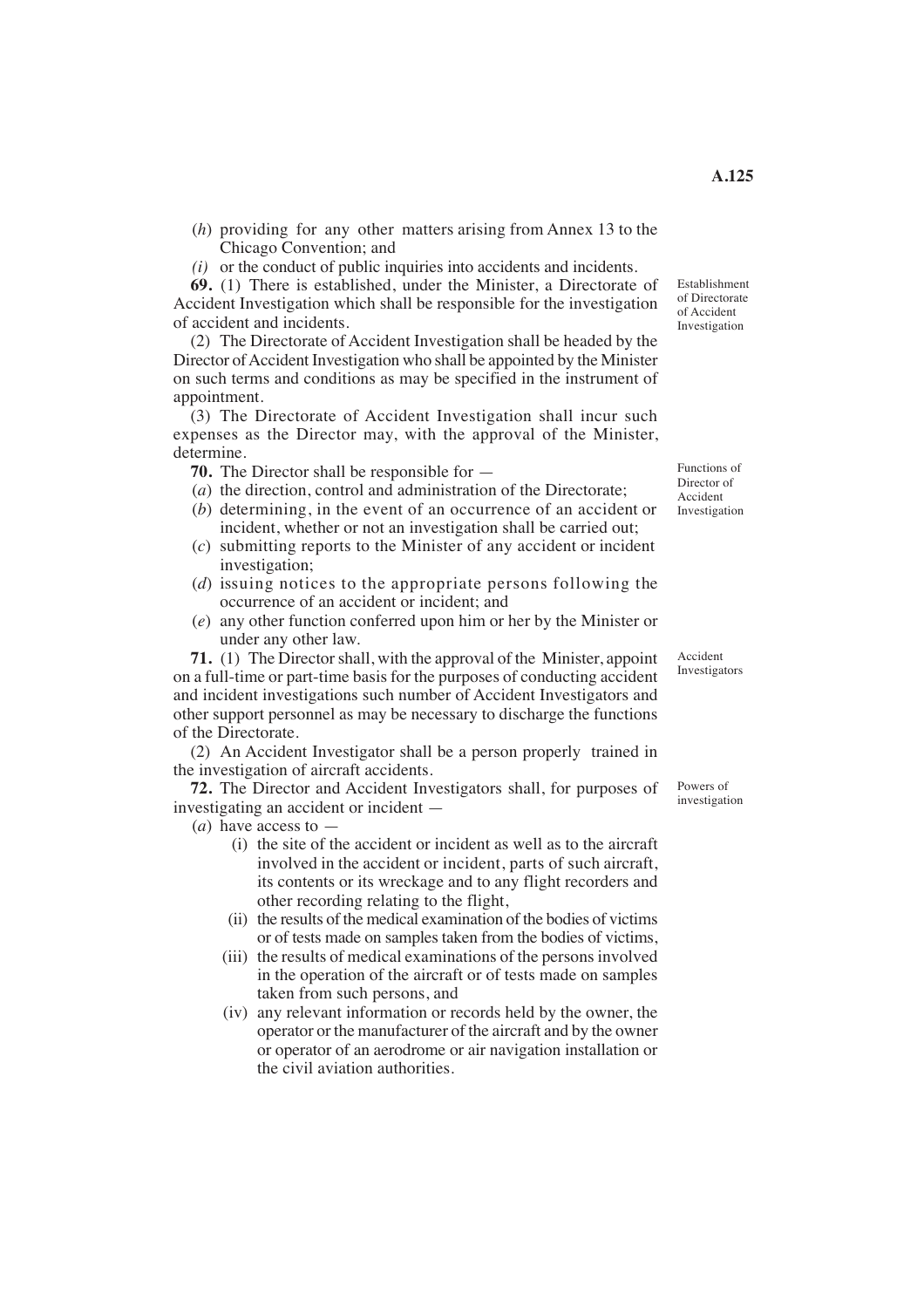- (*h*) providing for any other matters arising from Annex 13 to the Chicago Convention; and
- *(i)* or the conduct of public inquiries into accidents and incidents.

**69.** (1) There is established, under the Minister, a Directorate of Accident Investigation which shall be responsible for the investigation of accident and incidents.

(2) The Directorate of Accident Investigation shall be headed by the Director of Accident Investigation who shall be appointed by the Minister on such terms and conditions as may be specified in the instrument of appointment.

 (3) The Directorate of Accident Investigation shall incur such expenses as the Director may, with the approval of the Minister, determine.

**70.** The Director shall be responsible for —

- (*a*) the direction, control and administration of the Directorate;
- (*b*) determining, in the event of an occurrence of an accident or incident, whether or not an investigation shall be carried out;
- (*c*) submitting reports to the Minister of any accident or incident investigation;
- (*d*) issuing notices to the appropriate persons following the occurrence of an accident or incident; and
- (*e*) any other function conferred upon him or her by the Minister or under any other law.

**71.** (1) The Director shall, with the approval of the Minister, appoint on a full-time or part-time basis for the purposes of conducting accident and incident investigations such number of Accident Investigators and other support personnel as may be necessary to discharge the functions of the Directorate.

(2) An Accident Investigator shall be a person properly trained in the investigation of aircraft accidents.

**72.** The Director and Accident Investigators shall, for purposes of investigating an accident or incident —

(*a*) have access to —

- (i) the site of the accident or incident as well as to the aircraft involved in the accident or incident, parts of such aircraft, its contents or its wreckage and to any flight recorders and other recording relating to the flight,
- (ii) the results of the medical examination of the bodies of victims or of tests made on samples taken from the bodies of victims,
- (iii) the results of medical examinations of the persons involved in the operation of the aircraft or of tests made on samples taken from such persons, and
- (iv) any relevant information or records held by the owner, the operator or the manufacturer of the aircraft and by the owner or operator of an aerodrome or air navigation installation or the civil aviation authorities.

Functions of Director of Accident Investigation

Accident Investigators

Powers of investigation

**A.125** 

Establishment of Directorate of Accident Investigation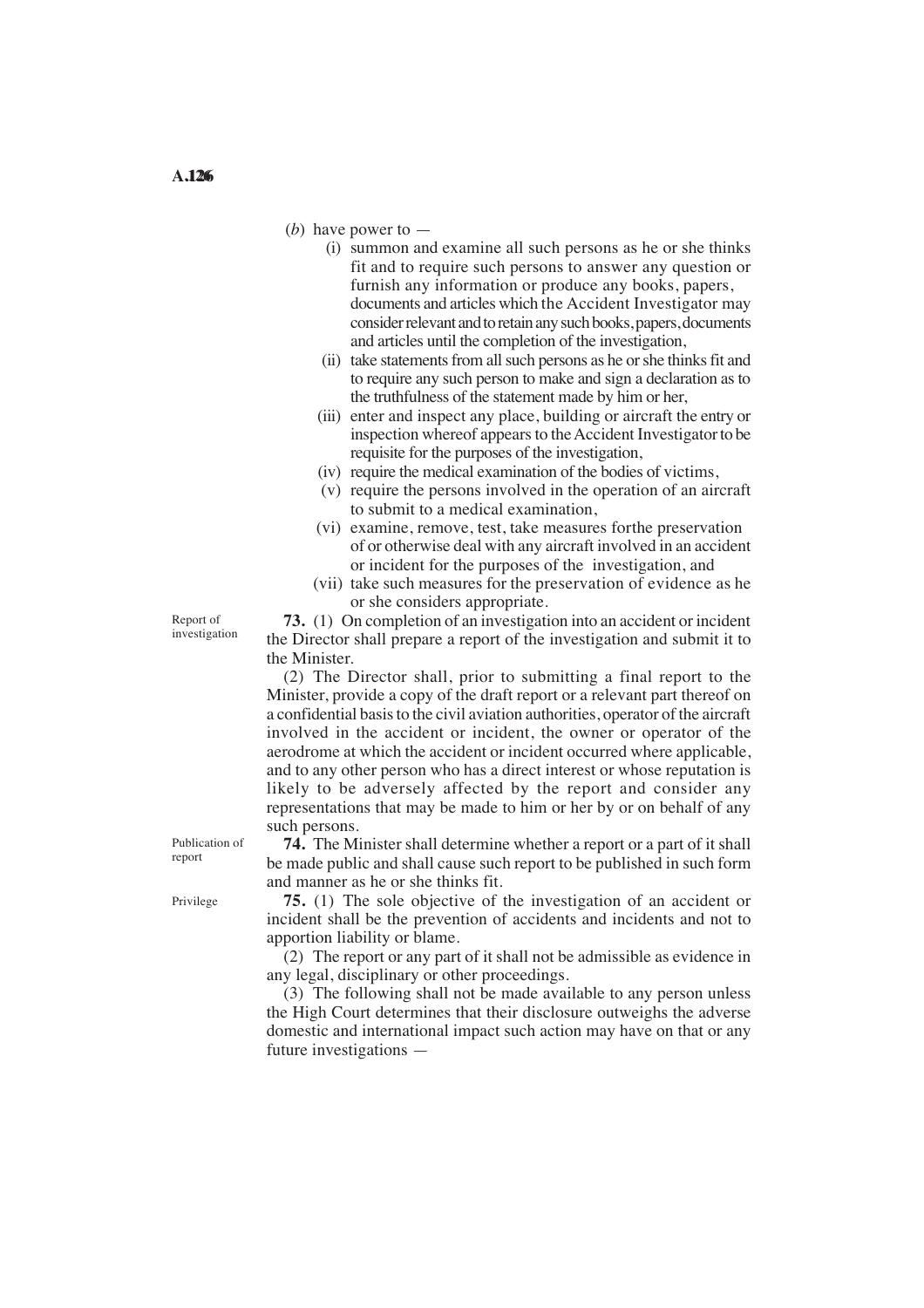- (*b*) have power to
	- (i) summon and examine all such persons as he or she thinks fit and to require such persons to answer any question or furnish any information or produce any books, papers, documents and articles which the Accident Investigator may consider relevant and to retain any such books, papers, documents and articles until the completion of the investigation,
	- (ii) take statements from all such persons as he or she thinks fit and to require any such person to make and sign a declaration as to the truthfulness of the statement made by him or her,
	- inspection whereof appears to the Accident Investigator to be (iii) enter and inspect any place, building or aircraft the entry or requisite for the purposes of the investigation,
	- (iv) require the medical examination of the bodies of victims,
	- (v) require the persons involved in the operation of an aircraft to submit to a medical examination,
	- (vi) examine, remove, test, take measures for the preservation of or otherwise deal with any aircraft involved in an accident or incident for the purposes of the investigation, and
	- (vii) take such measures for the preservation of evidence as he or she considers appropriate.

Report of investigation

**73.** (1) On completion of an investigation into an accident or incident the Director shall prepare a report of the investigation and submit it to the Minister.

(2) The Director shall, prior to submitting a final report to the Minister, provide a copy of the draft report or a relevant part thereof on a confidential basis to the civil aviation authorities, operator of the aircraft involved in the accident or incident, the owner or operator of the aerodrome at which the accident or incident occurred where applicable, and to any other person who has a direct interest or whose reputation is likely to be adversely affected by the report and consider any representations that may be made to him or her by or on behalf of any such persons.

**74.** The Minister shall determine whether a report or a part of it shall be made public and shall cause such report to be published in such form and manner as he or she thinks fit.

**75.** (1) The sole objective of the investigation of an accident or incident shall be the prevention of accidents and incidents and not to apportion liability or blame.

(2) The report or any part of it shall not be admissible as evidence in any legal, disciplinary or other proceedings.

(3) The following shall not be made available to any person unless the High Court determines that their disclosure outweighs the adverse domestic and international impact such action may have on that or any future investigations —

Publication of report

Privilege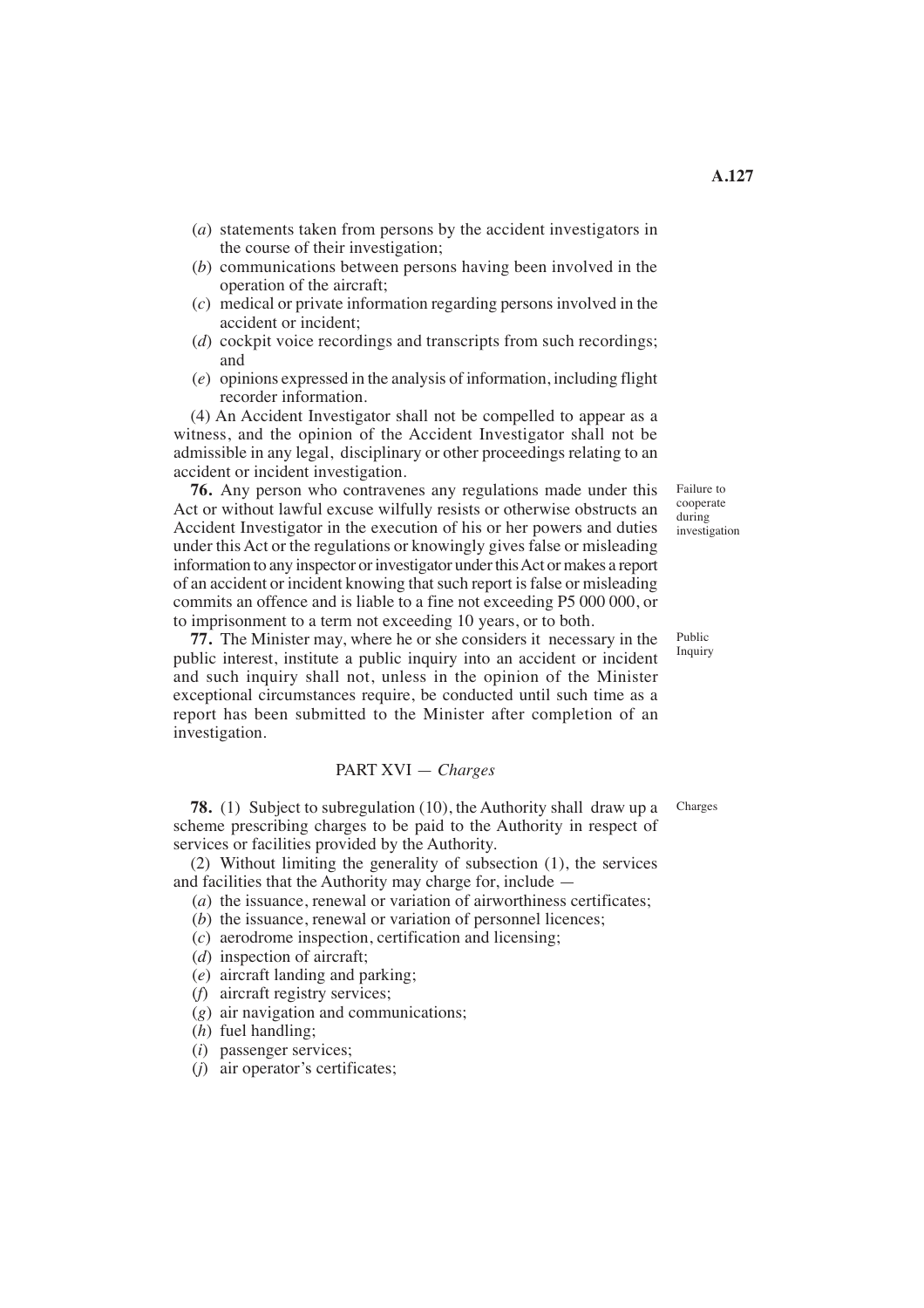- (*a*) statements taken from persons by the accident investigators in the course of their investigation;
- (*b*) communications between persons having been involved in the operation of the aircraft;
- (*c*) medical or private information regarding persons involved in the accident or incident;
- (*d*) cockpit voice recordings and transcripts from such recordings; and
- (*e*) opinions expressed in the analysis of information, including flight recorder information.

 witness, and the opinion of the Accident Investigator shall not be (4) An Accident Investigator shall not be compelled to appear as a admissible in any legal, disciplinary or other proceedings relating to an accident or incident investigation.

**76.** Any person who contravenes any regulations made under this Act or without lawful excuse wilfully resists or otherwise obstructs an Accident Investigator in the execution of his or her powers and duties under this Act or the regulations or knowingly gives false or misleading information to any inspector or investigator under this Act or makes a report of an accident or incident knowing that such report is false or misleading commits an offence and is liable to a fine not exceeding P5 000 000, or to imprisonment to a term not exceeding 10 years, or to both.

**77.** The Minister may, where he or she considers it necessary in the public interest, institute a public inquiry into an accident or incident and such inquiry shall not, unless in the opinion of the Minister exceptional circumstances require, be conducted until such time as a report has been submitted to the Minister after completion of an investigation.

## PART XVI — *Charges*

**78.** (1) Subject to subregulation (10), the Authority shall draw up a scheme prescribing charges to be paid to the Authority in respect of services or facilities provided by the Authority.

(2) Without limiting the generality of subsection (1), the services and facilities that the Authority may charge for, include —

- (*a*) the issuance, renewal or variation of airworthiness certificates;
- (*b*) the issuance, renewal or variation of personnel licences;
- (*c*) aerodrome inspection, certification and licensing;
- (*d*) inspection of aircraft;
- (*e*) aircraft landing and parking;
- (*f*) aircraft registry services;
- (*g*) air navigation and communications;
- (*h*) fuel handling;
- (*i*) passenger services;
- (*j*) air operator's certificates;

Failure to cooperate during investigation

Public Inquiry

Charges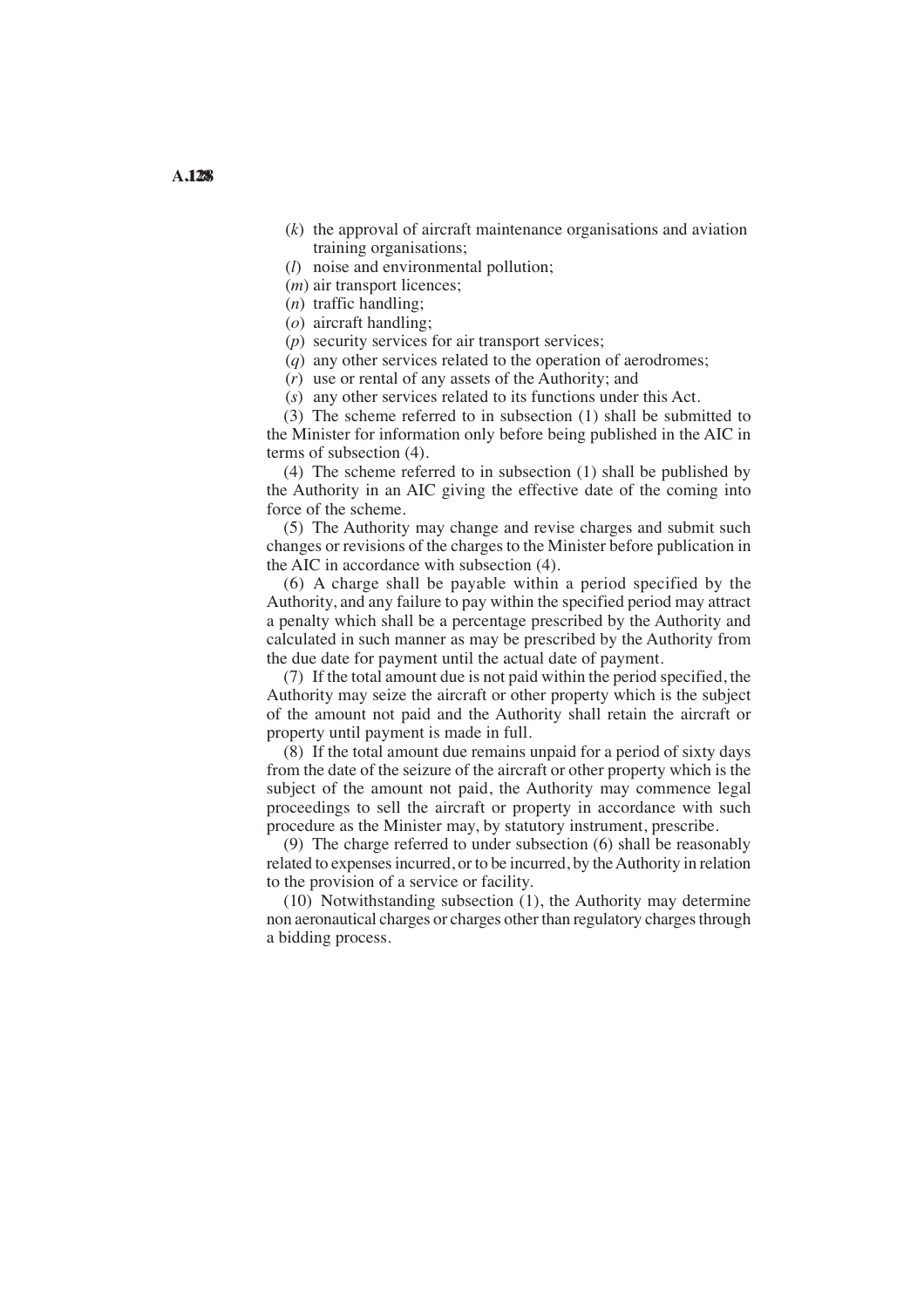- (*k*) the approval of aircraft maintenance organisations and aviation training organisations;
- (*l*) noise and environmental pollution;
- (*m*) air transport licences;
- (*n*) traffic handling;
- (*o*) aircraft handling;
- (*p*) security services for air transport services;
- (*q*) any other services related to the operation of aerodromes;

(*r*) use or rental of any assets of the Authority; and

(*s*) any other services related to its functions under this Act.

(3) The scheme referred to in subsection (1) shall be submitted to the Minister for information only before being published in the AIC in terms of subsection (4).

(4) The scheme referred to in subsection (1) shall be published by the Authority in an AIC giving the effective date of the coming into force of the scheme.

(5) The Authority may change and revise charges and submit such changes or revisions of the charges to the Minister before publication in the AIC in accordance with subsection (4).

(6) A charge shall be payable within a period specified by the Authority, and any failure to pay within the specified period may attract a penalty which shall be a percentage prescribed by the Authority and calculated in such manner as may be prescribed by the Authority from the due date for payment until the actual date of payment.

(7) If the total amount due is not paid within the period specified, the Authority may seize the aircraft or other property which is the subject of the amount not paid and the Authority shall retain the aircraft or property until payment is made in full.

(8) If the total amount due remains unpaid for a period of sixty days from the date of the seizure of the aircraft or other property which is the subject of the amount not paid, the Authority may commence legal proceedings to sell the aircraft or property in accordance with such procedure as the Minister may, by statutory instrument, prescribe.

(9) The charge referred to under subsection (6) shall be reasonably related to expenses incurred, or to be incurred, by the Authority in relation to the provision of a service or facility.

(10) Notwithstanding subsection (1), the Authority may determine non aeronautical charges or charges other than regulatory charges through a bidding process.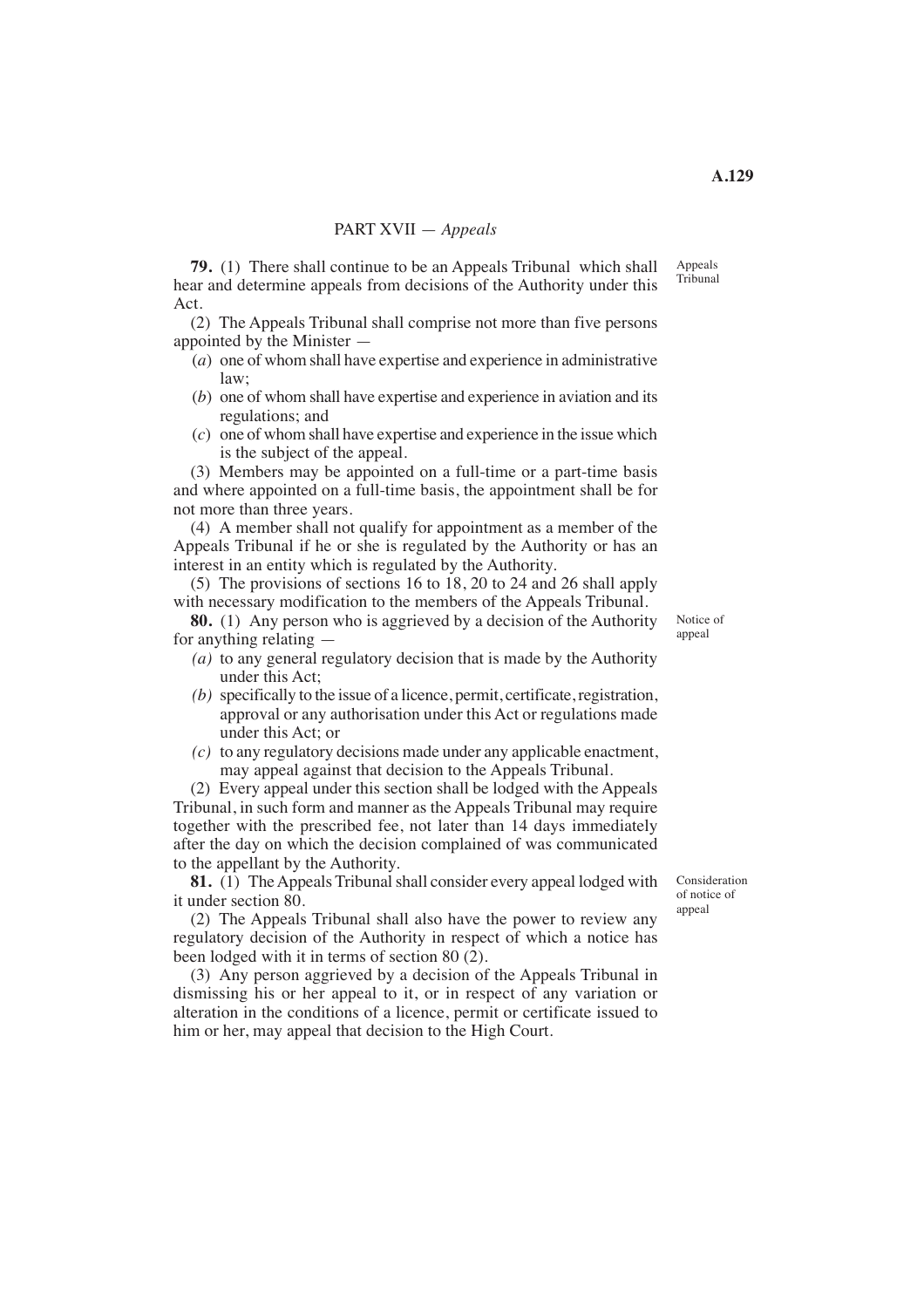**79.** (1) There shall continue to be an Appeals Tribunal which shall hear and determine appeals from decisions of the Authority under this Act.

(2) The Appeals Tribunal shall comprise not more than five persons appointed by the Minister —

- (*a*) one of whom shall have expertise and experience in administrative law;
- (*b*) one of whom shall have expertise and experience in aviation and its regulations; and
- (*c*) one of whom shall have expertise and experience in the issue which is the subject of the appeal.

(3) Members may be appointed on a full-time or a part-time basis and where appointed on a full-time basis, the appointment shall be for not more than three years.

(4) A member shall not qualify for appointment as a member of the Appeals Tribunal if he or she is regulated by the Authority or has an interest in an entity which is regulated by the Authority.

(5) The provisions of sections 16 to 18, 20 to 24 and 26 shall apply with necessary modification to the members of the Appeals Tribunal.

**80.** (1) Any person who is aggrieved by a decision of the Authority for anything relating —

- *(a)* to any general regulatory decision that is made by the Authority under this Act;
- *(b)* specifically to the issue of a licence, permit, certificate, registration, approval or any authorisation under this Act or regulations made under this Act; or
- *(c)* to any regulatory decisions made under any applicable enactment, may appeal against that decision to the Appeals Tribunal.

(2) Every appeal under this section shall be lodged with the Appeals Tribunal, in such form and manner as the Appeals Tribunal may require together with the prescribed fee, not later than 14 days immediately after the day on which the decision complained of was communicated to the appellant by the Authority.

**81.** (1) The Appeals Tribunal shall consider every appeal lodged with it under section 80.

(2) The Appeals Tribunal shall also have the power to review any regulatory decision of the Authority in respect of which a notice has been lodged with it in terms of section 80 (2).

(3) Any person aggrieved by a decision of the Appeals Tribunal in dismissing his or her appeal to it, or in respect of any variation or alteration in the conditions of a licence, permit or certificate issued to him or her, may appeal that decision to the High Court.

Consideration of notice of appeal

Notice of appeal

Appeals Tribunal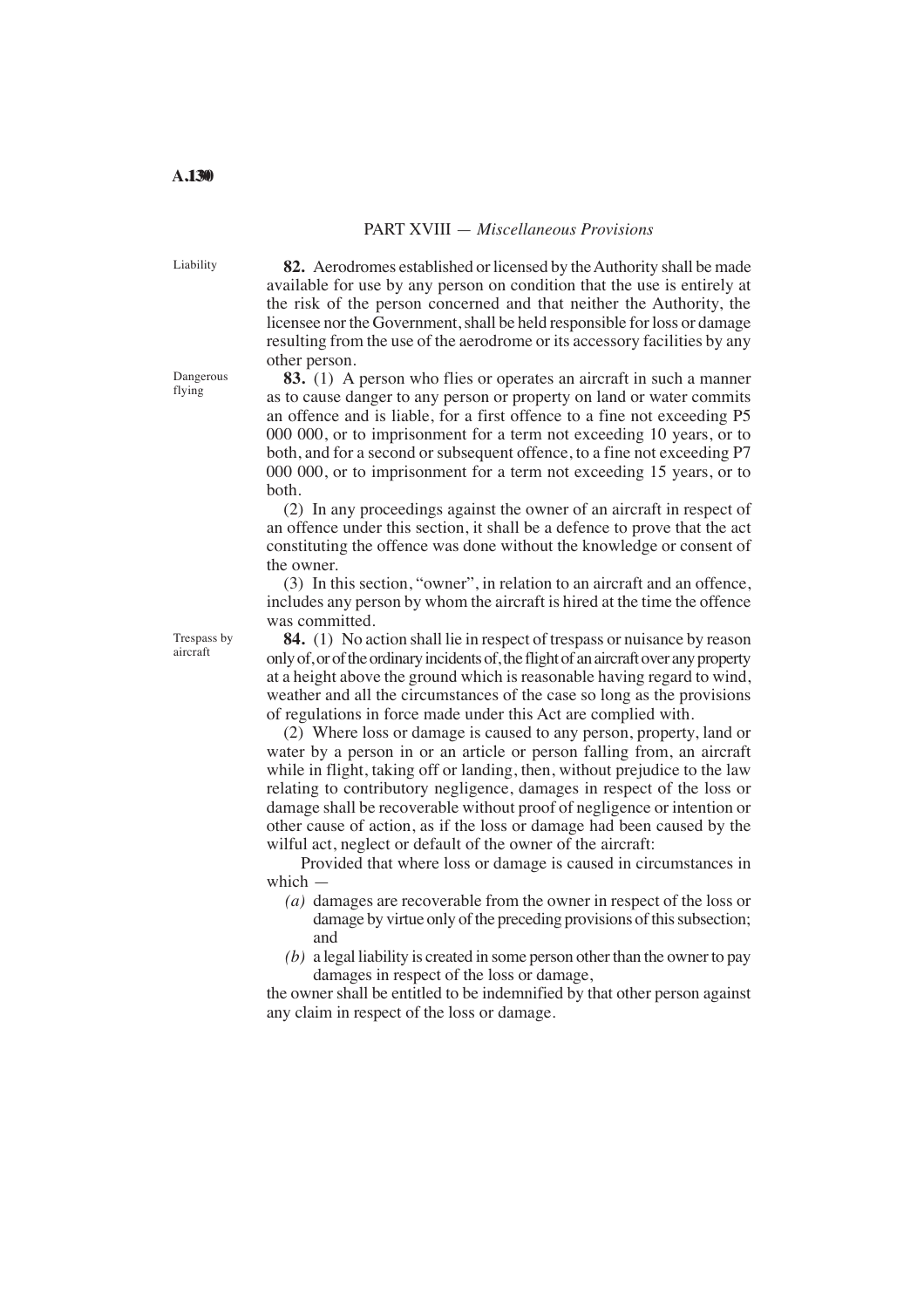## PART XVIII — *Miscellaneous Provisions*

**82.** Aerodromes established or licensed by the Authority shall be made available for use by any person on condition that the use is entirely at the risk of the person concerned and that neither the Authority, the licensee nor the Government, shall be held responsible for loss or damage resulting from the use of the aerodrome or its accessory facilities by any other person.

**83.** (1) A person who flies or operates an aircraft in such a manner as to cause danger to any person or property on land or water commits an offence and is liable, for a first offence to a fine not exceeding P5 000 000, or to imprisonment for a term not exceeding 10 years, or to both, and for a second or subsequent offence, to a fine not exceeding P7 000 000, or to imprisonment for a term not exceeding 15 years, or to both.

(2) In any proceedings against the owner of an aircraft in respect of an offence under this section, it shall be a defence to prove that the act constituting the offence was done without the knowledge or consent of the owner.

(3) In this section, "owner", in relation to an aircraft and an offence, includes any person by whom the aircraft is hired at the time the offence was committed.

**84.** (1) No action shall lie in respect of trespass or nuisance by reason only of, or of the ordinary incidents of, the flight of an aircraft over any property at a height above the ground which is reasonable having regard to wind, weather and all the circumstances of the case so long as the provisions of regulations in force made under this Act are complied with.

(2) Where loss or damage is caused to any person, property, land or water by a person in or an article or person falling from, an aircraft while in flight, taking off or landing, then, without prejudice to the law relating to contributory negligence, damages in respect of the loss or damage shall be recoverable without proof of negligence or intention or other cause of action, as if the loss or damage had been caused by the wilful act, neglect or default of the owner of the aircraft:

Provided that where loss or damage is caused in circumstances in which —

- (*a*) damages are recoverable from the owner in respect of the loss or damage by virtue only of the preceding provisions of this subsection; and
- *(b)* a legal liability is created in some person other than the owner to pay damages in respect of the loss or damage,

the owner shall be entitled to be indemnified by that other person against any claim in respect of the loss or damage.

Trespass by aircraft

Liability

Dangerous flying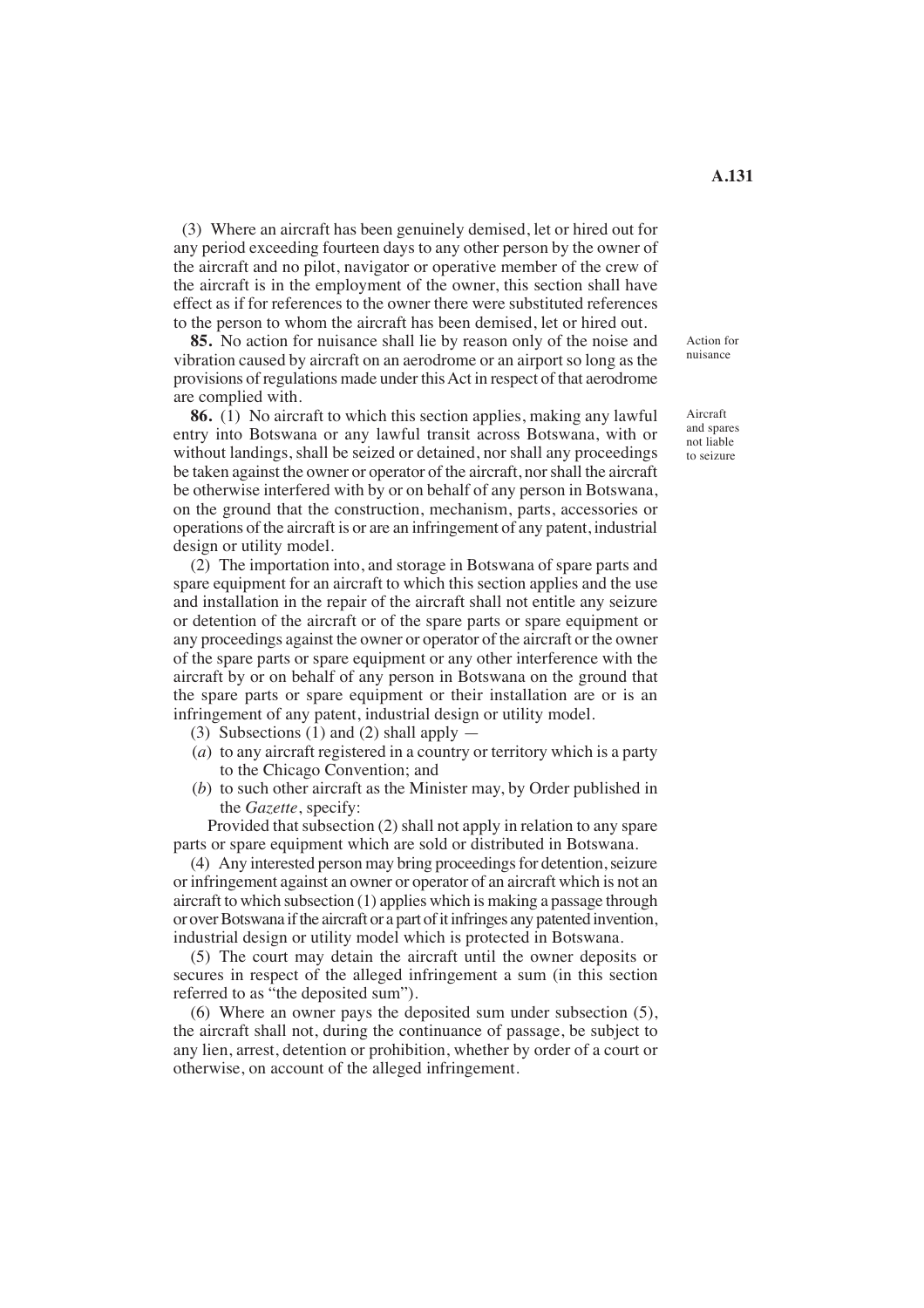(3) Where an aircraft has been genuinely demised, let or hired out for any period exceeding fourteen days to any other person by the owner of the aircraft and no pilot, navigator or operative member of the crew of the aircraft is in the employment of the owner, this section shall have effect as if for references to the owner there were substituted references

**85.** No action for nuisance shall lie by reason only of the noise and vibration caused by aircraft on an aerodrome or an airport so long as the provisions of regulations made under this Act in respect of that aerodrome are complied with.

to the person to whom the aircraft has been demised, let or hired out.

**86.** (1) No aircraft to which this section applies, making any lawful entry into Botswana or any lawful transit across Botswana, with or without landings, shall be seized or detained, nor shall any proceedings be taken against the owner or operator of the aircraft, nor shall the aircraft be otherwise interfered with by or on behalf of any person in Botswana, on the ground that the construction, mechanism, parts, accessories or operations of the aircraft is or are an infringement of any patent, industrial design or utility model.

(2) The importation into, and storage in Botswana of spare parts and spare equipment for an aircraft to which this section applies and the use and installation in the repair of the aircraft shall not entitle any seizure or detention of the aircraft or of the spare parts or spare equipment or any proceedings against the owner or operator of the aircraft or the owner of the spare parts or spare equipment or any other interference with the aircraft by or on behalf of any person in Botswana on the ground that the spare parts or spare equipment or their installation are or is an infringement of any patent, industrial design or utility model.

- (3) Subsections (1) and (2) shall apply  $-$
- (*a*) to any aircraft registered in a country or territory which is a party to the Chicago Convention; and
- (*b*) to such other aircraft as the Minister may, by Order published in the *Gazette*, specify:

Provided that subsection (2) shall not apply in relation to any spare parts or spare equipment which are sold or distributed in Botswana.

(4) Any interested person may bring proceedings for detention, seizure or infringement against an owner or operator of an aircraft which is not an aircraft to which subsection (1) applies which is making a passage through or over Botswana if the aircraft or a part of it infringes any patented invention, industrial design or utility model which is protected in Botswana.

(5) The court may detain the aircraft until the owner deposits or secures in respect of the alleged infringement a sum (in this section referred to as "the deposited sum").

(6) Where an owner pays the deposited sum under subsection (5), the aircraft shall not, during the continuance of passage, be subject to any lien, arrest, detention or prohibition, whether by order of a court or otherwise, on account of the alleged infringement.

Action for nuisance

Aircraft and spares not liable to seizure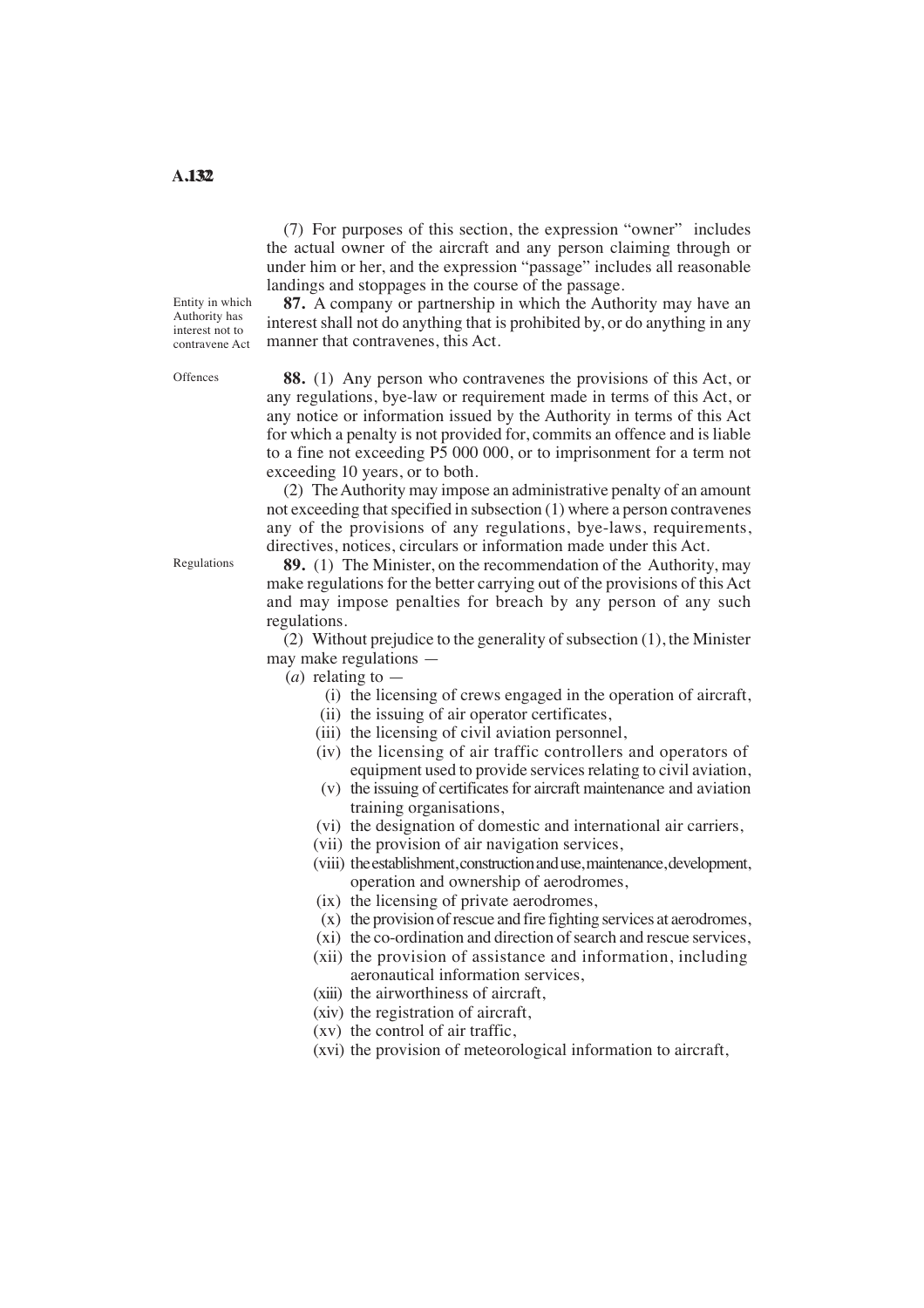(7) For purposes of this section, the expression "owner" includes the actual owner of the aircraft and any person claiming through or under him or her, and the expression "passage" includes all reasonable landings and stoppages in the course of the passage.

Entity in which Authority has interest not to contravene Act

**Offences** 

**87.** A company or partnership in which the Authority may have an interest shall not do anything that is prohibited by, or do anything in any manner that contravenes, this Act.

**88.** (1) Any person who contravenes the provisions of this Act, or any regulations, bye-law or requirement made in terms of this Act, or any notice or information issued by the Authority in terms of this Act for which a penalty is not provided for, commits an offence and is liable to a fine not exceeding P5 000 000, or to imprisonment for a term not exceeding 10 years, or to both.

(2) The Authority may impose an administrative penalty of an amount not exceeding that specified in subsection (1) where a person contravenes any of the provisions of any regulations, bye-laws, requirements, directives, notices, circulars or information made under this Act.

**89.** (1) The Minister, on the recommendation of the Authority, may make regulations for the better carrying out of the provisions of this Act and may impose penalties for breach by any person of any such regulations.

(2) Without prejudice to the generality of subsection (1), the Minister may make regulations —

(*a*) relating to —

- (i) the licensing of crews engaged in the operation of aircraft,
- (ii) the issuing of air operator certificates,
- (iii) the licensing of civil aviation personnel,
- (iv) the licensing of air traffic controllers and operators of equipment used to provide services relating to civil aviation,
- (v) the issuing of certificates for aircraft maintenance and aviation training organisations,
- (vi) the designation of domestic and international air carriers,
- (vii) the provision of air navigation services,
- (viii) theestablishment, construction and use, maintenance, development, operation and ownership of aerodromes,
- (ix) the licensing of private aerodromes,
- (x) the provision of rescue and fire fighting services at aerodromes,
- (xi) the co-ordination and direction of search and rescue services,
- (xii) the provision of assistance and information, including aeronautical information services,
- (xiii) the airworthiness of aircraft,
- (xiv) the registration of aircraft,
- (xv) the control of air traffic,
- (xvi) the provision of meteorological information to aircraft,

Regulations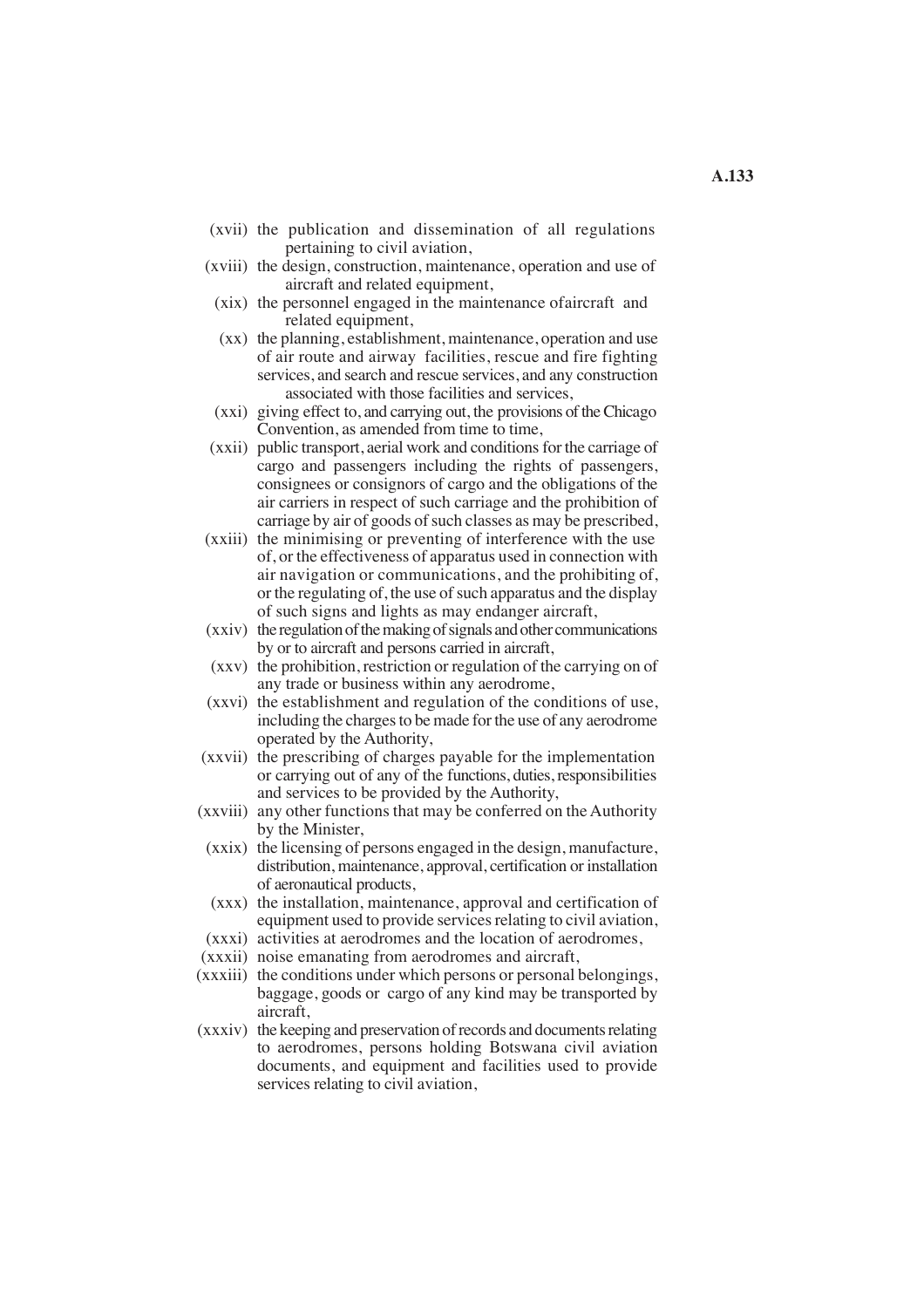- (xvii) the publication and dissemination of all regulations pertaining to civil aviation,
- (xviii) the design, construction, maintenance, operation and use of aircraft and related equipment,
- $(xix)$  the personnel engaged in the maintenance of aircraft and related equipment,
- (xx) the planning, establishment, maintenance, operation and use of air route and airway facilities, rescue and fire fighting services, and search and rescue services, and any construction associated with those facilities and services,
- (xxi) giving effect to, and carrying out, the provisions of the Chicago Convention, as amended from time to time,
- cargo and passengers including the rights of passengers, (xxii) public transport, aerial work and conditions for the carriage of consignees or consignors of cargo and the obligations of the air carriers in respect of such carriage and the prohibition of carriage by air of goods of such classes as may be prescribed,
- (xxiii) the minimising or preventing of interference with the use of, or the effectiveness of apparatus used in connection with air navigation or communications, and the prohibiting of, or the regulating of, the use of such apparatus and the display of such signs and lights as may endanger aircraft,
- (xxiv) the regulation of the making of signals and other communications by or to aircraft and persons carried in aircraft,
- (xxv) the prohibition, restriction or regulation of the carrying on of any trade or business within any aerodrome,
- (xxvi) the establishment and regulation of the conditions of use, including the charges to be made for the use of any aerodrome operated by the Authority,
- (xxvii) the prescribing of charges payable for the implementation or carrying out of any of the functions, duties, responsibilities and services to be provided by the Authority,
- (xxviii) any other functions that may be conferred on the Authority by the Minister,
- (xxix) the licensing of persons engaged in the design, manufacture, distribution, maintenance, approval, certification or installation of aeronautical products,
- (xxx) the installation, maintenance, approval and certification of equipment used to provide services relating to civil aviation,
- (xxxi) activities at aerodromes and the location of aerodromes,
- (xxxii) noise emanating from aerodromes and aircraft,
- (xxxiii) the conditions under which persons or personal belongings, baggage, goods or cargo of any kind may be transported by aircraft,
- to aerodromes, persons holding Botswana civil aviation documents, and equipment and facilities used to provide (xxxiv) the keeping and preservation of records and documents relating services relating to civil aviation,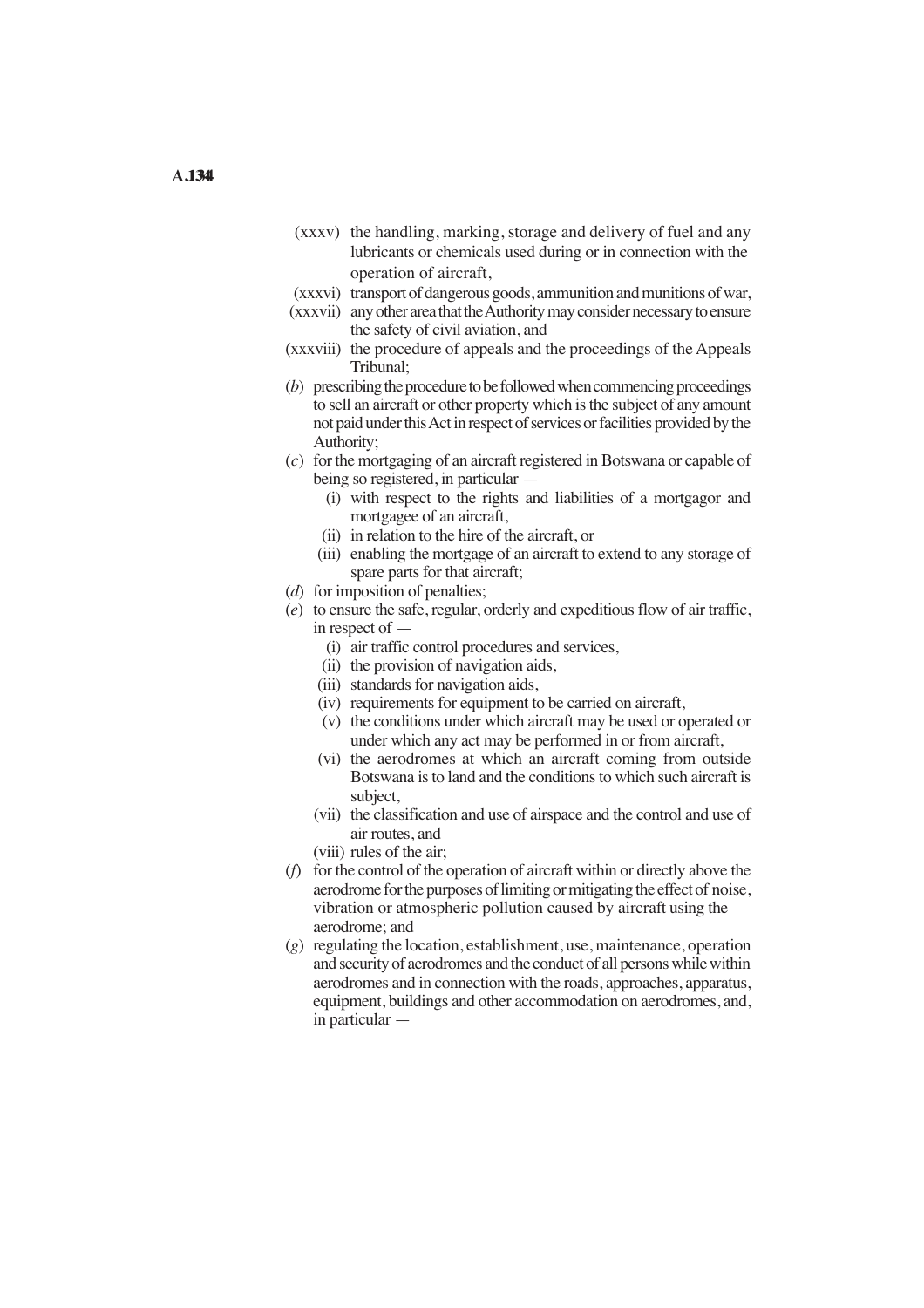- (xxxv) the handling, marking, storage and delivery of fuel and any lubricants or chemicals used during or in connection with the operation of aircraft,
- (xxxvi) transport of dangerous goods, ammunition and munitions of war,
- (xxxvii) any other area that the Authority may consider necessary to ensure the safety of civil aviation, and
- (xxxviii) the procedure of appeals and the proceedings of the Appeals Tribunal;
- (*b*) prescribing the procedure to be followed when commencing proceedings to sell an aircraft or other property which is the subject of any amount not paid under thisAct in respect of services or facilities provided by the Authority;
- (*c*) for the mortgaging of an aircraft registered in Botswana or capable of being so registered, in particular —
	- (i) with respect to the rights and liabilities of a mortgagor and mortgagee of an aircraft,
	- (ii) in relation to the hire of the aircraft, or
	- (iii) enabling the mortgage of an aircraft to extend to any storage of spare parts for that aircraft;
- (*d*) for imposition of penalties;
- (*e*) to ensure the safe, regular, orderly and expeditious flow of air traffic, in respect of —
	- (i) air traffic control procedures and services,
	- (ii) the provision of navigation aids,
	- (iii) standards for navigation aids,
	- (iv) requirements for equipment to be carried on aircraft,
	- (v) the conditions under which aircraft may be used or operated or under which any act may be performed in or from aircraft,
	- (vi) the aerodromes at which an aircraft coming from outside Botswana is to land and the conditions to which such aircraft is subject,
	- (vii) the classification and use of airspace and the control and use of air routes, and
	- (viii) rules of the air;
- (*f*) for the control of the operation of aircraft within or directly above the aerodrome for the purposes of limiting or mitigating the effect of noise, vibration or atmospheric pollution caused by aircraft using the aerodrome; and
- (*g*) regulating the location, establishment, use, maintenance, operation and security of aerodromes and the conduct of all persons while within aerodromes and in connection with the roads, approaches, apparatus, equipment, buildings and other accommodation on aerodromes, and, in particular —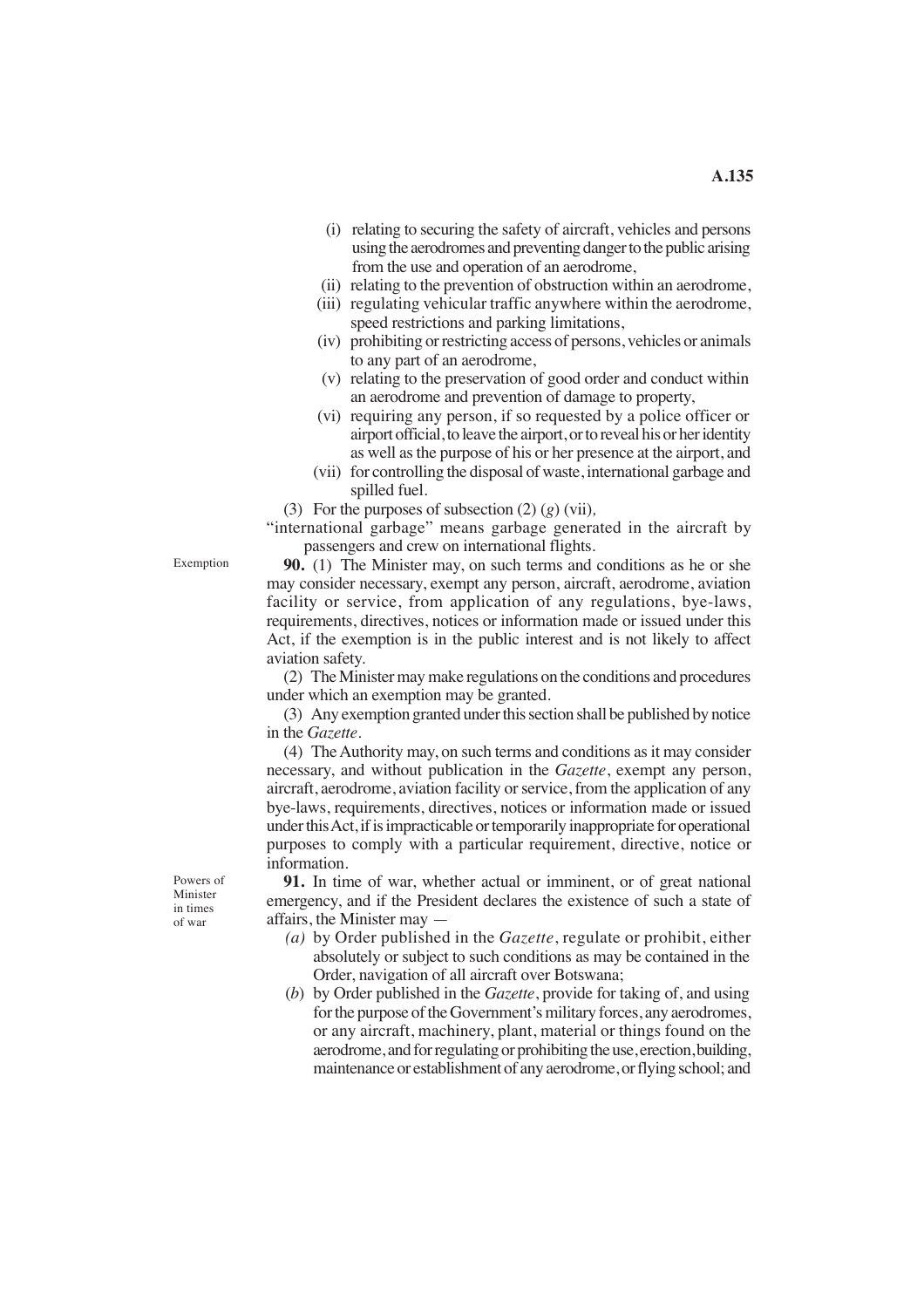- (i) relating to securing the safety of aircraft, vehicles and persons using the aerodromes and preventing danger to the public arising from the use and operation of an aerodrome,
- (ii) relating to the prevention of obstruction within an aerodrome,
- (iii) regulating vehicular traffic anywhere within the aerodrome, speed restrictions and parking limitations,
- (iv) prohibiting or restricting access of persons, vehicles or animals to any part of an aerodrome,
- (v) relating to the preservation of good order and conduct within an aerodrome and prevention of damage to property,
- (vi) requiring any person, if so requested by a police officer or airport official, to leave the airport, or to reveal his or her identity as well as the purpose of his or her presence at the airport, and
- (vii) for controlling the disposal of waste, international garbage and spilled fuel.
- (3) For the purposes of subsection (2) (*g*) (vii)*,*

"international garbage" means garbage generated in the aircraft by passengers and crew on international flights.

**90.** (1) The Minister may, on such terms and conditions as he or she may consider necessary, exempt any person, aircraft, aerodrome, aviation facility or service, from application of any regulations, bye-laws, requirements, directives, notices or information made or issued under this Act, if the exemption is in the public interest and is not likely to affect aviation safety.

(2) The Minister may make regulations on the conditions and procedures under which an exemption may be granted.

(3) Any exemption granted under this section shall be published by notice in the *Gazette*.

(4) The Authority may, on such terms and conditions as it may consider necessary, and without publication in the *Gazette*, exempt any person, aircraft, aerodrome, aviation facility or service, from the application of any bye-laws, requirements, directives, notices or information made or issued under thisAct, if is impracticable or temporarily inappropriate for operational purposes to comply with a particular requirement, directive, notice or information.

**91.** In time of war, whether actual or imminent, or of great national emergency, and if the President declares the existence of such a state of affairs, the Minister may —

- *(a)* by Order published in the *Gazette*, regulate or prohibit, either absolutely or subject to such conditions as may be contained in the Order, navigation of all aircraft over Botswana;
- (*b*) by Order published in the *Gazette*, provide for taking of, and using for the purpose of the Government's military forces, any aerodromes, or any aircraft, machinery, plant, material or things found on the aerodrome, and for regulating or prohibiting the use, erection,building, maintenance or establishment of any aerodrome, or flying school; and

Powers of Minister in times of war

Exemption